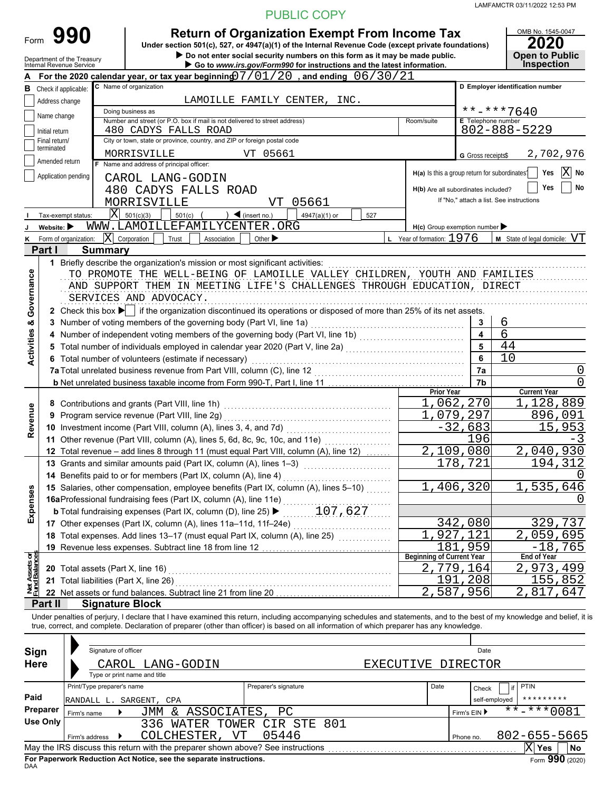LAMFAMCTR 03/11/2022 12:53 PM

|                         |                                                               | <b>PUBLIC COPY</b>                                                                                                                                                                                                                                                                                                  |                                    |                                                     | LAIVIFAIVIUTR UJ/TI/ZUZZ TZ.OJ FIV                                      |
|-------------------------|---------------------------------------------------------------|---------------------------------------------------------------------------------------------------------------------------------------------------------------------------------------------------------------------------------------------------------------------------------------------------------------------|------------------------------------|-----------------------------------------------------|-------------------------------------------------------------------------|
| Form                    | 990<br>Department of the Treasury<br>Internal Revenue Service | <b>Return of Organization Exempt From Income Tax</b><br>Under section 501(c), 527, or 4947(a)(1) of the Internal Revenue Code (except private foundations)<br>Do not enter social security numbers on this form as it may be made public.<br>Go to www.irs.gov/Form990 for instructions and the latest information. |                                    |                                                     | OMB No. 1545-0047<br>2020<br><b>Open to Public</b><br><b>Inspection</b> |
|                         |                                                               | For the 2020 calendar year, or tax year beginning $7/01/20$ , and ending $06/30/21$                                                                                                                                                                                                                                 |                                    |                                                     |                                                                         |
| в.                      | Check if applicable:                                          | C Name of organization                                                                                                                                                                                                                                                                                              |                                    |                                                     | D Employer identification number                                        |
|                         | Address change                                                | LAMOILLE FAMILY CENTER, INC.<br>Doing business as                                                                                                                                                                                                                                                                   |                                    |                                                     | **-***7640                                                              |
|                         | Name change                                                   | Number and street (or P.O. box if mail is not delivered to street address)                                                                                                                                                                                                                                          | Room/suite                         | <b>E</b> Telephone number                           |                                                                         |
|                         | Initial return                                                | 480 CADYS FALLS ROAD                                                                                                                                                                                                                                                                                                |                                    |                                                     | 802-888-5229                                                            |
|                         | Final return/<br>terminated                                   | City or town, state or province, country, and ZIP or foreign postal code                                                                                                                                                                                                                                            |                                    |                                                     |                                                                         |
|                         | Amended return                                                | VT 05661<br>MORRISVILLE                                                                                                                                                                                                                                                                                             |                                    | G Gross receipts\$                                  | 2,702,976                                                               |
|                         | Application pending                                           | F Name and address of principal officer:                                                                                                                                                                                                                                                                            |                                    | H(a) Is this a group return for subordinates?       | $ {\rm X} $<br>Yes<br>No                                                |
|                         |                                                               | CAROL LANG-GODIN                                                                                                                                                                                                                                                                                                    |                                    | H(b) Are all subordinates included?                 | Yes<br>No                                                               |
|                         |                                                               | 480 CADYS FALLS ROAD<br>MORRISVILLE<br>05661<br>VT                                                                                                                                                                                                                                                                  |                                    | If "No." attach a list. See instructions            |                                                                         |
|                         | Tax-exempt status:                                            | $ \overline{X} $ 501(c)(3)<br>$\triangleleft$ (insert no.)<br>501(c)<br>4947(a)(1) or<br>527                                                                                                                                                                                                                        |                                    |                                                     |                                                                         |
|                         | Website: $\blacktriangleright$                                | WWW.LAMOILLEFAMILYCENTER.ORG                                                                                                                                                                                                                                                                                        |                                    | $H(c)$ Group exemption number $\blacktriangleright$ |                                                                         |
|                         | K Form of organization:                                       | $ \mathbf{X} $ Corporation<br>Other $\blacktriangleright$<br>Trust<br>Association                                                                                                                                                                                                                                   | <b>L</b> Year of formation: $1976$ |                                                     | M State of legal domicile: VT                                           |
|                         | Part I<br><b>Summary</b>                                      |                                                                                                                                                                                                                                                                                                                     |                                    |                                                     |                                                                         |
| Governance              |                                                               | 1 Briefly describe the organization's mission or most significant activities:<br>TO PROMOTE THE WELL-BEING OF LAMOILLE VALLEY CHILDREN, YOUTH AND FAMILIES<br>AND SUPPORT THEM IN MEETING LIFE'S CHALLENGES THROUGH EDUCATION, DIRECT<br>SERVICES AND ADVOCACY.                                                     |                                    |                                                     |                                                                         |
|                         |                                                               | 2 Check this box $\blacktriangleright$ if the organization discontinued its operations or disposed of more than 25% of its net assets.                                                                                                                                                                              |                                    |                                                     |                                                                         |
| <b>Activities &amp;</b> |                                                               | 3 Number of voting members of the governing body (Part VI, line 1a)                                                                                                                                                                                                                                                 |                                    | 3                                                   | 6                                                                       |
|                         |                                                               | Total number of individuals employed in calendar year 2020 (Part V, line 2a) [[[[[[[[[[[[[[[[[[[[[[[[[[[[[[[[                                                                                                                                                                                                       |                                    | $\overline{\mathbf{4}}$<br>5                        | 6<br>44                                                                 |
|                         | 5.                                                            | 6                                                                                                                                                                                                                                                                                                                   | 10                                 |                                                     |                                                                         |
|                         |                                                               | 6 Total number of volunteers (estimate if necessary)<br>7a Total unrelated business revenue from Part VIII, column (C), line 12 [100] [10] [10] [10] [10] [10] [10] [1                                                                                                                                              |                                    | 7a                                                  | Ü                                                                       |
|                         |                                                               |                                                                                                                                                                                                                                                                                                                     |                                    | 7b                                                  |                                                                         |
|                         |                                                               |                                                                                                                                                                                                                                                                                                                     | <b>Prior Year</b>                  |                                                     | <b>Current Year</b>                                                     |
|                         |                                                               |                                                                                                                                                                                                                                                                                                                     |                                    | 1,062,270                                           | ,128,889                                                                |
| Revenue                 |                                                               |                                                                                                                                                                                                                                                                                                                     |                                    | 079,297                                             | 896,091                                                                 |
|                         |                                                               |                                                                                                                                                                                                                                                                                                                     |                                    | $-32,683$                                           | 15,953                                                                  |
|                         |                                                               | 11 Other revenue (Part VIII, column (A), lines 5, 6d, 8c, 9c, 10c, and 11e) [[[[[[[[[[[[[[[[[[[[[[[[[[[[[[[[                                                                                                                                                                                                        |                                    | 196                                                 |                                                                         |
|                         |                                                               | 12 Total revenue - add lines 8 through 11 (must equal Part VIII, column (A), line 12)                                                                                                                                                                                                                               |                                    | 2,109,080<br>178,721                                | 2,040,930<br>194,312                                                    |
|                         |                                                               | 13 Grants and similar amounts paid (Part IX, column (A), lines 1-3)<br>14 Benefits paid to or for members (Part IX, column (A), line 4)                                                                                                                                                                             |                                    |                                                     |                                                                         |
|                         |                                                               | 15 Salaries, other compensation, employee benefits (Part IX, column (A), lines 5-10)                                                                                                                                                                                                                                |                                    | 1,406,320                                           | 1,535,646                                                               |
| Expenses                |                                                               | 16aProfessional fundraising fees (Part IX, column (A), line 11e)                                                                                                                                                                                                                                                    |                                    |                                                     |                                                                         |
|                         |                                                               | <b>b</b> Total fundraising expenses (Part IX, column (D), line 25) $\blacktriangleright$ 107, 627                                                                                                                                                                                                                   |                                    |                                                     |                                                                         |
|                         |                                                               | 17 Other expenses (Part IX, column (A), lines 11a-11d, 11f-24e)                                                                                                                                                                                                                                                     |                                    | 342,080                                             | 329,737                                                                 |
|                         |                                                               |                                                                                                                                                                                                                                                                                                                     | 1,927,121                          |                                                     | 2,059,695                                                               |
|                         |                                                               | 19 Revenue less expenses. Subtract line 18 from line 12                                                                                                                                                                                                                                                             | 181                                | ,959                                                | $-18,765$                                                               |
| Assets or<br>d Balances |                                                               |                                                                                                                                                                                                                                                                                                                     | <b>Beginning of Current Year</b>   | 2,779,164                                           | End of Year                                                             |
|                         |                                                               |                                                                                                                                                                                                                                                                                                                     |                                    | 191,208                                             | 2,973,499<br>155,852                                                    |
| Net A<br>Fund I         |                                                               | 21 Total liabilities (Part X, line 26)<br>22 Net assets or fund balances. Subtract line 21 from line 20                                                                                                                                                                                                             |                                    | $\overline{2,587,956}$                              | 2,817,647                                                               |
|                         | Part II                                                       | <b>Signature Block</b>                                                                                                                                                                                                                                                                                              |                                    |                                                     |                                                                         |
|                         |                                                               | Under penalties of perjury, I declare that I have examined this return, including accompanying schedules and statements, and to the best of my knowledge and belief, it is                                                                                                                                          |                                    |                                                     |                                                                         |
|                         |                                                               | true, correct, and complete. Declaration of preparer (other than officer) is based on all information of which preparer has any knowledge.                                                                                                                                                                          |                                    |                                                     |                                                                         |
|                         |                                                               |                                                                                                                                                                                                                                                                                                                     |                                    |                                                     |                                                                         |
| Sign                    |                                                               | Signature of officer                                                                                                                                                                                                                                                                                                |                                    | Date                                                |                                                                         |
| <b>Here</b>             |                                                               | CAROL LANG-GODIN                                                                                                                                                                                                                                                                                                    | EXECUTIVE DIRECTOR                 |                                                     |                                                                         |
|                         |                                                               | Type or print name and title                                                                                                                                                                                                                                                                                        |                                    |                                                     |                                                                         |
|                         | Print/Type preparer's name                                    | Preparer's signature                                                                                                                                                                                                                                                                                                | Date                               | Check                                               | PTIN<br>if                                                              |
| Paid                    |                                                               | RANDALL L. SARGENT, CPA                                                                                                                                                                                                                                                                                             |                                    | self-employed                                       |                                                                         |
|                         | Preparer<br>Firm's name<br><b>Use Only</b>                    | JMM & ASSOCIATES<br>PC<br>▶                                                                                                                                                                                                                                                                                         |                                    | Firm's EIN ▶                                        | **-***0081                                                              |
|                         |                                                               | 336 WATER TOWER CIR STE<br>801                                                                                                                                                                                                                                                                                      |                                    |                                                     |                                                                         |
|                         | Firm's address $\rightarrow$                                  | COLCHESTER, VT<br>05446                                                                                                                                                                                                                                                                                             |                                    | Phone no.                                           | 802-655-5665<br>$ X $ Yes<br>No                                         |
|                         |                                                               |                                                                                                                                                                                                                                                                                                                     |                                    |                                                     |                                                                         |

| Sign<br><b>Here</b>                                                                                                                                                                                                 | Signature of officer                     | CAROL LANG-GODIN<br>Type or print name and title |                      | EXECUTIVE DIRECTOR               |      | Date  |                     |                          |  |  |  |  |
|---------------------------------------------------------------------------------------------------------------------------------------------------------------------------------------------------------------------|------------------------------------------|--------------------------------------------------|----------------------|----------------------------------|------|-------|---------------------|--------------------------|--|--|--|--|
| Paid                                                                                                                                                                                                                | Print/Type preparer's name<br>RANDALL L. | SARGENT, CPA<br>JMM & ASSOCIATES, PC             | Preparer's signature |                                  | Date | Check | if<br>self-employed | <b>PTIN</b><br>********* |  |  |  |  |
| Preparer<br>Use Only                                                                                                                                                                                                | Firm's name<br>Firm's address            | Firm's $EIN$<br>Phone no.                        |                      | $***$ $***$ 0081<br>802-655-5665 |      |       |                     |                          |  |  |  |  |
| COLCHESTER,<br>05446<br>VT<br>May the IRS discuss this return with the preparer shown above? See instructions<br>Χ<br>Yes<br>Form $990(2020)$<br>For Paperwork Reduction Act Notice, see the separate instructions. |                                          |                                                  |                      |                                  |      |       |                     |                          |  |  |  |  |

**For Paperwork Reduction Act Notice, see the separate instructions.**<br><sub>DAA</sub>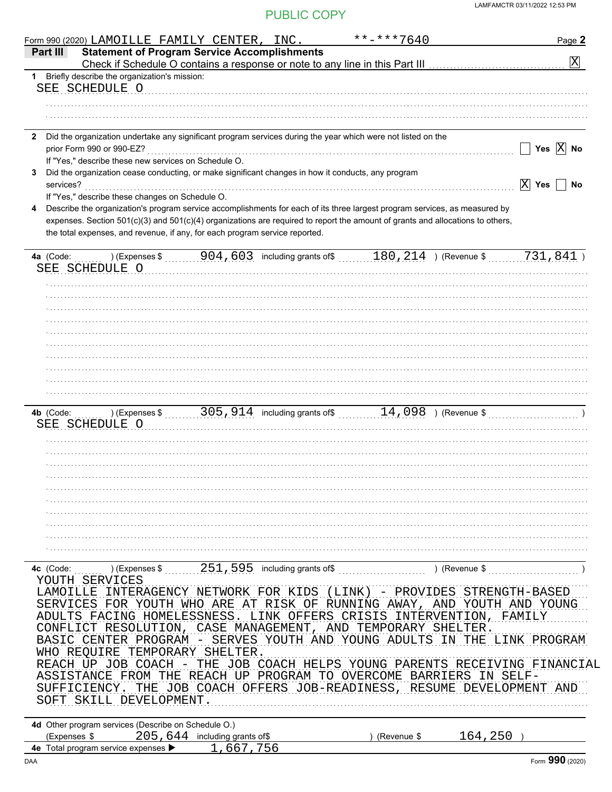|                      | Form 990 (2020) LAMOILLE FAMILY CENTER, INC.                                                                                                                                                                                                                 |                                 |                                 | **-***7640                                                     |                           | Page 2                |
|----------------------|--------------------------------------------------------------------------------------------------------------------------------------------------------------------------------------------------------------------------------------------------------------|---------------------------------|---------------------------------|----------------------------------------------------------------|---------------------------|-----------------------|
| Part III             | <b>Statement of Program Service Accomplishments</b>                                                                                                                                                                                                          |                                 |                                 |                                                                |                           | $\mathbf{X}$          |
|                      | Briefly describe the organization's mission:                                                                                                                                                                                                                 |                                 |                                 |                                                                |                           |                       |
|                      | SEE SCHEDULE O                                                                                                                                                                                                                                               |                                 |                                 |                                                                |                           |                       |
|                      |                                                                                                                                                                                                                                                              |                                 |                                 |                                                                |                           |                       |
|                      |                                                                                                                                                                                                                                                              |                                 |                                 |                                                                |                           |                       |
| $\mathbf{2}$         | Did the organization undertake any significant program services during the year which were not listed on the                                                                                                                                                 |                                 |                                 |                                                                |                           |                       |
|                      |                                                                                                                                                                                                                                                              |                                 |                                 |                                                                |                           | Yes $\overline{X}$ No |
|                      | If "Yes," describe these new services on Schedule O.                                                                                                                                                                                                         |                                 |                                 |                                                                |                           |                       |
| 3                    | Did the organization cease conducting, or make significant changes in how it conducts, any program                                                                                                                                                           |                                 |                                 |                                                                |                           |                       |
| services?            |                                                                                                                                                                                                                                                              |                                 |                                 |                                                                |                           | $X$ Yes<br><b>No</b>  |
|                      | If "Yes," describe these changes on Schedule O.                                                                                                                                                                                                              |                                 |                                 |                                                                |                           |                       |
|                      | Describe the organization's program service accomplishments for each of its three largest program services, as measured by<br>expenses. Section 501(c)(3) and 501(c)(4) organizations are required to report the amount of grants and allocations to others, |                                 |                                 |                                                                |                           |                       |
|                      | the total expenses, and revenue, if any, for each program service reported.                                                                                                                                                                                  |                                 |                                 |                                                                |                           |                       |
|                      |                                                                                                                                                                                                                                                              |                                 |                                 |                                                                |                           |                       |
|                      | 4a (Code:  ) (Expenses \$  904, 603 including grants of \$  180, 214 ) (Revenue \$  731, 841)                                                                                                                                                                |                                 |                                 |                                                                |                           |                       |
|                      | SEE SCHEDULE O                                                                                                                                                                                                                                               |                                 |                                 |                                                                |                           |                       |
|                      |                                                                                                                                                                                                                                                              |                                 |                                 |                                                                |                           |                       |
|                      |                                                                                                                                                                                                                                                              |                                 |                                 |                                                                |                           |                       |
|                      |                                                                                                                                                                                                                                                              |                                 |                                 |                                                                |                           |                       |
|                      |                                                                                                                                                                                                                                                              |                                 |                                 |                                                                |                           |                       |
|                      |                                                                                                                                                                                                                                                              |                                 |                                 |                                                                |                           |                       |
|                      |                                                                                                                                                                                                                                                              |                                 |                                 |                                                                |                           |                       |
|                      |                                                                                                                                                                                                                                                              |                                 |                                 |                                                                |                           |                       |
|                      |                                                                                                                                                                                                                                                              |                                 |                                 |                                                                |                           |                       |
|                      |                                                                                                                                                                                                                                                              |                                 |                                 |                                                                |                           |                       |
|                      |                                                                                                                                                                                                                                                              |                                 |                                 |                                                                |                           |                       |
|                      | SEE SCHEDULE O                                                                                                                                                                                                                                               |                                 |                                 |                                                                |                           |                       |
|                      |                                                                                                                                                                                                                                                              |                                 |                                 |                                                                |                           |                       |
|                      |                                                                                                                                                                                                                                                              |                                 |                                 |                                                                |                           |                       |
|                      |                                                                                                                                                                                                                                                              |                                 |                                 |                                                                |                           |                       |
|                      |                                                                                                                                                                                                                                                              |                                 |                                 |                                                                |                           |                       |
|                      |                                                                                                                                                                                                                                                              |                                 |                                 |                                                                |                           |                       |
|                      |                                                                                                                                                                                                                                                              |                                 |                                 |                                                                |                           |                       |
|                      |                                                                                                                                                                                                                                                              |                                 |                                 |                                                                |                           |                       |
|                      |                                                                                                                                                                                                                                                              |                                 |                                 |                                                                |                           |                       |
|                      |                                                                                                                                                                                                                                                              |                                 |                                 |                                                                |                           |                       |
|                      |                                                                                                                                                                                                                                                              |                                 |                                 |                                                                |                           |                       |
| 4c (Code:            | ) (Expenses \$                                                                                                                                                                                                                                               | 251,595                         | including grants of\$           |                                                                | ) (Revenue \$             |                       |
|                      | YOUTH SERVICES                                                                                                                                                                                                                                               |                                 |                                 |                                                                |                           |                       |
| LAMOILLE<br>SERVICES | FOR.                                                                                                                                                                                                                                                         | INTERAGENCY NETWORK FOR KIDS    |                                 | (LINK)<br>YOUTH WHO ARE AT RISK OF RUNNING AWAY, AND YOUTH AND | - PROVIDES STRENGTH-BASED | YOUNG                 |
|                      | ADULTS FACING                                                                                                                                                                                                                                                | HOMELESSNESS                    |                                 | LINK OFFERS CRISIS INTERVENTION,                               |                           | FAMILY                |
| CONFLICT             | RESOLUTION,                                                                                                                                                                                                                                                  | CASE                            |                                 | MANAGEMENT, AND TEMPORARY SHELTER                              |                           |                       |
| BASIC                | PROGRAM<br>CENTER                                                                                                                                                                                                                                            |                                 | SERVES YOUTH AND                | YOUNG ADULTS                                                   | THE<br>IN.                | LINK PROGRAM          |
|                      | REOUIRE                                                                                                                                                                                                                                                      | TEMPORARY SHELTER               |                                 |                                                                |                           |                       |
| REACH                | UP JOB COACH                                                                                                                                                                                                                                                 | THE                             |                                 | JOB COACH HELPS YOUNG PARENTS                                  | RECEIVING                 |                       |
| ASSISTANCE           | F.KOM<br>THE                                                                                                                                                                                                                                                 |                                 | REACH UP PROGRAM TO OVERCOME    |                                                                | BARRIERS IN SELF-         |                       |
|                      | <b>SUFFICIENCY</b><br>THE                                                                                                                                                                                                                                    |                                 | JOB COACH OFFERS JOB-READINESS, | RESUME                                                         |                           | DEVELOPMENT AND       |
|                      | SOFT SKILL DEVELOPMENT                                                                                                                                                                                                                                       |                                 |                                 |                                                                |                           |                       |
|                      | 4d Other program services (Describe on Schedule O.)                                                                                                                                                                                                          |                                 |                                 |                                                                |                           |                       |
| (Expenses \$         |                                                                                                                                                                                                                                                              | 205, 644 including grants of \$ |                                 | (Revenue \$                                                    | 164,250                   |                       |
|                      | 4e Total program service expenses ▶                                                                                                                                                                                                                          | ,667,756                        |                                 |                                                                |                           |                       |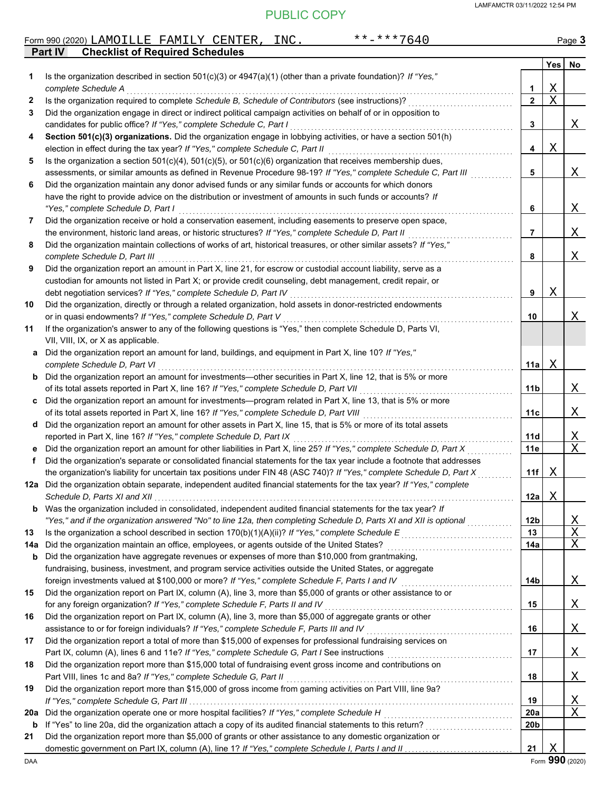|     | **-***7640<br>Form 990 (2020) LAMOILLE FAMILY CENTER,<br>INC.<br><b>Checklist of Required Schedules</b><br><b>Part IV</b>                                                                       |                    |            | Page 3   |
|-----|-------------------------------------------------------------------------------------------------------------------------------------------------------------------------------------------------|--------------------|------------|----------|
|     |                                                                                                                                                                                                 |                    | <b>Yes</b> | No       |
| 1   | Is the organization described in section $501(c)(3)$ or $4947(a)(1)$ (other than a private foundation)? If "Yes,"                                                                               |                    |            |          |
|     | complete Schedule A                                                                                                                                                                             | 1                  | Χ          |          |
| 2   | Is the organization required to complete Schedule B, Schedule of Contributors (see instructions)?                                                                                               | $\overline{2}$     | X          |          |
| 3   | Did the organization engage in direct or indirect political campaign activities on behalf of or in opposition to                                                                                |                    |            |          |
|     | candidates for public office? If "Yes," complete Schedule C, Part I                                                                                                                             | 3                  |            | X        |
| 4   | Section 501(c)(3) organizations. Did the organization engage in lobbying activities, or have a section 501(h)<br>election in effect during the tax year? If "Yes," complete Schedule C, Part II | 4                  | Χ          |          |
| 5   | Is the organization a section $501(c)(4)$ , $501(c)(5)$ , or $501(c)(6)$ organization that receives membership dues,                                                                            |                    |            |          |
|     | assessments, or similar amounts as defined in Revenue Procedure 98-19? If "Yes," complete Schedule C, Part III                                                                                  | 5                  |            | Χ        |
| 6   | Did the organization maintain any donor advised funds or any similar funds or accounts for which donors                                                                                         |                    |            |          |
|     | have the right to provide advice on the distribution or investment of amounts in such funds or accounts? If                                                                                     |                    |            |          |
|     | "Yes," complete Schedule D, Part I                                                                                                                                                              | 6                  |            | Χ        |
| 7   | Did the organization receive or hold a conservation easement, including easements to preserve open space,                                                                                       |                    |            |          |
|     | the environment, historic land areas, or historic structures? If "Yes," complete Schedule D, Part II                                                                                            | 7                  |            | Χ        |
| 8   | Did the organization maintain collections of works of art, historical treasures, or other similar assets? If "Yes,"                                                                             |                    |            |          |
|     | complete Schedule D, Part III                                                                                                                                                                   | 8                  |            | Χ        |
| 9   | Did the organization report an amount in Part X, line 21, for escrow or custodial account liability, serve as a                                                                                 |                    |            |          |
|     | custodian for amounts not listed in Part X; or provide credit counseling, debt management, credit repair, or                                                                                    |                    |            |          |
|     | debt negotiation services? If "Yes," complete Schedule D, Part IV                                                                                                                               | 9                  | Χ          |          |
| 10  | Did the organization, directly or through a related organization, hold assets in donor-restricted endowments                                                                                    |                    |            |          |
|     | or in quasi endowments? If "Yes," complete Schedule D, Part V                                                                                                                                   | 10                 |            | Χ        |
| 11  | If the organization's answer to any of the following questions is "Yes," then complete Schedule D, Parts VI,<br>VII, VIII, IX, or X as applicable.                                              |                    |            |          |
| a   | Did the organization report an amount for land, buildings, and equipment in Part X, line 10? If "Yes,"                                                                                          |                    |            |          |
|     | complete Schedule D, Part VI                                                                                                                                                                    | 11a                | Χ          |          |
|     | <b>b</b> Did the organization report an amount for investments—other securities in Part X, line 12, that is 5% or more                                                                          |                    |            |          |
|     | of its total assets reported in Part X, line 16? If "Yes," complete Schedule D, Part VII                                                                                                        | 11b                |            | X        |
| C   | Did the organization report an amount for investments—program related in Part X, line 13, that is 5% or more                                                                                    |                    |            |          |
|     | of its total assets reported in Part X, line 16? If "Yes," complete Schedule D, Part VIII                                                                                                       | 11c                |            | X        |
|     | d Did the organization report an amount for other assets in Part X, line 15, that is 5% or more of its total assets                                                                             |                    |            |          |
|     | reported in Part X, line 16? If "Yes," complete Schedule D, Part IX                                                                                                                             | 11d                |            | <u>X</u> |
| е   | Did the organization report an amount for other liabilities in Part X, line 25? If "Yes," complete Schedule D, Part X                                                                           | 11e                |            | X        |
|     | Did the organization's separate or consolidated financial statements for the tax year include a footnote that addresses                                                                         |                    |            |          |
|     | the organization's liability for uncertain tax positions under FIN 48 (ASC 740)? If "Yes," complete Schedule D, Part X                                                                          | 11f $\overline{X}$ |            |          |
|     | 12a Did the organization obtain separate, independent audited financial statements for the tax year? If "Yes," complete                                                                         |                    |            |          |
|     |                                                                                                                                                                                                 | 12a                | Χ          |          |
|     | <b>b</b> Was the organization included in consolidated, independent audited financial statements for the tax year? If                                                                           |                    |            |          |
|     | "Yes," and if the organization answered "No" to line 12a, then completing Schedule D, Parts XI and XII is optional                                                                              | 12b                |            | <u>X</u> |
| 13  | Is the organization a school described in section 170(b)(1)(A)(ii)? If "Yes," complete Schedule E                                                                                               | 13                 |            | Χ<br>Χ   |
| 14a | Did the organization maintain an office, employees, or agents outside of the United States?<br>Did the organization have aggregate revenues or expenses of more than \$10,000 from grantmaking, | 14a                |            |          |
| b   | fundraising, business, investment, and program service activities outside the United States, or aggregate                                                                                       |                    |            |          |
|     | foreign investments valued at \$100,000 or more? If "Yes," complete Schedule F, Parts I and IV [[[[[[[[[[[[[[[                                                                                  | 14b                |            | Χ        |
| 15  | Did the organization report on Part IX, column (A), line 3, more than \$5,000 of grants or other assistance to or                                                                               |                    |            |          |
|     | for any foreign organization? If "Yes," complete Schedule F, Parts II and IV                                                                                                                    | 15                 |            | Χ        |
| 16  | Did the organization report on Part IX, column (A), line 3, more than \$5,000 of aggregate grants or other                                                                                      |                    |            |          |
|     | assistance to or for foreign individuals? If "Yes," complete Schedule F, Parts III and IV                                                                                                       | 16                 |            | Χ        |
| 17  | Did the organization report a total of more than \$15,000 of expenses for professional fundraising services on                                                                                  |                    |            |          |
|     |                                                                                                                                                                                                 | 17                 |            | <u>X</u> |
| 18  | Did the organization report more than \$15,000 total of fundraising event gross income and contributions on                                                                                     |                    |            |          |
|     |                                                                                                                                                                                                 | 18                 |            | <u>X</u> |
| 19  | Did the organization report more than \$15,000 of gross income from gaming activities on Part VIII, line 9a?                                                                                    |                    |            |          |
|     |                                                                                                                                                                                                 | 19                 |            | <u>X</u> |
| 20a | Did the organization operate one or more hospital facilities? If "Yes," complete Schedule H                                                                                                     | 20a                |            | X        |
| b   |                                                                                                                                                                                                 | 20 <sub>b</sub>    |            |          |
| 21  | Did the organization report more than \$5,000 of grants or other assistance to any domestic organization or                                                                                     |                    |            |          |

domestic government on Part IX, column (A), line 1? If "Yes," complete Schedule I, Parts I and II

**21**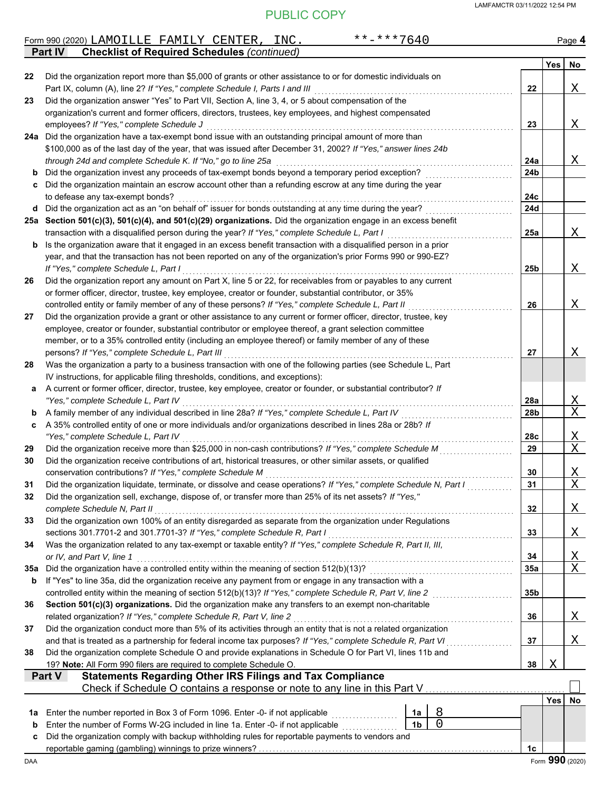|          | **-***7640<br>Form 990 (2020) LAMOILLE FAMILY CENTER, INC.                                                                                                                                                        |                 |     | Page 4                     |
|----------|-------------------------------------------------------------------------------------------------------------------------------------------------------------------------------------------------------------------|-----------------|-----|----------------------------|
|          | <b>Checklist of Required Schedules (continued)</b><br>Part IV                                                                                                                                                     |                 |     |                            |
|          |                                                                                                                                                                                                                   |                 | Yes | No                         |
| 22       | Did the organization report more than \$5,000 of grants or other assistance to or for domestic individuals on<br>Part IX, column (A), line 2? If "Yes," complete Schedule I, Parts I and III                      | 22              |     | X                          |
| 23       | Did the organization answer "Yes" to Part VII, Section A, line 3, 4, or 5 about compensation of the                                                                                                               |                 |     |                            |
|          | organization's current and former officers, directors, trustees, key employees, and highest compensated                                                                                                           |                 |     |                            |
|          | employees? If "Yes," complete Schedule J                                                                                                                                                                          | 23              |     | Χ                          |
|          | 24a Did the organization have a tax-exempt bond issue with an outstanding principal amount of more than                                                                                                           |                 |     |                            |
|          | \$100,000 as of the last day of the year, that was issued after December 31, 2002? If "Yes," answer lines 24b                                                                                                     |                 |     |                            |
|          | through 24d and complete Schedule K. If "No," go to line 25a                                                                                                                                                      | 24a             |     | Χ                          |
| b        | Did the organization invest any proceeds of tax-exempt bonds beyond a temporary period exception?                                                                                                                 | 24b             |     |                            |
| c        | Did the organization maintain an escrow account other than a refunding escrow at any time during the year                                                                                                         |                 |     |                            |
|          | to defease any tax-exempt bonds?                                                                                                                                                                                  | 24c             |     |                            |
| d        | Did the organization act as an "on behalf of" issuer for bonds outstanding at any time during the year?                                                                                                           | 24d             |     |                            |
|          | 25a Section 501(c)(3), 501(c)(4), and 501(c)(29) organizations. Did the organization engage in an excess benefit<br>transaction with a disqualified person during the year? If "Yes," complete Schedule L, Part I | 25a             |     | X                          |
| b        | Is the organization aware that it engaged in an excess benefit transaction with a disqualified person in a prior                                                                                                  |                 |     |                            |
|          | year, and that the transaction has not been reported on any of the organization's prior Forms 990 or 990-EZ?                                                                                                      |                 |     |                            |
|          | If "Yes," complete Schedule L, Part I                                                                                                                                                                             | 25b             |     | X                          |
| 26       | Did the organization report any amount on Part X, line 5 or 22, for receivables from or payables to any current                                                                                                   |                 |     |                            |
|          | or former officer, director, trustee, key employee, creator or founder, substantial contributor, or 35%                                                                                                           |                 |     |                            |
|          | controlled entity or family member of any of these persons? If "Yes," complete Schedule L, Part II                                                                                                                | 26              |     | X                          |
| 27       | Did the organization provide a grant or other assistance to any current or former officer, director, trustee, key                                                                                                 |                 |     |                            |
|          | employee, creator or founder, substantial contributor or employee thereof, a grant selection committee                                                                                                            |                 |     |                            |
|          | member, or to a 35% controlled entity (including an employee thereof) or family member of any of these                                                                                                            |                 |     |                            |
|          | persons? If "Yes," complete Schedule L, Part III                                                                                                                                                                  | 27              |     | Χ                          |
| 28       | Was the organization a party to a business transaction with one of the following parties (see Schedule L, Part                                                                                                    |                 |     |                            |
|          | IV instructions, for applicable filing thresholds, conditions, and exceptions):                                                                                                                                   |                 |     |                            |
| а        | A current or former officer, director, trustee, key employee, creator or founder, or substantial contributor? If<br>"Yes," complete Schedule L, Part IV                                                           | 28a             |     | <u>X</u>                   |
| b        | A family member of any individual described in line 28a? If "Yes," complete Schedule L, Part IV                                                                                                                   | 28 <sub>b</sub> |     | $\overline{X}$             |
| c        | A 35% controlled entity of one or more individuals and/or organizations described in lines 28a or 28b? If                                                                                                         |                 |     |                            |
|          | "Yes," complete Schedule L, Part IV                                                                                                                                                                               | 28c             |     | <u>X</u>                   |
| 29       | Did the organization receive more than \$25,000 in non-cash contributions? If "Yes," complete Schedule M                                                                                                          | 29              |     | $\overline{X}$             |
| 30       | Did the organization receive contributions of art, historical treasures, or other similar assets, or qualified                                                                                                    |                 |     |                            |
|          | conservation contributions? If "Yes," complete Schedule M                                                                                                                                                         | 30              |     | <u>X</u>                   |
| 31       | Did the organization liquidate, terminate, or dissolve and cease operations? If "Yes," complete Schedule N, Part I                                                                                                | 31              |     | $\overline{X}$             |
| 32       | Did the organization sell, exchange, dispose of, or transfer more than 25% of its net assets? If "Yes,"                                                                                                           |                 |     |                            |
|          | complete Schedule N, Part II                                                                                                                                                                                      | 32              |     | Χ                          |
| 33       | Did the organization own 100% of an entity disregarded as separate from the organization under Regulations                                                                                                        |                 |     |                            |
|          | sections 301.7701-2 and 301.7701-3? If "Yes," complete Schedule R, Part I                                                                                                                                         | 33              |     | Χ                          |
| 34       | Was the organization related to any tax-exempt or taxable entity? If "Yes," complete Schedule R, Part II, III,                                                                                                    |                 |     |                            |
|          | or IV, and Part V, line 1<br>Did the organization have a controlled entity within the meaning of section 512(b)(13)?                                                                                              | 34<br>35a       |     | <u>X</u><br>$\overline{X}$ |
| 35а<br>b | If "Yes" to line 35a, did the organization receive any payment from or engage in any transaction with a                                                                                                           |                 |     |                            |
|          | controlled entity within the meaning of section 512(b)(13)? If "Yes," complete Schedule R, Part V, line 2                                                                                                         | 35b             |     |                            |
| 36       | Section 501(c)(3) organizations. Did the organization make any transfers to an exempt non-charitable                                                                                                              |                 |     |                            |
|          | related organization? If "Yes," complete Schedule R, Part V, line 2                                                                                                                                               | 36              |     | Χ                          |
| 37       | Did the organization conduct more than 5% of its activities through an entity that is not a related organization                                                                                                  |                 |     |                            |
|          | and that is treated as a partnership for federal income tax purposes? If "Yes," complete Schedule R, Part VI                                                                                                      | 37              |     | Χ                          |
| 38       | Did the organization complete Schedule O and provide explanations in Schedule O for Part VI, lines 11b and                                                                                                        |                 |     |                            |
|          | 19? Note: All Form 990 filers are required to complete Schedule O.                                                                                                                                                | 38              | Χ   |                            |
|          | <b>Statements Regarding Other IRS Filings and Tax Compliance</b><br>Part V                                                                                                                                        |                 |     |                            |
|          | Check if Schedule O contains a response or note to any line in this Part V                                                                                                                                        |                 |     |                            |
|          |                                                                                                                                                                                                                   |                 | Yes | No                         |
| 1a       | 8<br>Enter the number reported in Box 3 of Form 1096. Enter -0- if not applicable<br>1a<br>$\overline{0}$<br>1 <sub>b</sub><br>Enter the number of Forms W-2G included in line 1a. Enter -0- if not applicable    |                 |     |                            |
| b<br>c   | Did the organization comply with backup withholding rules for reportable payments to vendors and                                                                                                                  |                 |     |                            |
|          |                                                                                                                                                                                                                   | 1c              |     |                            |
| DAA      |                                                                                                                                                                                                                   |                 |     | Form 990 (2020)            |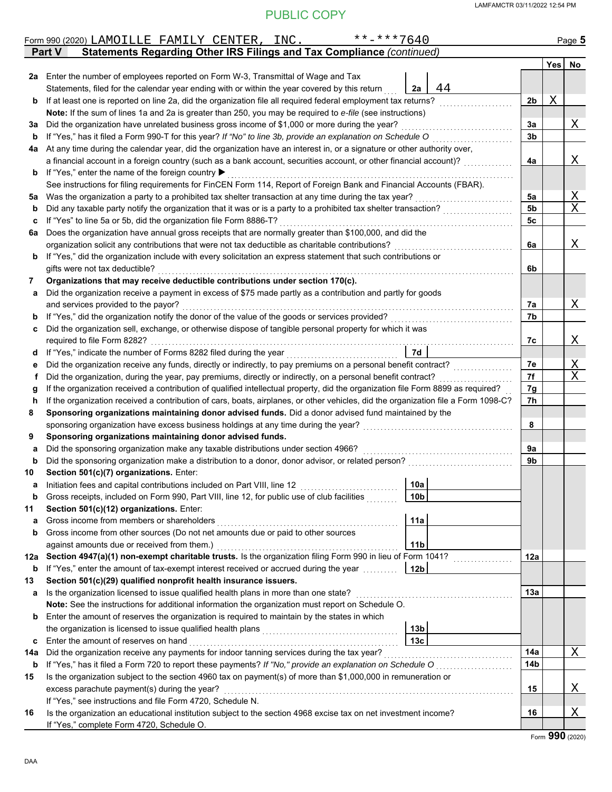|     | **-***7640<br>Form 990 (2020) LAMOILLE FAMILY CENTER, INC.<br>Statements Regarding Other IRS Filings and Tax Compliance (continued)<br><b>Part V</b>                                                        |                |     | Page 5 |
|-----|-------------------------------------------------------------------------------------------------------------------------------------------------------------------------------------------------------------|----------------|-----|--------|
|     |                                                                                                                                                                                                             |                | Yes | No     |
|     | 2a Enter the number of employees reported on Form W-3, Transmittal of Wage and Tax                                                                                                                          |                |     |        |
|     | 44<br>Statements, filed for the calendar year ending with or within the year covered by this return<br>2a                                                                                                   |                |     |        |
| b   | If at least one is reported on line 2a, did the organization file all required federal employment tax returns?                                                                                              | 2b             | Χ   |        |
|     | Note: If the sum of lines 1a and 2a is greater than 250, you may be required to e-file (see instructions)                                                                                                   |                |     |        |
| За  | Did the organization have unrelated business gross income of \$1,000 or more during the year?                                                                                                               | 3a             |     | Χ      |
| b   | If "Yes," has it filed a Form 990-T for this year? If "No" to line 3b, provide an explanation on Schedule O                                                                                                 | 3b             |     |        |
| 4a  | At any time during the calendar year, did the organization have an interest in, or a signature or other authority over,                                                                                     |                |     |        |
|     | a financial account in a foreign country (such as a bank account, securities account, or other financial account)?                                                                                          | 4a             |     | Χ      |
| b   | If "Yes," enter the name of the foreign country ▶                                                                                                                                                           |                |     |        |
|     | See instructions for filing requirements for FinCEN Form 114, Report of Foreign Bank and Financial Accounts (FBAR).                                                                                         |                |     |        |
| 5a  | Was the organization a party to a prohibited tax shelter transaction at any time during the tax year?                                                                                                       | 5a             |     | Χ      |
| b   | Did any taxable party notify the organization that it was or is a party to a prohibited tax shelter transaction?                                                                                            | 5 <sub>b</sub> |     | X      |
| c   | If "Yes" to line 5a or 5b, did the organization file Form 8886-T?                                                                                                                                           | 5c             |     |        |
| 6а  | Does the organization have annual gross receipts that are normally greater than \$100,000, and did the                                                                                                      |                |     |        |
|     | organization solicit any contributions that were not tax deductible as charitable contributions?                                                                                                            | 6a             |     | Χ      |
| b   | If "Yes," did the organization include with every solicitation an express statement that such contributions or                                                                                              |                |     |        |
|     | gifts were not tax deductible?                                                                                                                                                                              | 6b             |     |        |
| 7   | Organizations that may receive deductible contributions under section 170(c).                                                                                                                               |                |     |        |
| a   | Did the organization receive a payment in excess of \$75 made partly as a contribution and partly for goods                                                                                                 |                |     |        |
|     | and services provided to the payor?                                                                                                                                                                         | 7a             |     | Χ      |
| b   | If "Yes," did the organization notify the donor of the value of the goods or services provided?<br>Did the organization sell, exchange, or otherwise dispose of tangible personal property for which it was | 7b             |     |        |
| c   | required to file Form 8282?                                                                                                                                                                                 | 7c             |     | Χ      |
| d   | 7d<br>If "Yes," indicate the number of Forms 8282 filed during the year                                                                                                                                     |                |     |        |
| е   | Did the organization receive any funds, directly or indirectly, to pay premiums on a personal benefit contract?                                                                                             | 7e             |     | Χ      |
| f   | Did the organization, during the year, pay premiums, directly or indirectly, on a personal benefit contract?                                                                                                | 7f             |     | X      |
| g   | If the organization received a contribution of qualified intellectual property, did the organization file Form 8899 as required?                                                                            | 7g             |     |        |
| h.  | If the organization received a contribution of cars, boats, airplanes, or other vehicles, did the organization file a Form 1098-C?                                                                          | 7h             |     |        |
| 8   | Sponsoring organizations maintaining donor advised funds. Did a donor advised fund maintained by the                                                                                                        |                |     |        |
|     | sponsoring organization have excess business holdings at any time during the year?                                                                                                                          | 8              |     |        |
| 9   | Sponsoring organizations maintaining donor advised funds.                                                                                                                                                   |                |     |        |
| a   | Did the sponsoring organization make any taxable distributions under section 4966?                                                                                                                          | 9a             |     |        |
| b   | Did the sponsoring organization make a distribution to a donor, donor advisor, or related person?                                                                                                           | 9b             |     |        |
| 10  | Section 501(c)(7) organizations. Enter:                                                                                                                                                                     |                |     |        |
| а   | Initiation fees and capital contributions included on Part VIII, line 12<br>10a                                                                                                                             |                |     |        |
| b   | Gross receipts, included on Form 990, Part VIII, line 12, for public use of club facilities<br>10 <sub>b</sub>                                                                                              |                |     |        |
| 11  | Section 501(c)(12) organizations. Enter:                                                                                                                                                                    |                |     |        |
| a   | Gross income from members or shareholders<br>11a                                                                                                                                                            |                |     |        |
| b   | Gross income from other sources (Do not net amounts due or paid to other sources                                                                                                                            |                |     |        |
|     | against amounts due or received from them.)<br>11 <sub>b</sub>                                                                                                                                              |                |     |        |
| 12a | Section 4947(a)(1) non-exempt charitable trusts. Is the organization filing Form 990 in lieu of Form 1041?                                                                                                  | 12a            |     |        |
| b   | If "Yes," enter the amount of tax-exempt interest received or accrued during the year<br>12 <sub>b</sub>                                                                                                    |                |     |        |
| 13  | Section 501(c)(29) qualified nonprofit health insurance issuers.                                                                                                                                            | 13а            |     |        |
| а   | Is the organization licensed to issue qualified health plans in more than one state?<br>Note: See the instructions for additional information the organization must report on Schedule O.                   |                |     |        |
| b   | Enter the amount of reserves the organization is required to maintain by the states in which                                                                                                                |                |     |        |
|     | 13 <sub>b</sub>                                                                                                                                                                                             |                |     |        |
| c   | Enter the amount of reserves on hand<br>13с                                                                                                                                                                 |                |     |        |
| 14a | Did the organization receive any payments for indoor tanning services during the tax year?                                                                                                                  | 14a            |     | Χ      |
| b   | If "Yes," has it filed a Form 720 to report these payments? If "No," provide an explanation on Schedule O                                                                                                   | 14b            |     |        |
| 15  | Is the organization subject to the section 4960 tax on payment(s) of more than \$1,000,000 in remuneration or                                                                                               |                |     |        |
|     | excess parachute payment(s) during the year?                                                                                                                                                                | 15             |     | Χ      |
|     | If "Yes," see instructions and file Form 4720, Schedule N.                                                                                                                                                  |                |     |        |
| 16  | Is the organization an educational institution subject to the section 4968 excise tax on net investment income?                                                                                             | 16             |     | Χ      |
|     | If "Yes," complete Form 4720, Schedule O.                                                                                                                                                                   |                |     |        |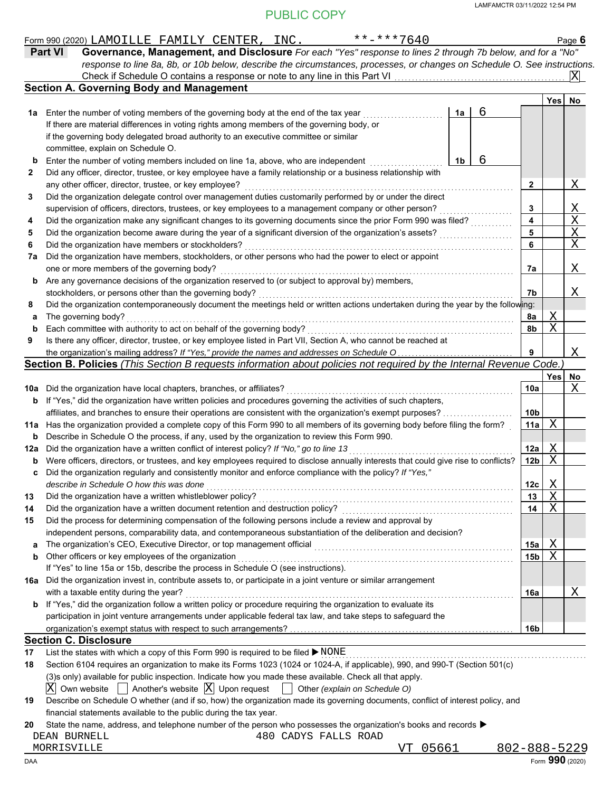| Form 990 (2020). | ---------<br>LAMOILLE | ________<br>FAMILY | CENTER | INC. | $\overline{ }$ | ، صد<br>aue' |
|------------------|-----------------------|--------------------|--------|------|----------------|--------------|
|                  |                       |                    |        |      |                |              |

|     | Part VI<br>Governance, Management, and Disclosure For each "Yes" response to lines 2 through 7b below, and for a "No"               |                 |     |                       |
|-----|-------------------------------------------------------------------------------------------------------------------------------------|-----------------|-----|-----------------------|
|     | response to line 8a, 8b, or 10b below, describe the circumstances, processes, or changes on Schedule O. See instructions.           |                 |     |                       |
|     | Check if Schedule O contains a response or note to any line in this Part VI                                                         |                 |     |                       |
|     | <b>Section A. Governing Body and Management</b>                                                                                     |                 |     |                       |
|     |                                                                                                                                     |                 | Yes | No                    |
| 1a  | 6<br>1a<br>Enter the number of voting members of the governing body at the end of the tax year                                      |                 |     |                       |
|     | If there are material differences in voting rights among members of the governing body, or                                          |                 |     |                       |
|     | if the governing body delegated broad authority to an executive committee or similar                                                |                 |     |                       |
|     | committee, explain on Schedule O.                                                                                                   |                 |     |                       |
| b   | 6<br>Enter the number of voting members included on line 1a, above, who are independent<br>1b                                       |                 |     |                       |
| 2   | Did any officer, director, trustee, or key employee have a family relationship or a business relationship with                      |                 |     |                       |
|     | any other officer, director, trustee, or key employee?                                                                              | 2               |     | Χ                     |
| 3   | Did the organization delegate control over management duties customarily performed by or under the direct                           |                 |     |                       |
|     | supervision of officers, directors, trustees, or key employees to a management company or other person?                             | 3               |     |                       |
| 4   | Did the organization make any significant changes to its governing documents since the prior Form 990 was filed?                    | 4               |     | $\frac{X}{X}$         |
| 5   | Did the organization become aware during the year of a significant diversion of the organization's assets?                          | 5               |     |                       |
| 6   | Did the organization have members or stockholders?                                                                                  | 6               |     | $\overline{\text{X}}$ |
| 7a  | Did the organization have members, stockholders, or other persons who had the power to elect or appoint                             |                 |     |                       |
|     | one or more members of the governing body?                                                                                          | 7a              |     | Χ                     |
| b   | Are any governance decisions of the organization reserved to (or subject to approval by) members,                                   |                 |     |                       |
|     | stockholders, or persons other than the governing body?                                                                             | 7b              |     | Χ                     |
| 8   | Did the organization contemporaneously document the meetings held or written actions undertaken during the year by the following:   |                 |     |                       |
| a   | The governing body?                                                                                                                 | 8a              | Χ   |                       |
| b   | Each committee with authority to act on behalf of the governing body?                                                               | 8b              | X   |                       |
| 9   | Is there any officer, director, trustee, or key employee listed in Part VII, Section A, who cannot be reached at                    |                 |     |                       |
|     | the organization's mailing address? If "Yes," provide the names and addresses on Schedule O                                         | 9               |     | X                     |
|     | Section B. Policies (This Section B requests information about policies not required by the Internal Revenue Code.                  |                 |     |                       |
|     |                                                                                                                                     |                 | Yes | No                    |
|     | 10a Did the organization have local chapters, branches, or affiliates?                                                              | 10a             |     | Χ                     |
| b   | If "Yes," did the organization have written policies and procedures governing the activities of such chapters,                      |                 |     |                       |
|     | affiliates, and branches to ensure their operations are consistent with the organization's exempt purposes?                         | 10 <sub>b</sub> |     |                       |
|     | 11a Has the organization provided a complete copy of this Form 990 to all members of its governing body before filing the form?     | 11a             | Χ   |                       |
| b   | Describe in Schedule O the process, if any, used by the organization to review this Form 990.                                       |                 |     |                       |
|     | 12a Did the organization have a written conflict of interest policy? If "No," go to line 13                                         | 12a             | Χ   |                       |
|     | Were officers, directors, or trustees, and key employees required to disclose annually interests that could give rise to conflicts? | 12 <sub>b</sub> | X   |                       |
|     | Did the organization regularly and consistently monitor and enforce compliance with the policy? If "Yes,"                           |                 |     |                       |
|     | describe in Schedule O how this was done                                                                                            | 12 <sub>c</sub> | Χ   |                       |
| 13  | Did the organization have a written whistleblower policy?                                                                           | 13              | X   |                       |
| 14  | Did the organization have a written document retention and destruction policy?                                                      | 14              | X   |                       |
| 15  | Did the process for determining compensation of the following persons include a review and approval by                              |                 |     |                       |
|     | independent persons, comparability data, and contemporaneous substantiation of the deliberation and decision?                       |                 |     |                       |
|     | The organization's CEO, Executive Director, or top management official                                                              | 15a             | Χ   |                       |
| b   | Other officers or key employees of the organization                                                                                 | 15b             | X   |                       |
|     | If "Yes" to line 15a or 15b, describe the process in Schedule O (see instructions).                                                 |                 |     |                       |
| 16a | Did the organization invest in, contribute assets to, or participate in a joint venture or similar arrangement                      |                 |     |                       |
|     | with a taxable entity during the year?                                                                                              | 16a             |     | Χ                     |
| b   | If "Yes," did the organization follow a written policy or procedure requiring the organization to evaluate its                      |                 |     |                       |
|     | participation in joint venture arrangements under applicable federal tax law, and take steps to safeguard the                       |                 |     |                       |
|     |                                                                                                                                     | 16b             |     |                       |
|     | <b>Section C. Disclosure</b>                                                                                                        |                 |     |                       |
| 17  | List the states with which a copy of this Form 990 is required to be filed $\blacktriangleright$ NONE                               |                 |     |                       |
| 18  | Section 6104 requires an organization to make its Forms 1023 (1024 or 1024-A, if applicable), 990, and 990-T (Section 501(c)        |                 |     |                       |
|     | (3)s only) available for public inspection. Indicate how you made these available. Check all that apply.                            |                 |     |                       |
|     | Another's website $ X $ Upon request<br>Own website<br>Other (explain on Schedule O)                                                |                 |     |                       |
| 19  | Describe on Schedule O whether (and if so, how) the organization made its governing documents, conflict of interest policy, and     |                 |     |                       |

financial statements available to the public during the tax year.

**20** State the name, address, and telephone number of the person who possesses the organization's books and records ▶

DEAN BURNELL 1999 180 480 CADYS FALLS ROAD MORRISVILLE

DAA Form **990** (2020)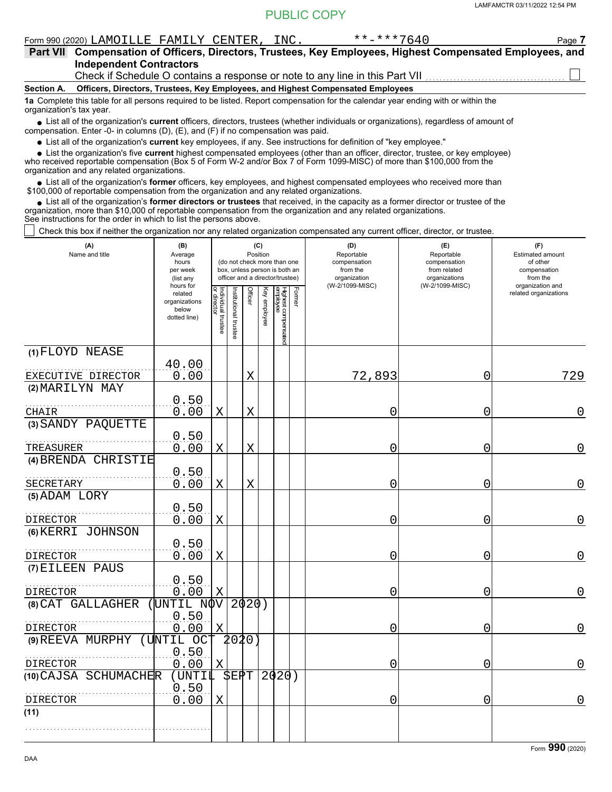| Form 990 (2020) LAMOILLE FAMILY CENTER, INC. |  | **-***7640                                                                                                | Page 7 |
|----------------------------------------------|--|-----------------------------------------------------------------------------------------------------------|--------|
| .                                            |  | Part VII Compensation of Officers, Directors, Trustees, Key Employees, Highest Compensated Employees, and |        |

**Independent Contractors** Check if Schedule O contains a response or note to any line in this Part VII

**Section A. Officers, Directors, Trustees, Key Employees, and Highest Compensated Employees**

**1a** Complete this table for all persons required to be listed. Report compensation for the calendar year ending with or within the organization's tax year.

■ List all of the organization's **current** officers, directors, trustees (whether individuals or organizations), regardless of amount of compensation. Enter -0- in columns (D), (E), and (F) if no compensation was paid.

List all of the organization's **current** key employees, if any. See instructions for definition of "key employee."

■ List all of the organization's **current** key employees, if any. See instructions for definition of "key employee."<br>■ List the organization's five **current** highest compensated employees (other than an officer, director,

who received reportable compensation (Box 5 of Form W-2 and/or Box 7 of Form 1099-MISC) of more than \$100,000 from the organization and any related organizations.

• List all of the organization's **former** officers, key employees, and highest compensated employees who received more than<br>00,000 of reportable compensation from the organization and any related organizations. \$100,000 of reportable compensation from the organization and any related organizations.

• List all of the organization's **former directors or trustees** that received, in the capacity as a former director or trustee of the prization more than \$10,000 of reportable compensation from the organization and any rel organization, more than \$10,000 of reportable compensation from the organization and any related organizations. See instructions for the order in which to list the persons above.

Check this box if neither the organization nor any related organization compensated any current officer, director, or trustee.

| (A)<br>Name and title                    | (B)<br>Average<br>hours<br>per week<br>(list any<br>hours for |                                   |                       | (C)<br>Position |              | (do not check more than one<br>box, unless person is both an<br>officer and a director/trustee) |        | (D)<br>Reportable<br>compensation<br>from the<br>organization<br>(W-2/1099-MISC) | (E)<br>Reportable<br>compensation<br>from related<br>organizations<br>(W-2/1099-MISC) | (F)<br>Estimated amount<br>of other<br>compensation<br>from the<br>organization and |
|------------------------------------------|---------------------------------------------------------------|-----------------------------------|-----------------------|-----------------|--------------|-------------------------------------------------------------------------------------------------|--------|----------------------------------------------------------------------------------|---------------------------------------------------------------------------------------|-------------------------------------------------------------------------------------|
|                                          | related<br>organizations<br>below<br>dotted line)             | Individual trustee<br>or director | Institutional trustee | Officer         | Key employee | Highest compensated<br>employee                                                                 | Former |                                                                                  |                                                                                       | related organizations                                                               |
| (1) FLOYD NEASE                          | 40.00                                                         |                                   |                       |                 |              |                                                                                                 |        |                                                                                  |                                                                                       |                                                                                     |
| EXECUTIVE DIRECTOR                       | 0.00                                                          |                                   |                       | $\mathbf X$     |              |                                                                                                 |        | 72,893                                                                           | 0                                                                                     | 729                                                                                 |
| (2) MARILYN MAY                          |                                                               |                                   |                       |                 |              |                                                                                                 |        |                                                                                  |                                                                                       |                                                                                     |
|                                          | 0.50                                                          |                                   |                       |                 |              |                                                                                                 |        |                                                                                  |                                                                                       |                                                                                     |
| CHAIR                                    | 0.00                                                          | X                                 |                       | X               |              |                                                                                                 |        | 0                                                                                | 0                                                                                     | $\overline{0}$                                                                      |
| (3) SANDY PAQUETTE                       | 0.50                                                          |                                   |                       |                 |              |                                                                                                 |        |                                                                                  |                                                                                       |                                                                                     |
| TREASURER                                | 0.00                                                          | $\mathbf X$                       |                       | $\mathbf X$     |              |                                                                                                 |        | 0                                                                                | 0                                                                                     | $\mathbf 0$                                                                         |
| (4) BRENDA CHRISTIE                      |                                                               |                                   |                       |                 |              |                                                                                                 |        |                                                                                  |                                                                                       |                                                                                     |
|                                          | 0.50                                                          |                                   |                       |                 |              |                                                                                                 |        |                                                                                  |                                                                                       |                                                                                     |
| SECRETARY                                | 0.00                                                          | $\mathbf X$                       |                       | $\mathbf X$     |              |                                                                                                 |        | 0                                                                                | 0                                                                                     | $\overline{0}$                                                                      |
| (5) ADAM LORY                            | 0.50                                                          |                                   |                       |                 |              |                                                                                                 |        |                                                                                  |                                                                                       |                                                                                     |
| <b>DIRECTOR</b>                          | 0.00                                                          | X                                 |                       |                 |              |                                                                                                 |        | 0                                                                                | 0                                                                                     | $\mathbf 0$                                                                         |
| (6) KERRI JOHNSON                        |                                                               |                                   |                       |                 |              |                                                                                                 |        |                                                                                  |                                                                                       |                                                                                     |
|                                          | 0.50                                                          |                                   |                       |                 |              |                                                                                                 |        |                                                                                  |                                                                                       |                                                                                     |
| <b>DIRECTOR</b>                          | 0.00                                                          | X                                 |                       |                 |              |                                                                                                 |        | 0                                                                                | 0                                                                                     | $\overline{0}$                                                                      |
| (7) EILEEN PAUS                          |                                                               |                                   |                       |                 |              |                                                                                                 |        |                                                                                  |                                                                                       |                                                                                     |
| <b>DIRECTOR</b>                          | 0.50<br>0.00                                                  |                                   |                       |                 |              |                                                                                                 |        | 0                                                                                | 0                                                                                     | $\overline{0}$                                                                      |
| (8) CAT GALLAGHER                        | UNTIL NØV                                                     | Χ                                 |                       | 2020)           |              |                                                                                                 |        |                                                                                  |                                                                                       |                                                                                     |
|                                          | 0.50                                                          |                                   |                       |                 |              |                                                                                                 |        |                                                                                  |                                                                                       |                                                                                     |
| <b>DIRECTOR</b>                          | 0.00                                                          | X                                 |                       |                 |              |                                                                                                 |        | 0                                                                                | 0                                                                                     | $\mathbf 0$                                                                         |
| (9) REEVA MURPHY                         | (UNTIL<br>OCT                                                 |                                   | 2020                  |                 |              |                                                                                                 |        |                                                                                  |                                                                                       |                                                                                     |
|                                          | 0.50                                                          |                                   |                       |                 |              |                                                                                                 |        |                                                                                  |                                                                                       |                                                                                     |
| <b>DIRECTOR</b><br>(10) CAJSA SCHUMACHER | 0.00<br>(UNTIL                                                | X                                 | <b>SEPT</b>           |                 |              | 2020)                                                                                           |        | 0                                                                                | 0                                                                                     | $\mathbf 0$                                                                         |
|                                          | 0.50                                                          |                                   |                       |                 |              |                                                                                                 |        |                                                                                  |                                                                                       |                                                                                     |
| DIRECTOR                                 | 0.00                                                          | $\mathbf X$                       |                       |                 |              |                                                                                                 |        | 0                                                                                | 0                                                                                     | $\overline{0}$                                                                      |
| (11)                                     |                                                               |                                   |                       |                 |              |                                                                                                 |        |                                                                                  |                                                                                       |                                                                                     |
|                                          |                                                               |                                   |                       |                 |              |                                                                                                 |        |                                                                                  |                                                                                       |                                                                                     |
|                                          |                                                               |                                   |                       |                 |              |                                                                                                 |        |                                                                                  |                                                                                       |                                                                                     |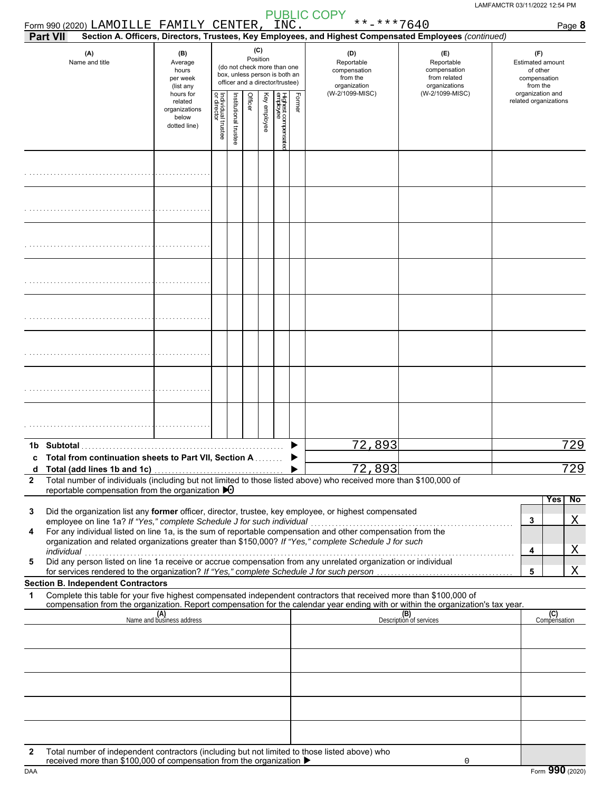|              | Form 990 (2020) LAMOILLE FAMILY CENTER, INC.                                                                                                                                                                                                                                                                                                                                                                                                                                                                                                                                                                     |                                                                |                                   |                      |         |                 |                                                                                                 |        | **-***7640                                                    |                                                                                                        | Page 8                                                          |
|--------------|------------------------------------------------------------------------------------------------------------------------------------------------------------------------------------------------------------------------------------------------------------------------------------------------------------------------------------------------------------------------------------------------------------------------------------------------------------------------------------------------------------------------------------------------------------------------------------------------------------------|----------------------------------------------------------------|-----------------------------------|----------------------|---------|-----------------|-------------------------------------------------------------------------------------------------|--------|---------------------------------------------------------------|--------------------------------------------------------------------------------------------------------|-----------------------------------------------------------------|
|              | <b>Part VII</b>                                                                                                                                                                                                                                                                                                                                                                                                                                                                                                                                                                                                  |                                                                |                                   |                      |         |                 |                                                                                                 |        |                                                               | Section A. Officers, Directors, Trustees, Key Employees, and Highest Compensated Employees (continued) |                                                                 |
|              | (A)<br>Name and title                                                                                                                                                                                                                                                                                                                                                                                                                                                                                                                                                                                            | (B)<br>Average<br>hours<br>per week<br>(list any               |                                   |                      |         | (C)<br>Position | (do not check more than one<br>box, unless person is both an<br>officer and a director/trustee) |        | (D)<br>Reportable<br>compensation<br>from the<br>organization | (E)<br>Reportable<br>compensation<br>from related<br>organizations                                     | (F)<br>Estimated amount<br>of other<br>compensation<br>from the |
|              |                                                                                                                                                                                                                                                                                                                                                                                                                                                                                                                                                                                                                  | hours for<br>related<br>organizations<br>below<br>dotted line) | Individual trustee<br>or director | nstitutional trustee | Officer | Key employee    | Highest compensatec<br>employee                                                                 | Former | (W-2/1099-MISC)                                               | (W-2/1099-MISC)                                                                                        | organization and<br>related organizations                       |
|              |                                                                                                                                                                                                                                                                                                                                                                                                                                                                                                                                                                                                                  |                                                                |                                   |                      |         |                 |                                                                                                 |        |                                                               |                                                                                                        |                                                                 |
|              |                                                                                                                                                                                                                                                                                                                                                                                                                                                                                                                                                                                                                  |                                                                |                                   |                      |         |                 |                                                                                                 |        |                                                               |                                                                                                        |                                                                 |
|              |                                                                                                                                                                                                                                                                                                                                                                                                                                                                                                                                                                                                                  |                                                                |                                   |                      |         |                 |                                                                                                 |        |                                                               |                                                                                                        |                                                                 |
|              |                                                                                                                                                                                                                                                                                                                                                                                                                                                                                                                                                                                                                  |                                                                |                                   |                      |         |                 |                                                                                                 |        |                                                               |                                                                                                        |                                                                 |
|              |                                                                                                                                                                                                                                                                                                                                                                                                                                                                                                                                                                                                                  |                                                                |                                   |                      |         |                 |                                                                                                 |        |                                                               |                                                                                                        |                                                                 |
|              |                                                                                                                                                                                                                                                                                                                                                                                                                                                                                                                                                                                                                  |                                                                |                                   |                      |         |                 |                                                                                                 |        |                                                               |                                                                                                        |                                                                 |
|              |                                                                                                                                                                                                                                                                                                                                                                                                                                                                                                                                                                                                                  |                                                                |                                   |                      |         |                 |                                                                                                 |        |                                                               |                                                                                                        |                                                                 |
|              |                                                                                                                                                                                                                                                                                                                                                                                                                                                                                                                                                                                                                  |                                                                |                                   |                      |         |                 |                                                                                                 |        |                                                               |                                                                                                        |                                                                 |
| c            | 1b Subtotal<br>Total from continuation sheets to Part VII, Section A manuscript                                                                                                                                                                                                                                                                                                                                                                                                                                                                                                                                  |                                                                |                                   |                      |         |                 |                                                                                                 |        | 72,893                                                        |                                                                                                        | 729<br>729                                                      |
| $\mathbf{2}$ | Total number of individuals (including but not limited to those listed above) who received more than \$100,000 of<br>reportable compensation from the organization $\blacktriangleright$ 0                                                                                                                                                                                                                                                                                                                                                                                                                       |                                                                |                                   |                      |         |                 |                                                                                                 |        | 72,893                                                        |                                                                                                        |                                                                 |
| 3<br>4       | Did the organization list any former officer, director, trustee, key employee, or highest compensated<br>employee on line 1a? If "Yes," complete Schedule J for such individual<br>employee on line 1a? If "Yes," complete Schedule J for such individual<br>For any individual listed on line 1a, is the sum of reportable compensation and other compensation from the<br>organization and related organizations greater than \$150,000? If "Yes," complete Schedule J for such<br>individual<br>Did any person listed on line 1a receive or accrue compensation from any unrelated organization or individual |                                                                |                                   |                      |         |                 |                                                                                                 |        |                                                               |                                                                                                        | Yes<br>No<br>Χ<br>3<br>X<br>4                                   |
| 5            | for services rendered to the organization? If "Yes," complete Schedule J for such person.                                                                                                                                                                                                                                                                                                                                                                                                                                                                                                                        |                                                                |                                   |                      |         |                 |                                                                                                 |        |                                                               |                                                                                                        | 5<br>Χ                                                          |
| 1            | <b>Section B. Independent Contractors</b><br>Complete this table for your five highest compensated independent contractors that received more than \$100,000 of<br>compensation from the organization. Report compensation for the calendar year ending with or within the organization's tax year.                                                                                                                                                                                                                                                                                                              |                                                                |                                   |                      |         |                 |                                                                                                 |        |                                                               |                                                                                                        |                                                                 |
|              |                                                                                                                                                                                                                                                                                                                                                                                                                                                                                                                                                                                                                  | (A)<br>Name and business address                               |                                   |                      |         |                 |                                                                                                 |        |                                                               | (B)<br>Description of services                                                                         | (C)<br>Compensation                                             |
|              |                                                                                                                                                                                                                                                                                                                                                                                                                                                                                                                                                                                                                  |                                                                |                                   |                      |         |                 |                                                                                                 |        |                                                               |                                                                                                        |                                                                 |
|              |                                                                                                                                                                                                                                                                                                                                                                                                                                                                                                                                                                                                                  |                                                                |                                   |                      |         |                 |                                                                                                 |        |                                                               |                                                                                                        |                                                                 |
|              |                                                                                                                                                                                                                                                                                                                                                                                                                                                                                                                                                                                                                  |                                                                |                                   |                      |         |                 |                                                                                                 |        |                                                               |                                                                                                        |                                                                 |
| 2            | Total number of independent contractors (including but not limited to those listed above) who<br>received more than \$100,000 of compensation from the organization ▶                                                                                                                                                                                                                                                                                                                                                                                                                                            |                                                                |                                   |                      |         |                 |                                                                                                 |        |                                                               | 0                                                                                                      |                                                                 |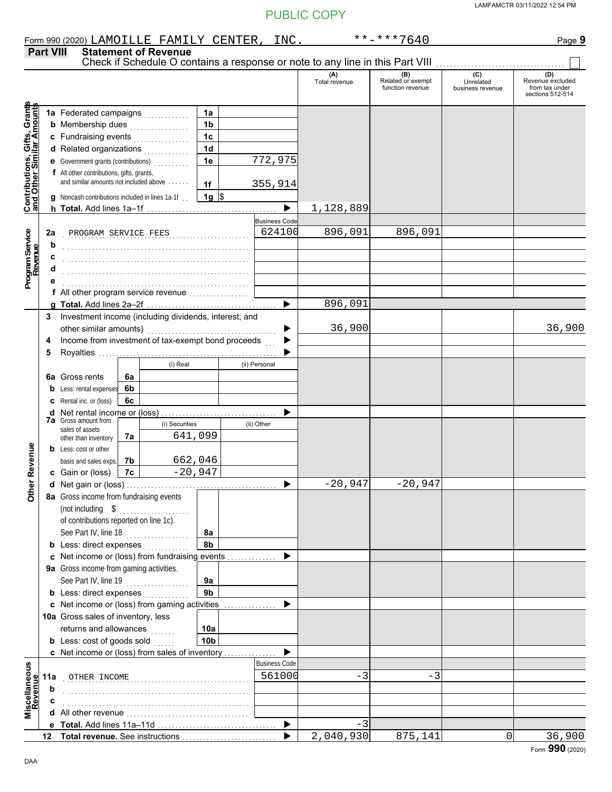| <b>Statement of Revenue</b><br><b>Part VIII</b><br>Check if Schedule O contains a response or note to any line in this Part VIII<br>$\overline{C}$<br>(A)<br>(D)<br>(B)<br>Related or exempt<br>Revenue excluded<br>Unrelated<br>Total revenue<br>function revenue<br>from tax under<br>business revenue<br>sections 512-514<br>Contributions, Gifts, Grants<br>and Other Similar Amounts<br>1a Federated campaigns<br>1a<br><b>b</b> Membership dues<br>1 <sub>b</sub><br>.<br>c Fundraising events<br>1 <sub>c</sub><br><u>.</u><br>1986 - Paul Barbara, papa pada ang pangangang pang<br>d Related organizations<br>1 <sub>d</sub><br>772,975<br><b>e</b> Government grants (contributions)<br>1e<br>f All other contributions, gifts, grants,<br>and similar amounts not included above<br>355,914<br>1f<br>$1g \,$ \$<br><b>q</b> Noncash contributions included in lines 1a-1f<br>$\blacktriangleright$<br>1,128,889<br><b>Business Code</b><br>624100<br>896,091<br>896,091<br>Program Service<br>Revenue<br>2a<br>PROGRAM SERVICE FEES<br>b<br>f All other program service revenue<br>896,091<br>$\blacktriangleright$<br>Investment income (including dividends, interest, and<br>3.<br>36,900<br>36,900<br>other similar amounts)<br>Income from investment of tax-exempt bond proceeds<br>4<br>5<br>(i) Real<br>(ii) Personal<br>Gross rents<br>6a<br>6а<br>Less: rental expenses<br>6b<br>b<br>6c<br>Rental inc. or (loss)<br>d<br><b>7a</b> Gross amount from<br>(i) Securities<br>(ii) Other<br>sales of assets<br>641,099<br>7a<br>other than inventory<br>Revenue<br><b>b</b> Less: cost or other<br>662,046<br>basis and sales exps.<br>7b<br>$-20,947$<br>c Gain or (loss)<br>7c<br>$-20,947$<br>$-20,947$<br>Other<br>8a Gross income from fundraising events<br>(not including \$<br>.<br>of contributions reported on line 1c).<br>See Part IV, line 18<br>8a<br><b>b</b> Less: direct expenses<br>8b<br>Net income or (loss) from fundraising events<br>c<br>9a Gross income from gaming activities.<br>See Part IV, line 19<br>9a<br>.<br><b>b</b> Less: direct expenses<br>9 <sub>b</sub><br>c Net income or (loss) from gaming activities<br>10a Gross sales of inventory, less<br>returns and allowances<br>10a<br><b>b</b> Less: cost of goods sold<br>10 <sub>b</sub><br>c Net income or (loss) from sales of inventory<br><b>Business Code</b><br>Miscellaneous<br>Revenue<br>561000<br>-3<br>-3<br>11a<br>OTHER INCOME<br>b<br><b>d</b> All other revenue $\ldots$ $\ldots$ $\ldots$ $\ldots$ $\ldots$ $\ldots$<br>$-3$<br>▶<br>36,900<br>2,040,930<br>875,141<br>$\mathbf 0$ |  | Form 990 (2020) LAMOILLE FAMILY CENTER, INC. |  |  |  |  | **-***7640 | Page 9 |
|-------------------------------------------------------------------------------------------------------------------------------------------------------------------------------------------------------------------------------------------------------------------------------------------------------------------------------------------------------------------------------------------------------------------------------------------------------------------------------------------------------------------------------------------------------------------------------------------------------------------------------------------------------------------------------------------------------------------------------------------------------------------------------------------------------------------------------------------------------------------------------------------------------------------------------------------------------------------------------------------------------------------------------------------------------------------------------------------------------------------------------------------------------------------------------------------------------------------------------------------------------------------------------------------------------------------------------------------------------------------------------------------------------------------------------------------------------------------------------------------------------------------------------------------------------------------------------------------------------------------------------------------------------------------------------------------------------------------------------------------------------------------------------------------------------------------------------------------------------------------------------------------------------------------------------------------------------------------------------------------------------------------------------------------------------------------------------------------------------------------------------------------------------------------------------------------------------------------------------------------------------------------------------------------------------------------------------------------------------------------------------------------------------------------------------------------------------------------------------------------------------------------------------------------------------------------------------------------------------------|--|----------------------------------------------|--|--|--|--|------------|--------|
|                                                                                                                                                                                                                                                                                                                                                                                                                                                                                                                                                                                                                                                                                                                                                                                                                                                                                                                                                                                                                                                                                                                                                                                                                                                                                                                                                                                                                                                                                                                                                                                                                                                                                                                                                                                                                                                                                                                                                                                                                                                                                                                                                                                                                                                                                                                                                                                                                                                                                                                                                                                                             |  |                                              |  |  |  |  |            |        |
|                                                                                                                                                                                                                                                                                                                                                                                                                                                                                                                                                                                                                                                                                                                                                                                                                                                                                                                                                                                                                                                                                                                                                                                                                                                                                                                                                                                                                                                                                                                                                                                                                                                                                                                                                                                                                                                                                                                                                                                                                                                                                                                                                                                                                                                                                                                                                                                                                                                                                                                                                                                                             |  |                                              |  |  |  |  |            |        |
|                                                                                                                                                                                                                                                                                                                                                                                                                                                                                                                                                                                                                                                                                                                                                                                                                                                                                                                                                                                                                                                                                                                                                                                                                                                                                                                                                                                                                                                                                                                                                                                                                                                                                                                                                                                                                                                                                                                                                                                                                                                                                                                                                                                                                                                                                                                                                                                                                                                                                                                                                                                                             |  |                                              |  |  |  |  |            |        |
|                                                                                                                                                                                                                                                                                                                                                                                                                                                                                                                                                                                                                                                                                                                                                                                                                                                                                                                                                                                                                                                                                                                                                                                                                                                                                                                                                                                                                                                                                                                                                                                                                                                                                                                                                                                                                                                                                                                                                                                                                                                                                                                                                                                                                                                                                                                                                                                                                                                                                                                                                                                                             |  |                                              |  |  |  |  |            |        |
|                                                                                                                                                                                                                                                                                                                                                                                                                                                                                                                                                                                                                                                                                                                                                                                                                                                                                                                                                                                                                                                                                                                                                                                                                                                                                                                                                                                                                                                                                                                                                                                                                                                                                                                                                                                                                                                                                                                                                                                                                                                                                                                                                                                                                                                                                                                                                                                                                                                                                                                                                                                                             |  |                                              |  |  |  |  |            |        |
|                                                                                                                                                                                                                                                                                                                                                                                                                                                                                                                                                                                                                                                                                                                                                                                                                                                                                                                                                                                                                                                                                                                                                                                                                                                                                                                                                                                                                                                                                                                                                                                                                                                                                                                                                                                                                                                                                                                                                                                                                                                                                                                                                                                                                                                                                                                                                                                                                                                                                                                                                                                                             |  |                                              |  |  |  |  |            |        |
|                                                                                                                                                                                                                                                                                                                                                                                                                                                                                                                                                                                                                                                                                                                                                                                                                                                                                                                                                                                                                                                                                                                                                                                                                                                                                                                                                                                                                                                                                                                                                                                                                                                                                                                                                                                                                                                                                                                                                                                                                                                                                                                                                                                                                                                                                                                                                                                                                                                                                                                                                                                                             |  |                                              |  |  |  |  |            |        |
|                                                                                                                                                                                                                                                                                                                                                                                                                                                                                                                                                                                                                                                                                                                                                                                                                                                                                                                                                                                                                                                                                                                                                                                                                                                                                                                                                                                                                                                                                                                                                                                                                                                                                                                                                                                                                                                                                                                                                                                                                                                                                                                                                                                                                                                                                                                                                                                                                                                                                                                                                                                                             |  |                                              |  |  |  |  |            |        |
|                                                                                                                                                                                                                                                                                                                                                                                                                                                                                                                                                                                                                                                                                                                                                                                                                                                                                                                                                                                                                                                                                                                                                                                                                                                                                                                                                                                                                                                                                                                                                                                                                                                                                                                                                                                                                                                                                                                                                                                                                                                                                                                                                                                                                                                                                                                                                                                                                                                                                                                                                                                                             |  |                                              |  |  |  |  |            |        |
|                                                                                                                                                                                                                                                                                                                                                                                                                                                                                                                                                                                                                                                                                                                                                                                                                                                                                                                                                                                                                                                                                                                                                                                                                                                                                                                                                                                                                                                                                                                                                                                                                                                                                                                                                                                                                                                                                                                                                                                                                                                                                                                                                                                                                                                                                                                                                                                                                                                                                                                                                                                                             |  |                                              |  |  |  |  |            |        |
|                                                                                                                                                                                                                                                                                                                                                                                                                                                                                                                                                                                                                                                                                                                                                                                                                                                                                                                                                                                                                                                                                                                                                                                                                                                                                                                                                                                                                                                                                                                                                                                                                                                                                                                                                                                                                                                                                                                                                                                                                                                                                                                                                                                                                                                                                                                                                                                                                                                                                                                                                                                                             |  |                                              |  |  |  |  |            |        |
|                                                                                                                                                                                                                                                                                                                                                                                                                                                                                                                                                                                                                                                                                                                                                                                                                                                                                                                                                                                                                                                                                                                                                                                                                                                                                                                                                                                                                                                                                                                                                                                                                                                                                                                                                                                                                                                                                                                                                                                                                                                                                                                                                                                                                                                                                                                                                                                                                                                                                                                                                                                                             |  |                                              |  |  |  |  |            |        |
|                                                                                                                                                                                                                                                                                                                                                                                                                                                                                                                                                                                                                                                                                                                                                                                                                                                                                                                                                                                                                                                                                                                                                                                                                                                                                                                                                                                                                                                                                                                                                                                                                                                                                                                                                                                                                                                                                                                                                                                                                                                                                                                                                                                                                                                                                                                                                                                                                                                                                                                                                                                                             |  |                                              |  |  |  |  |            |        |
|                                                                                                                                                                                                                                                                                                                                                                                                                                                                                                                                                                                                                                                                                                                                                                                                                                                                                                                                                                                                                                                                                                                                                                                                                                                                                                                                                                                                                                                                                                                                                                                                                                                                                                                                                                                                                                                                                                                                                                                                                                                                                                                                                                                                                                                                                                                                                                                                                                                                                                                                                                                                             |  |                                              |  |  |  |  |            |        |
|                                                                                                                                                                                                                                                                                                                                                                                                                                                                                                                                                                                                                                                                                                                                                                                                                                                                                                                                                                                                                                                                                                                                                                                                                                                                                                                                                                                                                                                                                                                                                                                                                                                                                                                                                                                                                                                                                                                                                                                                                                                                                                                                                                                                                                                                                                                                                                                                                                                                                                                                                                                                             |  |                                              |  |  |  |  |            |        |
|                                                                                                                                                                                                                                                                                                                                                                                                                                                                                                                                                                                                                                                                                                                                                                                                                                                                                                                                                                                                                                                                                                                                                                                                                                                                                                                                                                                                                                                                                                                                                                                                                                                                                                                                                                                                                                                                                                                                                                                                                                                                                                                                                                                                                                                                                                                                                                                                                                                                                                                                                                                                             |  |                                              |  |  |  |  |            |        |
|                                                                                                                                                                                                                                                                                                                                                                                                                                                                                                                                                                                                                                                                                                                                                                                                                                                                                                                                                                                                                                                                                                                                                                                                                                                                                                                                                                                                                                                                                                                                                                                                                                                                                                                                                                                                                                                                                                                                                                                                                                                                                                                                                                                                                                                                                                                                                                                                                                                                                                                                                                                                             |  |                                              |  |  |  |  |            |        |
|                                                                                                                                                                                                                                                                                                                                                                                                                                                                                                                                                                                                                                                                                                                                                                                                                                                                                                                                                                                                                                                                                                                                                                                                                                                                                                                                                                                                                                                                                                                                                                                                                                                                                                                                                                                                                                                                                                                                                                                                                                                                                                                                                                                                                                                                                                                                                                                                                                                                                                                                                                                                             |  |                                              |  |  |  |  |            |        |
|                                                                                                                                                                                                                                                                                                                                                                                                                                                                                                                                                                                                                                                                                                                                                                                                                                                                                                                                                                                                                                                                                                                                                                                                                                                                                                                                                                                                                                                                                                                                                                                                                                                                                                                                                                                                                                                                                                                                                                                                                                                                                                                                                                                                                                                                                                                                                                                                                                                                                                                                                                                                             |  |                                              |  |  |  |  |            |        |
|                                                                                                                                                                                                                                                                                                                                                                                                                                                                                                                                                                                                                                                                                                                                                                                                                                                                                                                                                                                                                                                                                                                                                                                                                                                                                                                                                                                                                                                                                                                                                                                                                                                                                                                                                                                                                                                                                                                                                                                                                                                                                                                                                                                                                                                                                                                                                                                                                                                                                                                                                                                                             |  |                                              |  |  |  |  |            |        |
|                                                                                                                                                                                                                                                                                                                                                                                                                                                                                                                                                                                                                                                                                                                                                                                                                                                                                                                                                                                                                                                                                                                                                                                                                                                                                                                                                                                                                                                                                                                                                                                                                                                                                                                                                                                                                                                                                                                                                                                                                                                                                                                                                                                                                                                                                                                                                                                                                                                                                                                                                                                                             |  |                                              |  |  |  |  |            |        |
|                                                                                                                                                                                                                                                                                                                                                                                                                                                                                                                                                                                                                                                                                                                                                                                                                                                                                                                                                                                                                                                                                                                                                                                                                                                                                                                                                                                                                                                                                                                                                                                                                                                                                                                                                                                                                                                                                                                                                                                                                                                                                                                                                                                                                                                                                                                                                                                                                                                                                                                                                                                                             |  |                                              |  |  |  |  |            |        |
|                                                                                                                                                                                                                                                                                                                                                                                                                                                                                                                                                                                                                                                                                                                                                                                                                                                                                                                                                                                                                                                                                                                                                                                                                                                                                                                                                                                                                                                                                                                                                                                                                                                                                                                                                                                                                                                                                                                                                                                                                                                                                                                                                                                                                                                                                                                                                                                                                                                                                                                                                                                                             |  |                                              |  |  |  |  |            |        |
|                                                                                                                                                                                                                                                                                                                                                                                                                                                                                                                                                                                                                                                                                                                                                                                                                                                                                                                                                                                                                                                                                                                                                                                                                                                                                                                                                                                                                                                                                                                                                                                                                                                                                                                                                                                                                                                                                                                                                                                                                                                                                                                                                                                                                                                                                                                                                                                                                                                                                                                                                                                                             |  |                                              |  |  |  |  |            |        |
|                                                                                                                                                                                                                                                                                                                                                                                                                                                                                                                                                                                                                                                                                                                                                                                                                                                                                                                                                                                                                                                                                                                                                                                                                                                                                                                                                                                                                                                                                                                                                                                                                                                                                                                                                                                                                                                                                                                                                                                                                                                                                                                                                                                                                                                                                                                                                                                                                                                                                                                                                                                                             |  |                                              |  |  |  |  |            |        |
|                                                                                                                                                                                                                                                                                                                                                                                                                                                                                                                                                                                                                                                                                                                                                                                                                                                                                                                                                                                                                                                                                                                                                                                                                                                                                                                                                                                                                                                                                                                                                                                                                                                                                                                                                                                                                                                                                                                                                                                                                                                                                                                                                                                                                                                                                                                                                                                                                                                                                                                                                                                                             |  |                                              |  |  |  |  |            |        |
|                                                                                                                                                                                                                                                                                                                                                                                                                                                                                                                                                                                                                                                                                                                                                                                                                                                                                                                                                                                                                                                                                                                                                                                                                                                                                                                                                                                                                                                                                                                                                                                                                                                                                                                                                                                                                                                                                                                                                                                                                                                                                                                                                                                                                                                                                                                                                                                                                                                                                                                                                                                                             |  |                                              |  |  |  |  |            |        |
|                                                                                                                                                                                                                                                                                                                                                                                                                                                                                                                                                                                                                                                                                                                                                                                                                                                                                                                                                                                                                                                                                                                                                                                                                                                                                                                                                                                                                                                                                                                                                                                                                                                                                                                                                                                                                                                                                                                                                                                                                                                                                                                                                                                                                                                                                                                                                                                                                                                                                                                                                                                                             |  |                                              |  |  |  |  |            |        |
|                                                                                                                                                                                                                                                                                                                                                                                                                                                                                                                                                                                                                                                                                                                                                                                                                                                                                                                                                                                                                                                                                                                                                                                                                                                                                                                                                                                                                                                                                                                                                                                                                                                                                                                                                                                                                                                                                                                                                                                                                                                                                                                                                                                                                                                                                                                                                                                                                                                                                                                                                                                                             |  |                                              |  |  |  |  |            |        |
|                                                                                                                                                                                                                                                                                                                                                                                                                                                                                                                                                                                                                                                                                                                                                                                                                                                                                                                                                                                                                                                                                                                                                                                                                                                                                                                                                                                                                                                                                                                                                                                                                                                                                                                                                                                                                                                                                                                                                                                                                                                                                                                                                                                                                                                                                                                                                                                                                                                                                                                                                                                                             |  |                                              |  |  |  |  |            |        |
|                                                                                                                                                                                                                                                                                                                                                                                                                                                                                                                                                                                                                                                                                                                                                                                                                                                                                                                                                                                                                                                                                                                                                                                                                                                                                                                                                                                                                                                                                                                                                                                                                                                                                                                                                                                                                                                                                                                                                                                                                                                                                                                                                                                                                                                                                                                                                                                                                                                                                                                                                                                                             |  |                                              |  |  |  |  |            |        |
|                                                                                                                                                                                                                                                                                                                                                                                                                                                                                                                                                                                                                                                                                                                                                                                                                                                                                                                                                                                                                                                                                                                                                                                                                                                                                                                                                                                                                                                                                                                                                                                                                                                                                                                                                                                                                                                                                                                                                                                                                                                                                                                                                                                                                                                                                                                                                                                                                                                                                                                                                                                                             |  |                                              |  |  |  |  |            |        |
|                                                                                                                                                                                                                                                                                                                                                                                                                                                                                                                                                                                                                                                                                                                                                                                                                                                                                                                                                                                                                                                                                                                                                                                                                                                                                                                                                                                                                                                                                                                                                                                                                                                                                                                                                                                                                                                                                                                                                                                                                                                                                                                                                                                                                                                                                                                                                                                                                                                                                                                                                                                                             |  |                                              |  |  |  |  |            |        |
|                                                                                                                                                                                                                                                                                                                                                                                                                                                                                                                                                                                                                                                                                                                                                                                                                                                                                                                                                                                                                                                                                                                                                                                                                                                                                                                                                                                                                                                                                                                                                                                                                                                                                                                                                                                                                                                                                                                                                                                                                                                                                                                                                                                                                                                                                                                                                                                                                                                                                                                                                                                                             |  |                                              |  |  |  |  |            |        |
|                                                                                                                                                                                                                                                                                                                                                                                                                                                                                                                                                                                                                                                                                                                                                                                                                                                                                                                                                                                                                                                                                                                                                                                                                                                                                                                                                                                                                                                                                                                                                                                                                                                                                                                                                                                                                                                                                                                                                                                                                                                                                                                                                                                                                                                                                                                                                                                                                                                                                                                                                                                                             |  |                                              |  |  |  |  |            |        |
|                                                                                                                                                                                                                                                                                                                                                                                                                                                                                                                                                                                                                                                                                                                                                                                                                                                                                                                                                                                                                                                                                                                                                                                                                                                                                                                                                                                                                                                                                                                                                                                                                                                                                                                                                                                                                                                                                                                                                                                                                                                                                                                                                                                                                                                                                                                                                                                                                                                                                                                                                                                                             |  |                                              |  |  |  |  |            |        |
|                                                                                                                                                                                                                                                                                                                                                                                                                                                                                                                                                                                                                                                                                                                                                                                                                                                                                                                                                                                                                                                                                                                                                                                                                                                                                                                                                                                                                                                                                                                                                                                                                                                                                                                                                                                                                                                                                                                                                                                                                                                                                                                                                                                                                                                                                                                                                                                                                                                                                                                                                                                                             |  |                                              |  |  |  |  |            |        |
|                                                                                                                                                                                                                                                                                                                                                                                                                                                                                                                                                                                                                                                                                                                                                                                                                                                                                                                                                                                                                                                                                                                                                                                                                                                                                                                                                                                                                                                                                                                                                                                                                                                                                                                                                                                                                                                                                                                                                                                                                                                                                                                                                                                                                                                                                                                                                                                                                                                                                                                                                                                                             |  |                                              |  |  |  |  |            |        |
|                                                                                                                                                                                                                                                                                                                                                                                                                                                                                                                                                                                                                                                                                                                                                                                                                                                                                                                                                                                                                                                                                                                                                                                                                                                                                                                                                                                                                                                                                                                                                                                                                                                                                                                                                                                                                                                                                                                                                                                                                                                                                                                                                                                                                                                                                                                                                                                                                                                                                                                                                                                                             |  |                                              |  |  |  |  |            |        |
|                                                                                                                                                                                                                                                                                                                                                                                                                                                                                                                                                                                                                                                                                                                                                                                                                                                                                                                                                                                                                                                                                                                                                                                                                                                                                                                                                                                                                                                                                                                                                                                                                                                                                                                                                                                                                                                                                                                                                                                                                                                                                                                                                                                                                                                                                                                                                                                                                                                                                                                                                                                                             |  |                                              |  |  |  |  |            |        |
|                                                                                                                                                                                                                                                                                                                                                                                                                                                                                                                                                                                                                                                                                                                                                                                                                                                                                                                                                                                                                                                                                                                                                                                                                                                                                                                                                                                                                                                                                                                                                                                                                                                                                                                                                                                                                                                                                                                                                                                                                                                                                                                                                                                                                                                                                                                                                                                                                                                                                                                                                                                                             |  |                                              |  |  |  |  |            |        |
|                                                                                                                                                                                                                                                                                                                                                                                                                                                                                                                                                                                                                                                                                                                                                                                                                                                                                                                                                                                                                                                                                                                                                                                                                                                                                                                                                                                                                                                                                                                                                                                                                                                                                                                                                                                                                                                                                                                                                                                                                                                                                                                                                                                                                                                                                                                                                                                                                                                                                                                                                                                                             |  |                                              |  |  |  |  |            |        |
|                                                                                                                                                                                                                                                                                                                                                                                                                                                                                                                                                                                                                                                                                                                                                                                                                                                                                                                                                                                                                                                                                                                                                                                                                                                                                                                                                                                                                                                                                                                                                                                                                                                                                                                                                                                                                                                                                                                                                                                                                                                                                                                                                                                                                                                                                                                                                                                                                                                                                                                                                                                                             |  |                                              |  |  |  |  |            |        |
|                                                                                                                                                                                                                                                                                                                                                                                                                                                                                                                                                                                                                                                                                                                                                                                                                                                                                                                                                                                                                                                                                                                                                                                                                                                                                                                                                                                                                                                                                                                                                                                                                                                                                                                                                                                                                                                                                                                                                                                                                                                                                                                                                                                                                                                                                                                                                                                                                                                                                                                                                                                                             |  |                                              |  |  |  |  |            |        |
|                                                                                                                                                                                                                                                                                                                                                                                                                                                                                                                                                                                                                                                                                                                                                                                                                                                                                                                                                                                                                                                                                                                                                                                                                                                                                                                                                                                                                                                                                                                                                                                                                                                                                                                                                                                                                                                                                                                                                                                                                                                                                                                                                                                                                                                                                                                                                                                                                                                                                                                                                                                                             |  |                                              |  |  |  |  |            |        |
|                                                                                                                                                                                                                                                                                                                                                                                                                                                                                                                                                                                                                                                                                                                                                                                                                                                                                                                                                                                                                                                                                                                                                                                                                                                                                                                                                                                                                                                                                                                                                                                                                                                                                                                                                                                                                                                                                                                                                                                                                                                                                                                                                                                                                                                                                                                                                                                                                                                                                                                                                                                                             |  |                                              |  |  |  |  |            |        |
|                                                                                                                                                                                                                                                                                                                                                                                                                                                                                                                                                                                                                                                                                                                                                                                                                                                                                                                                                                                                                                                                                                                                                                                                                                                                                                                                                                                                                                                                                                                                                                                                                                                                                                                                                                                                                                                                                                                                                                                                                                                                                                                                                                                                                                                                                                                                                                                                                                                                                                                                                                                                             |  |                                              |  |  |  |  |            |        |
|                                                                                                                                                                                                                                                                                                                                                                                                                                                                                                                                                                                                                                                                                                                                                                                                                                                                                                                                                                                                                                                                                                                                                                                                                                                                                                                                                                                                                                                                                                                                                                                                                                                                                                                                                                                                                                                                                                                                                                                                                                                                                                                                                                                                                                                                                                                                                                                                                                                                                                                                                                                                             |  |                                              |  |  |  |  |            |        |
|                                                                                                                                                                                                                                                                                                                                                                                                                                                                                                                                                                                                                                                                                                                                                                                                                                                                                                                                                                                                                                                                                                                                                                                                                                                                                                                                                                                                                                                                                                                                                                                                                                                                                                                                                                                                                                                                                                                                                                                                                                                                                                                                                                                                                                                                                                                                                                                                                                                                                                                                                                                                             |  |                                              |  |  |  |  |            |        |
|                                                                                                                                                                                                                                                                                                                                                                                                                                                                                                                                                                                                                                                                                                                                                                                                                                                                                                                                                                                                                                                                                                                                                                                                                                                                                                                                                                                                                                                                                                                                                                                                                                                                                                                                                                                                                                                                                                                                                                                                                                                                                                                                                                                                                                                                                                                                                                                                                                                                                                                                                                                                             |  |                                              |  |  |  |  |            |        |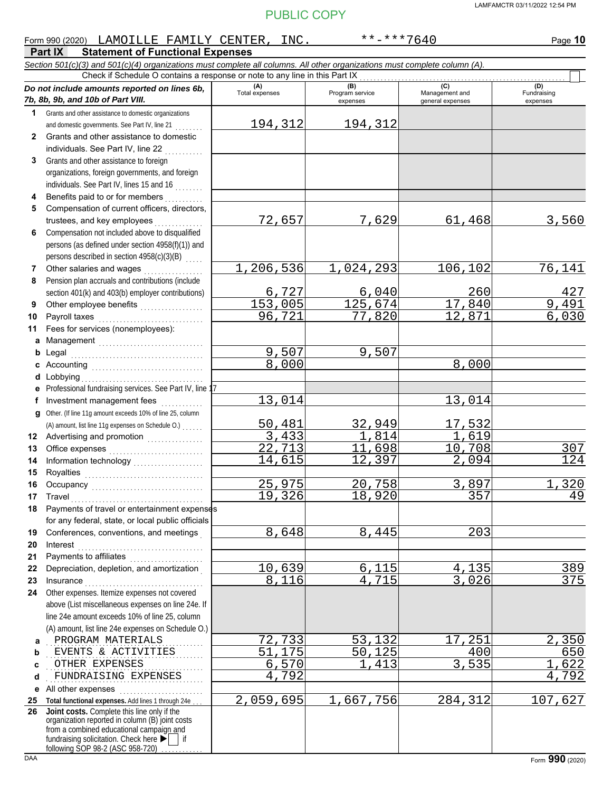#### Form 990 (2020) Page **10** LAMOILLE FAMILY CENTER, INC. \*\*-\*\*\*7640

**Part IX Statement of Functional Expenses** *Section 501(c)(3) and 501(c)(4) organizations must complete all columns. All other organizations must complete column (A). Do not include amounts reported on lines 6b, 7b, 8b, 9b, and 10b of Part VIII.* **1 2 3 4 5 6 7 8 9 10 11 a** Management . . . . . . . . . . . . . . . . . . . . . . . . . . . . . . **b** Legal **c** Accounting . . . . . . . . . . . . . . . . . . . . . . . . . . . . . . . . **d** Lobbying . . . . . . . . . . . . . . . . . . . . . . . . . . . . . . . . . . . **e f g** Other. (If line 11g amount exceeds 10% of line 25, column **12** Advertising and promotion **. . . . . . . . . . . .** . . **13 14 15 16 17 18 19 20 21 22 23 24 a** . . . . . . . . . . . . . . . . . . . . . . . . . . . . . . . . . . . . . . . . . . . . . PROGRAM MATERIALS 72,733 53,132 17,251 2,350 **b c d e** All other expenses . . . . . . . . . . . . . . . . . . . . . . . . **25 Total functional expenses.** Add lines 1 through 24e . . . **26** Grants and other assistance to domestic organizations and domestic governments. See Part IV, line 21 . . . . . . . . Grants and other assistance to domestic individuals. See Part IV, line 22 Grants and other assistance to foreign organizations, foreign governments, and foreign individuals. See Part IV, lines 15 and 16 Benefits paid to or for members . . . . . . . . . . Compensation of current officers, directors, trustees, and key employees . . . . . . . . Compensation not included above to disqualified persons (as defined under section 4958(f)(1)) and persons described in section  $4958(c)(3)(B)$ Other salaries and wages .................. Pension plan accruals and contributions (include section 401(k) and 403(b) employer contributions) Other employee benefits ................... Payroll taxes . . . . . . . . . . . . . . . . . . . . . . . . . . . . . . Fees for services (nonemployees): Legal . . . . . . . . . . . . . . . . . . . . . . . . . . . . . . . . . . . . . . Professional fundraising services. See Part IV, line 17 Investment management fees ............. Office expenses . . . . . . . . . . . . . . . . . . . . . . . . . . . Information technology . . . . . . . . . . . . . . . . . . . . Royalties . . . . . . . . . . . . . . . . . . . . . . . . . . . . . . . . . . Occupancy . . . . . . . . . . . . . . . . . . . . . . . . . . . . . . . . Travel . . . . . . . . . . . . . . . . . . . . . . . . . . . . . . . . . . . . . . Payments of travel or entertainment expenses for any federal, state, or local public officials Conferences, conventions, and meetings . Interest . . . . . . . . . . . . . . . . . . . . . . . . . . . . . . . . . . . . Payments to affiliates . . . . . . . . . . . . . . . . . . . . . Depreciation, depletion, and amortization . Insurance . . . . . . . . . . . . . . . . . . . . . . . . . . . . . . . . . . Other expenses. Itemize expenses not covered above (List miscellaneous expenses on line 24e. If line 24e amount exceeds 10% of line 25, column (A) amount, list line 24e expenses on Schedule O.) fundraising solicitation. Check here  $\blacktriangleright$  | if organization reported in column (B) joint costs from a combined educational campaign and **(A)** (B) (B) (B) (C) (C) (A) (D)<br>Total expenses Program service Management and Fundrai expenses general expenses (D)<br>Fundraising expenses . . . . . . . . . . . . . . . . . . . . . . . . . . . . . . . . . . . . . . . . . . . . . EVENTS & ACTIVITIES 51,175 50,125 400 650 . . . . . . . . . . . . . . . . . . . . . . . . . . . . . . . . . . . . . . . . . . . . . OTHER EXPENSES 6,570 1,413 3,535 1,622 . . . . . . . . . . . . . . . . . . . . . . . . . . . . . . . . . . . . . . . . . . . . . FUNDRAISING EXPENSES 4,792 4,792 Check if Schedule O contains a response or note to any line in this Part IX **Joint costs.** Complete this line only if the (A) amount, list line 11g expenses on Schedule O.) . . . . . . 194,312 194,312 72,657 7,629 61,468 3,560 1,206,536 1,024,293 106,102 76,141 6,727 6,040 260 427 1<u>53,005 | 125,674 | 17,840 | 9,491</u><br>| 96.721 | 77.820 | 12.871 | 6.030 <u>96,721 77,820 12,871 6,030</u> 9,507 9,507 8,000 8,000 13,014 13,014 50,481 32,949 17,532<br>3,433 1,814 1,619 <u>1,814 1,619</u><br>11,698 10,708 22,713 11,698 10,708 307<br>14,615 12,397 2,094 124 <u>12</u>,397 25,975 20,758 3,897 1,320 19,326 18,920 357 49 8,648 8,445 203 10,639 6,115 4,135 389<br>8,116 4,715 3,026 375 8,116 4,715 3,026 375 2,059,695 1,667,756 284,312 107,627

following SOP 98-2 (ASC 958-720)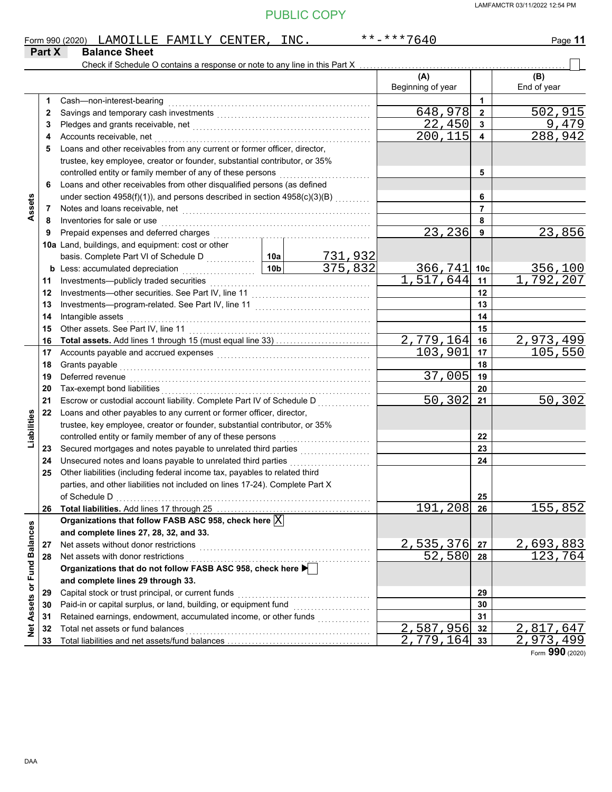|                             |        | Form 990 (2020) LAMOILLE FAMILY CENTER, INC.                                                                                                                                                                                        |                           |                                                                                                                           | **-***7640                |                              | Page 11            |
|-----------------------------|--------|-------------------------------------------------------------------------------------------------------------------------------------------------------------------------------------------------------------------------------------|---------------------------|---------------------------------------------------------------------------------------------------------------------------|---------------------------|------------------------------|--------------------|
|                             | Part X | <b>Balance Sheet</b>                                                                                                                                                                                                                |                           |                                                                                                                           |                           |                              |                    |
|                             |        | Check if Schedule O contains a response or note to any line in this Part X                                                                                                                                                          |                           |                                                                                                                           |                           |                              |                    |
|                             |        |                                                                                                                                                                                                                                     |                           |                                                                                                                           | (A)<br>Beginning of year  |                              | (B)<br>End of year |
|                             |        |                                                                                                                                                                                                                                     |                           |                                                                                                                           |                           |                              |                    |
|                             | 1      | Cash-non-interest-bearing                                                                                                                                                                                                           |                           |                                                                                                                           | 648,978                   | 1                            | 502,915            |
|                             | 2      |                                                                                                                                                                                                                                     | 22,450                    | $\mathbf{2}$                                                                                                              | 9,479                     |                              |                    |
|                             | 3      |                                                                                                                                                                                                                                     |                           |                                                                                                                           | 200,115                   | 3<br>$\overline{\mathbf{4}}$ | 288,942            |
|                             | 4      | Accounts receivable, net<br>Loans and other receivables from any current or former officer, director,                                                                                                                               |                           |                                                                                                                           |                           |                              |                    |
|                             | 5      | trustee, key employee, creator or founder, substantial contributor, or 35%                                                                                                                                                          |                           |                                                                                                                           |                           |                              |                    |
|                             |        | controlled entity or family member of any of these persons                                                                                                                                                                          |                           |                                                                                                                           |                           | 5                            |                    |
|                             | 6      | Loans and other receivables from other disqualified persons (as defined                                                                                                                                                             |                           |                                                                                                                           |                           |                              |                    |
|                             |        | under section 4958(f)(1)), and persons described in section 4958(c)(3)(B)                                                                                                                                                           |                           |                                                                                                                           |                           | 6                            |                    |
| Assets                      | 7      | Notes and loans receivable, net <b>construction</b> and in the second section of the section of the section of the section of the section of the section of the section of the section of the section of the section of the section |                           |                                                                                                                           |                           | $\overline{7}$               |                    |
|                             | 8      | Inventories for sale or use                                                                                                                                                                                                         |                           |                                                                                                                           |                           | 8                            |                    |
|                             | 9      | Prepaid expenses and deferred charges                                                                                                                                                                                               |                           |                                                                                                                           | 23,236                    | 9                            | 23,856             |
|                             |        | 10a Land, buildings, and equipment: cost or other                                                                                                                                                                                   |                           |                                                                                                                           |                           |                              |                    |
|                             |        | basis. Complete Part VI of Schedule D                                                                                                                                                                                               | 10a                       | 731,932<br>375,832                                                                                                        |                           |                              |                    |
|                             |        | <b>b</b> Less: accumulated depreciation                                                                                                                                                                                             | 366,741                   | 10 <sub>c</sub>                                                                                                           | 356,100                   |                              |                    |
|                             | 11     | Investments-publicly traded securities                                                                                                                                                                                              | 1,517,644                 | 11                                                                                                                        | 1,792,207                 |                              |                    |
|                             | 12     | Investments-other securities. See Part IV, line 11                                                                                                                                                                                  |                           | 12                                                                                                                        |                           |                              |                    |
|                             | 13     |                                                                                                                                                                                                                                     |                           | 13                                                                                                                        |                           |                              |                    |
|                             | 14     | Intangible assets                                                                                                                                                                                                                   |                           |                                                                                                                           |                           | 14                           |                    |
|                             | 15     | Other assets. See Part IV, line 11                                                                                                                                                                                                  |                           |                                                                                                                           |                           | 15                           |                    |
|                             | 16     |                                                                                                                                                                                                                                     |                           |                                                                                                                           | $\overline{2.779.164}$    | 16                           | 2,973,499          |
|                             | 17     |                                                                                                                                                                                                                                     | 103,901                   | 17                                                                                                                        | 105,550                   |                              |                    |
|                             | 18     | Grants payable                                                                                                                                                                                                                      |                           | 18                                                                                                                        |                           |                              |                    |
|                             | 19     | Deferred revenue                                                                                                                                                                                                                    |                           |                                                                                                                           | 37,005                    | 19                           |                    |
|                             | 20     | Tax-exempt bond liabilities                                                                                                                                                                                                         |                           |                                                                                                                           |                           | 20                           |                    |
|                             | 21     | Escrow or custodial account liability. Complete Part IV of Schedule D                                                                                                                                                               |                           |                                                                                                                           | 50,302                    | 21                           | 50,302             |
| Liabilities                 | 22     | Loans and other payables to any current or former officer, director,                                                                                                                                                                |                           |                                                                                                                           |                           |                              |                    |
|                             |        | trustee, key employee, creator or founder, substantial contributor, or 35%                                                                                                                                                          |                           |                                                                                                                           |                           |                              |                    |
|                             |        | controlled entity or family member of any of these persons                                                                                                                                                                          |                           | <u> 1966 - Johann Stoff, Amerikaansk kanton en </u>                                                                       |                           | 22                           |                    |
|                             | 23     | Secured mortgages and notes payable to unrelated third parties                                                                                                                                                                      |                           | <u> 1999 - Johann Stoff, martin Stoff, martin Stoff, martin Stoff, martin Stoff, martin Stoff, martin Stoff, martin S</u> |                           | 23                           |                    |
|                             | 24     | Unsecured notes and loans payable to unrelated third parties                                                                                                                                                                        |                           | .                                                                                                                         |                           | 24                           |                    |
|                             | 25     | Other liabilities (including federal income tax, payables to related third<br>parties, and other liabilities not included on lines 17-24). Complete Part X                                                                          |                           |                                                                                                                           |                           |                              |                    |
|                             |        | of Schedule D                                                                                                                                                                                                                       |                           |                                                                                                                           |                           | 25                           |                    |
|                             | 26     |                                                                                                                                                                                                                                     |                           |                                                                                                                           | 191,208                   | 26                           | 155,852            |
|                             |        | Organizations that follow FASB ASC 958, check here $\boxed{\mathrm{X}}$                                                                                                                                                             |                           |                                                                                                                           |                           |                              |                    |
|                             |        | and complete lines 27, 28, 32, and 33.                                                                                                                                                                                              |                           |                                                                                                                           |                           |                              |                    |
|                             | 27     | Net assets without donor restrictions                                                                                                                                                                                               |                           |                                                                                                                           | 2,535,376                 | 27                           | 2,693,883          |
|                             | 28     | Net assets with donor restrictions                                                                                                                                                                                                  |                           |                                                                                                                           | 52,580                    | 28                           | 123,764            |
|                             |        | Organizations that do not follow FASB ASC 958, check here ▶                                                                                                                                                                         |                           |                                                                                                                           |                           |                              |                    |
|                             |        | and complete lines 29 through 33.                                                                                                                                                                                                   |                           |                                                                                                                           |                           |                              |                    |
|                             | 29     | Capital stock or trust principal, or current funds                                                                                                                                                                                  |                           |                                                                                                                           |                           | 29                           |                    |
|                             | 30     |                                                                                                                                                                                                                                     |                           |                                                                                                                           |                           | 30                           |                    |
|                             | 31     | Retained earnings, endowment, accumulated income, or other funds                                                                                                                                                                    |                           |                                                                                                                           |                           | 31                           |                    |
| Net Assets or Fund Balances | 32     | Total net assets or fund balances                                                                                                                                                                                                   |                           |                                                                                                                           | $\overline{2}$ , 587, 956 | 32                           | 2,817,647          |
|                             | 33     |                                                                                                                                                                                                                                     | $\overline{2,779,164}$ 33 |                                                                                                                           | 2,973,499                 |                              |                    |

Form **990** (2020)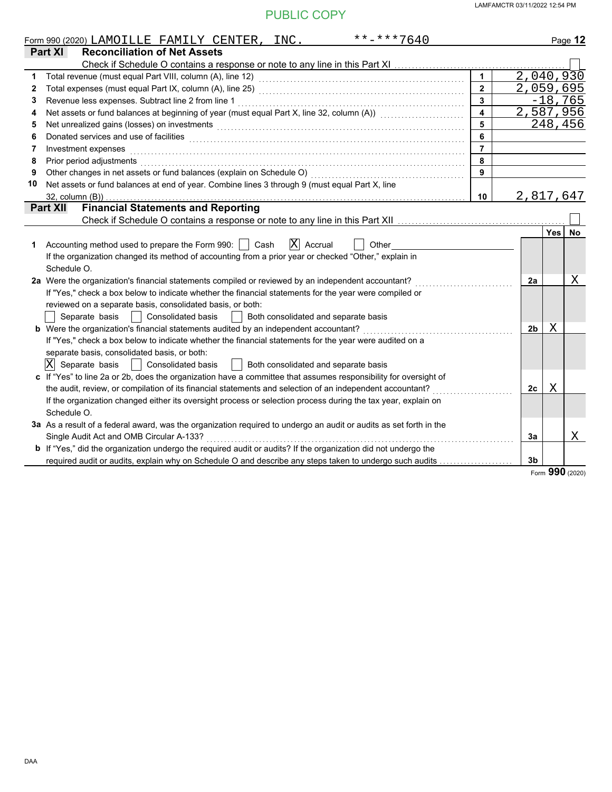|    | **-***7640<br>Form 990 (2020) LAMOILLE FAMILY CENTER, INC.                                                                                                                                                                           |                         |                |            | Page 12   |
|----|--------------------------------------------------------------------------------------------------------------------------------------------------------------------------------------------------------------------------------------|-------------------------|----------------|------------|-----------|
|    | <b>Reconciliation of Net Assets</b><br><b>Part XI</b>                                                                                                                                                                                |                         |                |            |           |
|    |                                                                                                                                                                                                                                      |                         |                |            |           |
| 1  |                                                                                                                                                                                                                                      | $\mathbf{1}$            | 2,040,930      |            |           |
| 2  |                                                                                                                                                                                                                                      | $\overline{2}$          | 2,059,695      |            |           |
| 3  | Revenue less expenses. Subtract line 2 from line 1                                                                                                                                                                                   | $\overline{3}$          |                |            | $-18,765$ |
| 4  | Net assets or fund balances at beginning of year (must equal Part X, line 32, column (A)) [[[[[[[[[[[[[[[[[[[                                                                                                                        | $\overline{\mathbf{4}}$ | 2,587,956      |            |           |
| 5  | Net unrealized gains (losses) on investments                                                                                                                                                                                         | 5                       |                |            | 248,456   |
| 6  | Donated services and use of facilities <b>constant of the constant of the constant of the constant of the constant of the constant of the constant of the constant of the constant of the constant of the constant of the consta</b> | 6                       |                |            |           |
| 7  | Investment expenses                                                                                                                                                                                                                  | $\overline{7}$          |                |            |           |
| 8  | Prior period adjustments                                                                                                                                                                                                             | 8                       |                |            |           |
| 9  | Other changes in net assets or fund balances (explain on Schedule O)                                                                                                                                                                 | $\mathbf{9}$            |                |            |           |
| 10 | Net assets or fund balances at end of year. Combine lines 3 through 9 (must equal Part X, line                                                                                                                                       |                         |                |            |           |
|    | 32, column (B))                                                                                                                                                                                                                      | 10                      | 2,817,647      |            |           |
|    | <b>Part XII</b>                                                                                                                                                                                                                      |                         |                |            |           |
|    |                                                                                                                                                                                                                                      |                         |                |            |           |
|    |                                                                                                                                                                                                                                      |                         |                | <b>Yes</b> | <b>No</b> |
| 1  | X <br>Accounting method used to prepare the Form 990:    <br>Cash<br>Accrual<br>Other                                                                                                                                                |                         |                |            |           |
|    | If the organization changed its method of accounting from a prior year or checked "Other," explain in                                                                                                                                |                         |                |            |           |
|    | Schedule O.                                                                                                                                                                                                                          |                         |                |            |           |
|    | 2a Were the organization's financial statements compiled or reviewed by an independent accountant?                                                                                                                                   |                         | 2a             |            | Χ         |
|    | If "Yes," check a box below to indicate whether the financial statements for the year were compiled or                                                                                                                               |                         |                |            |           |
|    | reviewed on a separate basis, consolidated basis, or both:                                                                                                                                                                           |                         |                |            |           |
|    | Separate basis   Consolidated basis<br>Both consolidated and separate basis<br>$\mathbf{1}$                                                                                                                                          |                         |                |            |           |
|    | b Were the organization's financial statements audited by an independent accountant?                                                                                                                                                 |                         | 2 <sub>b</sub> | Χ          |           |
|    | If "Yes," check a box below to indicate whether the financial statements for the year were audited on a                                                                                                                              |                         |                |            |           |
|    | separate basis, consolidated basis, or both:                                                                                                                                                                                         |                         |                |            |           |
|    | $ X $ Separate basis<br>  Consolidated basis<br>Both consolidated and separate basis                                                                                                                                                 |                         |                |            |           |
|    | c If "Yes" to line 2a or 2b, does the organization have a committee that assumes responsibility for oversight of                                                                                                                     |                         |                |            |           |
|    | the audit, review, or compilation of its financial statements and selection of an independent accountant?                                                                                                                            |                         | 2c             | X          |           |
|    | If the organization changed either its oversight process or selection process during the tax year, explain on                                                                                                                        |                         |                |            |           |
|    | Schedule O.                                                                                                                                                                                                                          |                         |                |            |           |
|    | 3a As a result of a federal award, was the organization required to undergo an audit or audits as set forth in the                                                                                                                   |                         |                |            |           |
|    | Single Audit Act and OMB Circular A-133?                                                                                                                                                                                             |                         | За             |            | Χ         |
|    | <b>b</b> If "Yes," did the organization undergo the required audit or audits? If the organization did not undergo the                                                                                                                |                         |                |            |           |
|    | required audit or audits, explain why on Schedule O and describe any steps taken to undergo such audits                                                                                                                              |                         | 3b             |            |           |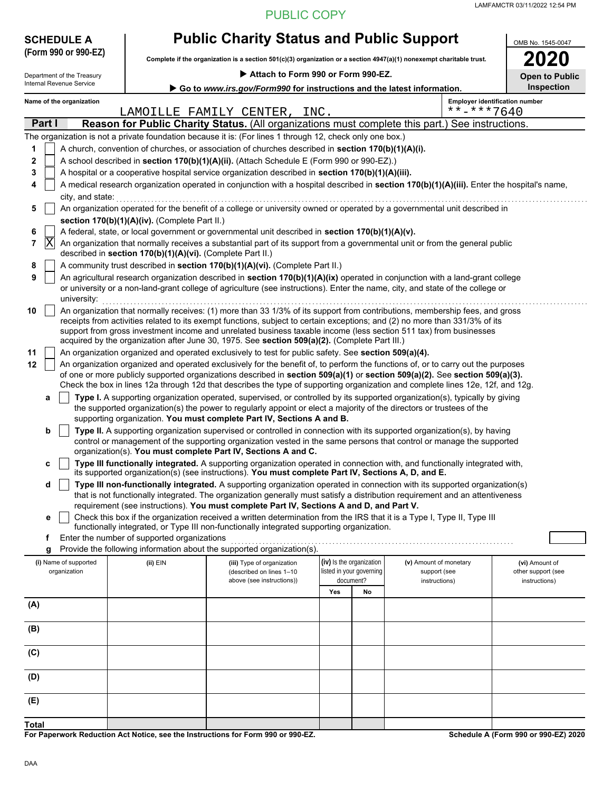| <b>SCHEDULE A</b>                                                                                      |                                                                                                                                                                                                                                                                                                                                                                                                                                                                                  | <b>Public Charity Status and Public Support</b>                                                                                                                                                                                                                                                                                                       |     |                          |                                        | OMB No. 1545-0047                     |  |  |
|--------------------------------------------------------------------------------------------------------|----------------------------------------------------------------------------------------------------------------------------------------------------------------------------------------------------------------------------------------------------------------------------------------------------------------------------------------------------------------------------------------------------------------------------------------------------------------------------------|-------------------------------------------------------------------------------------------------------------------------------------------------------------------------------------------------------------------------------------------------------------------------------------------------------------------------------------------------------|-----|--------------------------|----------------------------------------|---------------------------------------|--|--|
| (Form 990 or 990-EZ)                                                                                   |                                                                                                                                                                                                                                                                                                                                                                                                                                                                                  | Complete if the organization is a section 501(c)(3) organization or a section 4947(a)(1) nonexempt charitable trust.                                                                                                                                                                                                                                  |     |                          |                                        | 2020                                  |  |  |
| Department of the Treasury                                                                             |                                                                                                                                                                                                                                                                                                                                                                                                                                                                                  | <b>Open to Public</b>                                                                                                                                                                                                                                                                                                                                 |     |                          |                                        |                                       |  |  |
| Internal Revenue Service                                                                               |                                                                                                                                                                                                                                                                                                                                                                                                                                                                                  | Go to www.irs.gov/Form990 for instructions and the latest information.                                                                                                                                                                                                                                                                                |     |                          |                                        | Inspection                            |  |  |
| Name of the organization                                                                               |                                                                                                                                                                                                                                                                                                                                                                                                                                                                                  |                                                                                                                                                                                                                                                                                                                                                       |     |                          |                                        | <b>Employer identification number</b> |  |  |
| Part I                                                                                                 |                                                                                                                                                                                                                                                                                                                                                                                                                                                                                  | LAMOILLE FAMILY CENTER, INC.<br>Reason for Public Charity Status. (All organizations must complete this part.) See instructions.                                                                                                                                                                                                                      |     |                          | **-***7640                             |                                       |  |  |
|                                                                                                        |                                                                                                                                                                                                                                                                                                                                                                                                                                                                                  | The organization is not a private foundation because it is: (For lines 1 through 12, check only one box.)                                                                                                                                                                                                                                             |     |                          |                                        |                                       |  |  |
| 1                                                                                                      |                                                                                                                                                                                                                                                                                                                                                                                                                                                                                  | A church, convention of churches, or association of churches described in section 170(b)(1)(A)(i).                                                                                                                                                                                                                                                    |     |                          |                                        |                                       |  |  |
| $\mathbf 2$                                                                                            |                                                                                                                                                                                                                                                                                                                                                                                                                                                                                  | A school described in section 170(b)(1)(A)(ii). (Attach Schedule E (Form 990 or 990-EZ).)                                                                                                                                                                                                                                                             |     |                          |                                        |                                       |  |  |
| 3<br>A hospital or a cooperative hospital service organization described in section 170(b)(1)(A)(iii). |                                                                                                                                                                                                                                                                                                                                                                                                                                                                                  |                                                                                                                                                                                                                                                                                                                                                       |     |                          |                                        |                                       |  |  |
| 4                                                                                                      |                                                                                                                                                                                                                                                                                                                                                                                                                                                                                  | A medical research organization operated in conjunction with a hospital described in section 170(b)(1)(A)(iii). Enter the hospital's name,                                                                                                                                                                                                            |     |                          |                                        |                                       |  |  |
| city, and state:                                                                                       |                                                                                                                                                                                                                                                                                                                                                                                                                                                                                  |                                                                                                                                                                                                                                                                                                                                                       |     |                          |                                        |                                       |  |  |
| 5                                                                                                      |                                                                                                                                                                                                                                                                                                                                                                                                                                                                                  | An organization operated for the benefit of a college or university owned or operated by a governmental unit described in                                                                                                                                                                                                                             |     |                          |                                        |                                       |  |  |
| 6                                                                                                      | section 170(b)(1)(A)(iv). (Complete Part II.)                                                                                                                                                                                                                                                                                                                                                                                                                                    | A federal, state, or local government or governmental unit described in section 170(b)(1)(A)(v).                                                                                                                                                                                                                                                      |     |                          |                                        |                                       |  |  |
| $ \mathbf{X} $<br>7                                                                                    | described in section 170(b)(1)(A)(vi). (Complete Part II.)                                                                                                                                                                                                                                                                                                                                                                                                                       | An organization that normally receives a substantial part of its support from a governmental unit or from the general public                                                                                                                                                                                                                          |     |                          |                                        |                                       |  |  |
| 8                                                                                                      |                                                                                                                                                                                                                                                                                                                                                                                                                                                                                  | A community trust described in section 170(b)(1)(A)(vi). (Complete Part II.)                                                                                                                                                                                                                                                                          |     |                          |                                        |                                       |  |  |
| 9<br>university:                                                                                       |                                                                                                                                                                                                                                                                                                                                                                                                                                                                                  | An agricultural research organization described in section 170(b)(1)(A)(ix) operated in conjunction with a land-grant college<br>or university or a non-land-grant college of agriculture (see instructions). Enter the name, city, and state of the college or                                                                                       |     |                          |                                        |                                       |  |  |
| 10                                                                                                     | An organization that normally receives: (1) more than 33 1/3% of its support from contributions, membership fees, and gross<br>receipts from activities related to its exempt functions, subject to certain exceptions; and (2) no more than 331/3% of its<br>support from gross investment income and unrelated business taxable income (less section 511 tax) from businesses<br>acquired by the organization after June 30, 1975. See section 509(a)(2). (Complete Part III.) |                                                                                                                                                                                                                                                                                                                                                       |     |                          |                                        |                                       |  |  |
| 11                                                                                                     |                                                                                                                                                                                                                                                                                                                                                                                                                                                                                  | An organization organized and operated exclusively to test for public safety. See section 509(a)(4).                                                                                                                                                                                                                                                  |     |                          |                                        |                                       |  |  |
| 12                                                                                                     |                                                                                                                                                                                                                                                                                                                                                                                                                                                                                  | An organization organized and operated exclusively for the benefit of, to perform the functions of, or to carry out the purposes                                                                                                                                                                                                                      |     |                          |                                        |                                       |  |  |
|                                                                                                        |                                                                                                                                                                                                                                                                                                                                                                                                                                                                                  | of one or more publicly supported organizations described in section 509(a)(1) or section 509(a)(2). See section 509(a)(3).<br>Check the box in lines 12a through 12d that describes the type of supporting organization and complete lines 12e, 12f, and 12g.                                                                                        |     |                          |                                        |                                       |  |  |
| a                                                                                                      |                                                                                                                                                                                                                                                                                                                                                                                                                                                                                  | Type I. A supporting organization operated, supervised, or controlled by its supported organization(s), typically by giving<br>the supported organization(s) the power to regularly appoint or elect a majority of the directors or trustees of the<br>supporting organization. You must complete Part IV, Sections A and B.                          |     |                          |                                        |                                       |  |  |
| b                                                                                                      |                                                                                                                                                                                                                                                                                                                                                                                                                                                                                  | Type II. A supporting organization supervised or controlled in connection with its supported organization(s), by having                                                                                                                                                                                                                               |     |                          |                                        |                                       |  |  |
|                                                                                                        |                                                                                                                                                                                                                                                                                                                                                                                                                                                                                  | control or management of the supporting organization vested in the same persons that control or manage the supported<br>organization(s). You must complete Part IV, Sections A and C.                                                                                                                                                                 |     |                          |                                        |                                       |  |  |
| c                                                                                                      |                                                                                                                                                                                                                                                                                                                                                                                                                                                                                  | Type III functionally integrated. A supporting organization operated in connection with, and functionally integrated with,<br>its supported organization(s) (see instructions). You must complete Part IV, Sections A, D, and E.                                                                                                                      |     |                          |                                        |                                       |  |  |
| d                                                                                                      |                                                                                                                                                                                                                                                                                                                                                                                                                                                                                  | Type III non-functionally integrated. A supporting organization operated in connection with its supported organization(s)<br>that is not functionally integrated. The organization generally must satisfy a distribution requirement and an attentiveness<br>requirement (see instructions). You must complete Part IV, Sections A and D, and Part V. |     |                          |                                        |                                       |  |  |
| е                                                                                                      |                                                                                                                                                                                                                                                                                                                                                                                                                                                                                  | Check this box if the organization received a written determination from the IRS that it is a Type I, Type II, Type III<br>functionally integrated, or Type III non-functionally integrated supporting organization.                                                                                                                                  |     |                          |                                        |                                       |  |  |
| f                                                                                                      | Enter the number of supported organizations                                                                                                                                                                                                                                                                                                                                                                                                                                      |                                                                                                                                                                                                                                                                                                                                                       |     |                          |                                        |                                       |  |  |
| g                                                                                                      |                                                                                                                                                                                                                                                                                                                                                                                                                                                                                  | Provide the following information about the supported organization(s).                                                                                                                                                                                                                                                                                |     | (iv) Is the organization |                                        |                                       |  |  |
| (i) Name of supported<br>organization                                                                  | (ii) EIN                                                                                                                                                                                                                                                                                                                                                                                                                                                                         | (iii) Type of organization<br>(described on lines 1-10                                                                                                                                                                                                                                                                                                |     | listed in your governing | (v) Amount of monetary<br>support (see | (vi) Amount of<br>other support (see  |  |  |
|                                                                                                        |                                                                                                                                                                                                                                                                                                                                                                                                                                                                                  | above (see instructions))                                                                                                                                                                                                                                                                                                                             |     | document?                | instructions)                          | instructions)                         |  |  |
|                                                                                                        |                                                                                                                                                                                                                                                                                                                                                                                                                                                                                  |                                                                                                                                                                                                                                                                                                                                                       | Yes | No                       |                                        |                                       |  |  |
| (A)                                                                                                    |                                                                                                                                                                                                                                                                                                                                                                                                                                                                                  |                                                                                                                                                                                                                                                                                                                                                       |     |                          |                                        |                                       |  |  |
| (B)                                                                                                    |                                                                                                                                                                                                                                                                                                                                                                                                                                                                                  |                                                                                                                                                                                                                                                                                                                                                       |     |                          |                                        |                                       |  |  |
|                                                                                                        |                                                                                                                                                                                                                                                                                                                                                                                                                                                                                  |                                                                                                                                                                                                                                                                                                                                                       |     |                          |                                        |                                       |  |  |
| (C)                                                                                                    |                                                                                                                                                                                                                                                                                                                                                                                                                                                                                  |                                                                                                                                                                                                                                                                                                                                                       |     |                          |                                        |                                       |  |  |
| (D)                                                                                                    |                                                                                                                                                                                                                                                                                                                                                                                                                                                                                  |                                                                                                                                                                                                                                                                                                                                                       |     |                          |                                        |                                       |  |  |
| (E)                                                                                                    |                                                                                                                                                                                                                                                                                                                                                                                                                                                                                  |                                                                                                                                                                                                                                                                                                                                                       |     |                          |                                        |                                       |  |  |
|                                                                                                        |                                                                                                                                                                                                                                                                                                                                                                                                                                                                                  |                                                                                                                                                                                                                                                                                                                                                       |     |                          |                                        |                                       |  |  |
| Total                                                                                                  |                                                                                                                                                                                                                                                                                                                                                                                                                                                                                  |                                                                                                                                                                                                                                                                                                                                                       |     |                          |                                        |                                       |  |  |
|                                                                                                        |                                                                                                                                                                                                                                                                                                                                                                                                                                                                                  | For Paperwork Reduction Act Notice, see the Instructions for Form 990 or 990-EZ.                                                                                                                                                                                                                                                                      |     |                          |                                        | Schedule A (Form 990 or 990-EZ) 2020  |  |  |

**Iotice, see the Instructions for Form 990 or 990**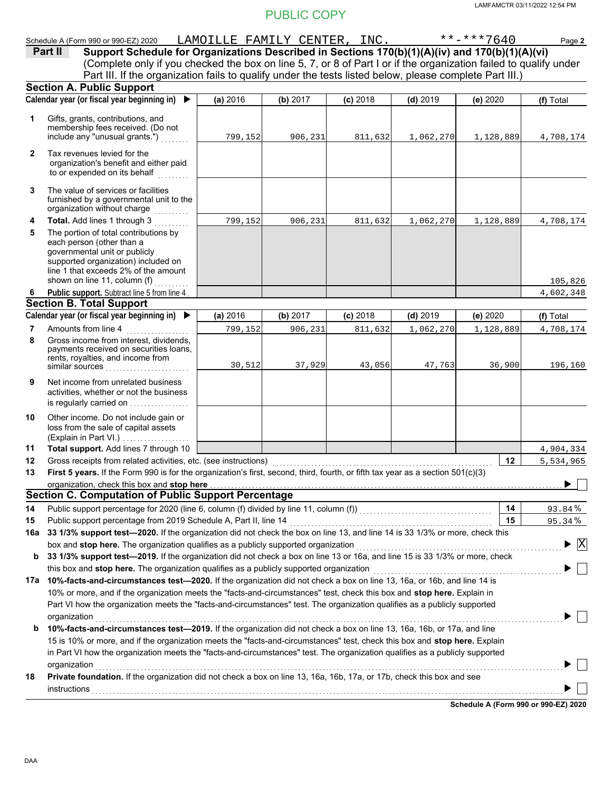| Schedule A | A (Form 990 or 990-EZ) 2020 | LAMOILLE | AMILI | CENTER. | INC. | .<br>--<br>$\sim$<br>$\mathbf{v}$<br>$\overline{\phantom{a}}$<br>$\pm \cup$<br>ີ | Page 7 |
|------------|-----------------------------|----------|-------|---------|------|----------------------------------------------------------------------------------|--------|
|            |                             |          |       |         |      |                                                                                  |        |

(Complete only if you checked the box on line 5, 7, or 8 of Part I or if the organization failed to qualify under **Part II Support Schedule for Organizations Described in Sections 170(b)(1)(A)(iv) and 170(b)(1)(A)(vi)** Part III. If the organization fails to qualify under the tests listed below, please complete Part III.)

|        | <b>Section A. Public Support</b>                                                                                                                                                                                                                                                                                                                                                                    |                   |                   |                   |                     |                     |                                          |  |
|--------|-----------------------------------------------------------------------------------------------------------------------------------------------------------------------------------------------------------------------------------------------------------------------------------------------------------------------------------------------------------------------------------------------------|-------------------|-------------------|-------------------|---------------------|---------------------|------------------------------------------|--|
|        | Calendar year (or fiscal year beginning in) $\blacktriangleright$                                                                                                                                                                                                                                                                                                                                   | (a) 2016          | (b) 2017          | $(c)$ 2018        | $(d)$ 2019          | (e) 2020            | (f) Total                                |  |
| 1      | Gifts, grants, contributions, and<br>membership fees received. (Do not<br>include any "unusual grants.")                                                                                                                                                                                                                                                                                            | 799,152           | 906,231           | 811,632           | 1,062,270           | 1,128,889           | 4,708,174                                |  |
| 2      | Tax revenues levied for the<br>organization's benefit and either paid<br>to or expended on its behalf                                                                                                                                                                                                                                                                                               |                   |                   |                   |                     |                     |                                          |  |
| 3      | The value of services or facilities<br>furnished by a governmental unit to the<br>organization without charge                                                                                                                                                                                                                                                                                       |                   |                   |                   |                     |                     |                                          |  |
| 4<br>5 | Total. Add lines 1 through 3<br>a a a a a a a a .<br>The portion of total contributions by<br>each person (other than a<br>governmental unit or publicly<br>supported organization) included on<br>line 1 that exceeds 2% of the amount                                                                                                                                                             | 799,152           | 906,231           | 811,632           | 1,062,270           | 1,128,889           | 4,708,174                                |  |
|        | shown on line 11, column (f) $\ldots$                                                                                                                                                                                                                                                                                                                                                               |                   |                   |                   |                     |                     | 105,826                                  |  |
| 6      | Public support. Subtract line 5 from line 4.                                                                                                                                                                                                                                                                                                                                                        |                   |                   |                   |                     |                     | 4,602,348                                |  |
|        | <b>Section B. Total Support</b><br>Calendar year (or fiscal year beginning in) $\blacktriangleright$                                                                                                                                                                                                                                                                                                |                   |                   |                   |                     |                     |                                          |  |
|        | Amounts from line 4                                                                                                                                                                                                                                                                                                                                                                                 | (a) 2016          | (b) 2017          | $(c)$ 2018        | $(d)$ 2019          | (e) 2020            | (f) Total                                |  |
| 7<br>8 | <u> 1966 - Johann Stoff, Amerikaansk kanton (</u><br>Gross income from interest, dividends,<br>payments received on securities loans,<br>rents, royalties, and income from<br>similar sources                                                                                                                                                                                                       | 799,152<br>30,512 | 906,231<br>37,929 | 811,632<br>43,056 | 1,062,270<br>47,763 | 1,128,889<br>36,900 | 4,708,174<br>196,160                     |  |
| 9      | Net income from unrelated business<br>activities, whether or not the business<br>is regularly carried on                                                                                                                                                                                                                                                                                            |                   |                   |                   |                     |                     |                                          |  |
| 10     | Other income. Do not include gain or<br>loss from the sale of capital assets<br>(Explain in Part VI.)                                                                                                                                                                                                                                                                                               |                   |                   |                   |                     |                     |                                          |  |
| 11     | Total support. Add lines 7 through 10                                                                                                                                                                                                                                                                                                                                                               |                   |                   |                   |                     |                     | 4,904,334                                |  |
| 12     | Gross receipts from related activities, etc. (see instructions)                                                                                                                                                                                                                                                                                                                                     |                   |                   |                   |                     | 12                  | 5,534,965                                |  |
| 13     | First 5 years. If the Form 990 is for the organization's first, second, third, fourth, or fifth tax year as a section 501(c)(3)                                                                                                                                                                                                                                                                     |                   |                   |                   |                     |                     |                                          |  |
|        | organization, check this box and stop here                                                                                                                                                                                                                                                                                                                                                          |                   |                   |                   |                     |                     |                                          |  |
|        | <b>Section C. Computation of Public Support Percentage</b>                                                                                                                                                                                                                                                                                                                                          |                   |                   |                   |                     |                     |                                          |  |
| 14     |                                                                                                                                                                                                                                                                                                                                                                                                     |                   |                   |                   |                     | 14                  | 93.84%                                   |  |
| 15     | Public support percentage from 2019 Schedule A, Part II, line 14                                                                                                                                                                                                                                                                                                                                    |                   |                   |                   |                     | 15                  | 95.34%                                   |  |
|        | 16a 33 1/3% support test-2020. If the organization did not check the box on line 13, and line 14 is 33 1/3% or more, check this                                                                                                                                                                                                                                                                     |                   |                   |                   |                     |                     |                                          |  |
|        | box and stop here. The organization qualifies as a publicly supported organization                                                                                                                                                                                                                                                                                                                  |                   |                   |                   |                     |                     | $\blacktriangleright$ $\boxed{\text{X}}$ |  |
| b      | 33 1/3% support test-2019. If the organization did not check a box on line 13 or 16a, and line 15 is 33 1/3% or more, check<br>this box and stop here. The organization qualifies as a publicly supported organization                                                                                                                                                                              |                   |                   |                   |                     |                     |                                          |  |
| 17a    | 10%-facts-and-circumstances test-2020. If the organization did not check a box on line 13, 16a, or 16b, and line 14 is                                                                                                                                                                                                                                                                              |                   |                   |                   |                     |                     |                                          |  |
|        | 10% or more, and if the organization meets the "facts-and-circumstances" test, check this box and stop here. Explain in<br>Part VI how the organization meets the "facts-and-circumstances" test. The organization qualifies as a publicly supported                                                                                                                                                |                   |                   |                   |                     |                     |                                          |  |
| b      | organization<br>10%-facts-and-circumstances test-2019. If the organization did not check a box on line 13, 16a, 16b, or 17a, and line<br>15 is 10% or more, and if the organization meets the "facts-and-circumstances" test, check this box and stop here. Explain<br>in Part VI how the organization meets the "facts-and-circumstances" test. The organization qualifies as a publicly supported |                   |                   |                   |                     |                     |                                          |  |
| 18     | organization<br>Private foundation. If the organization did not check a box on line 13, 16a, 16b, 17a, or 17b, check this box and see<br>instructions                                                                                                                                                                                                                                               |                   |                   |                   |                     |                     |                                          |  |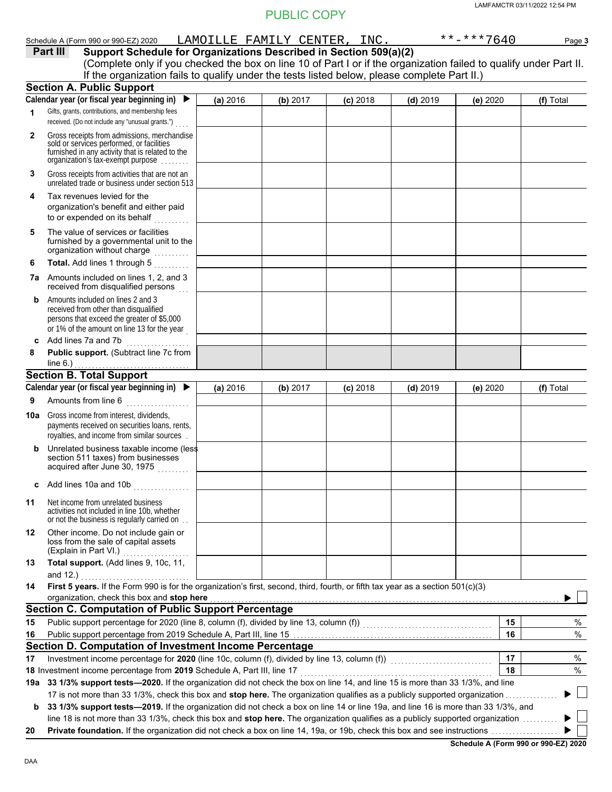|              | Schedule A (Form 990 or 990-EZ) 2020                                                                                                                                                                                                                             |          | LAMOILLE FAMILY CENTER, INC. |            |            | **-***7640 |    | Page 3    |
|--------------|------------------------------------------------------------------------------------------------------------------------------------------------------------------------------------------------------------------------------------------------------------------|----------|------------------------------|------------|------------|------------|----|-----------|
|              | Support Schedule for Organizations Described in Section 509(a)(2)<br>Part III                                                                                                                                                                                    |          |                              |            |            |            |    |           |
|              | (Complete only if you checked the box on line 10 of Part I or if the organization failed to qualify under Part II.                                                                                                                                               |          |                              |            |            |            |    |           |
|              | If the organization fails to qualify under the tests listed below, please complete Part II.)                                                                                                                                                                     |          |                              |            |            |            |    |           |
|              | <b>Section A. Public Support</b>                                                                                                                                                                                                                                 |          |                              |            |            |            |    |           |
|              | Calendar year (or fiscal year beginning in)<br>▶                                                                                                                                                                                                                 | (a) 2016 | (b) 2017                     | $(c)$ 2018 | $(d)$ 2019 | (e) 2020   |    | (f) Total |
| 1            | Gifts, grants, contributions, and membership fees<br>received. (Do not include any "unusual grants.")                                                                                                                                                            |          |                              |            |            |            |    |           |
| $\mathbf{2}$ | Gross receipts from admissions, merchandise<br>sold or services performed, or facilities<br>furnished in any activity that is related to the<br>organization's fax-exempt purpose                                                                                |          |                              |            |            |            |    |           |
| 3            | Gross receipts from activities that are not an<br>unrelated trade or business under section 513                                                                                                                                                                  |          |                              |            |            |            |    |           |
| 4            | Tax revenues levied for the<br>organization's benefit and either paid<br>to or expended on its behalf                                                                                                                                                            |          |                              |            |            |            |    |           |
| 5            | The value of services or facilities<br>furnished by a governmental unit to the<br>organization without charge<br>.                                                                                                                                               |          |                              |            |            |            |    |           |
| 6            | Total. Add lines 1 through 5                                                                                                                                                                                                                                     |          |                              |            |            |            |    |           |
|              | 7a Amounts included on lines 1, 2, and 3<br>received from disqualified persons                                                                                                                                                                                   |          |                              |            |            |            |    |           |
| b            | Amounts included on lines 2 and 3<br>received from other than disqualified<br>persons that exceed the greater of \$5,000<br>or 1% of the amount on line 13 for the year                                                                                          |          |                              |            |            |            |    |           |
| c            | Add lines 7a and 7b                                                                                                                                                                                                                                              |          |                              |            |            |            |    |           |
| 8            | Public support. (Subtract line 7c from                                                                                                                                                                                                                           |          |                              |            |            |            |    |           |
|              | line $6.$ )                                                                                                                                                                                                                                                      |          |                              |            |            |            |    |           |
|              | <b>Section B. Total Support</b>                                                                                                                                                                                                                                  |          |                              |            |            |            |    |           |
|              | Calendar year (or fiscal year beginning in) $\blacktriangleright$                                                                                                                                                                                                | (a) 2016 | (b) 2017                     | $(c)$ 2018 | $(d)$ 2019 | (e) 2020   |    | (f) Total |
| 9            | Amounts from line 6                                                                                                                                                                                                                                              |          |                              |            |            |            |    |           |
| 10a          | Gross income from interest, dividends,<br>payments received on securities loans, rents,<br>royalties, and income from similar sources                                                                                                                            |          |                              |            |            |            |    |           |
| b            | Unrelated business taxable income (less<br>section 511 taxes) from businesses<br>acquired after June 30, 1975                                                                                                                                                    |          |                              |            |            |            |    |           |
| c            | Add lines 10a and 10b                                                                                                                                                                                                                                            |          |                              |            |            |            |    |           |
| 11           | Net income from unrelated business<br>activities not included in line 10b, whether<br>or not the business is regularly carried on                                                                                                                                |          |                              |            |            |            |    |           |
| 12           | Other income. Do not include gain or<br>loss from the sale of capital assets<br>(Explain in Part VI.)                                                                                                                                                            |          |                              |            |            |            |    |           |
| 13           | Total support. (Add lines 9, 10c, 11,<br>and 12.)                                                                                                                                                                                                                |          |                              |            |            |            |    |           |
| 14           | First 5 years. If the Form 990 is for the organization's first, second, third, fourth, or fifth tax year as a section 501(c)(3)<br>organization, check this box and stop here                                                                                    |          |                              |            |            |            |    |           |
|              | <b>Section C. Computation of Public Support Percentage</b>                                                                                                                                                                                                       |          |                              |            |            |            |    |           |
| 15           | Public support percentage for 2020 (line 8, column (f), divided by line 13, column (f)) [[[[[[[[[[[[[[[[[[[[[                                                                                                                                                    |          |                              |            |            |            | 15 | %         |
| 16           |                                                                                                                                                                                                                                                                  |          |                              |            |            |            | 16 | $\%$      |
|              | Section D. Computation of Investment Income Percentage                                                                                                                                                                                                           |          |                              |            |            |            |    |           |
| 17           | Investment income percentage for 2020 (line 10c, column (f), divided by line 13, column (f)) [[[[[[[[[[[[[[[[[                                                                                                                                                   |          |                              |            |            |            | 17 | %         |
|              | 18 Investment income percentage from 2019 Schedule A, Part III, line 17                                                                                                                                                                                          |          |                              |            |            |            | 18 | $\%$      |
|              | 19a 33 1/3% support tests-2020. If the organization did not check the box on line 14, and line 15 is more than 33 1/3%, and line                                                                                                                                 |          |                              |            |            |            |    |           |
| b            | 17 is not more than 33 1/3%, check this box and stop here. The organization qualifies as a publicly supported organization.<br>33 1/3% support tests-2019. If the organization did not check a box on line 14 or line 19a, and line 16 is more than 33 1/3%, and |          |                              |            |            |            |    |           |
|              | line 18 is not more than 33 1/3%, check this box and stop here. The organization qualifies as a publicly supported organization                                                                                                                                  |          |                              |            |            |            |    |           |

**20 Private foundation.** If the organization did not check a box on line 14, 19a, or 19b, check this box and see instructions . . . . . . . . . . . . . . . . . . .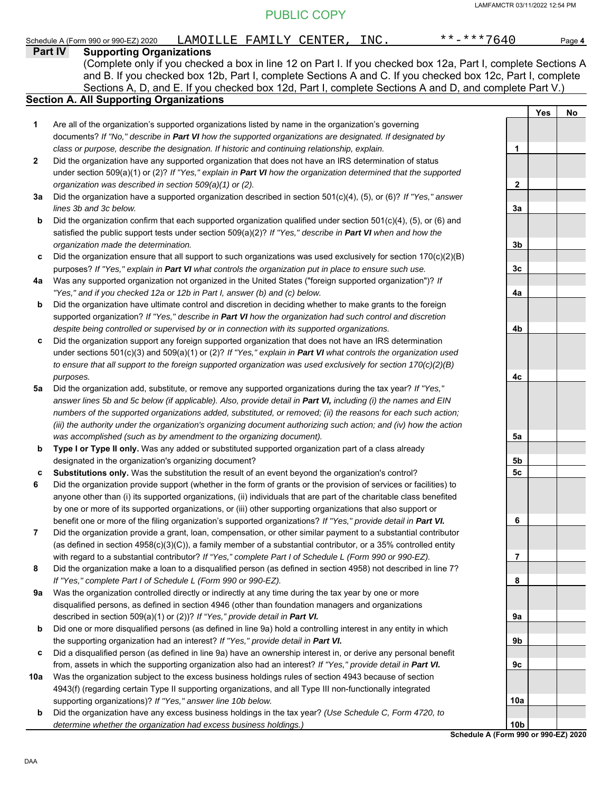|              | **-***7640<br>LAMOILLE FAMILY CENTER, INC.<br>Schedule A (Form 990 or 990-EZ) 2020                                                                                                                                              |                 |            | Page 4 |
|--------------|---------------------------------------------------------------------------------------------------------------------------------------------------------------------------------------------------------------------------------|-----------------|------------|--------|
|              | <b>Part IV</b><br><b>Supporting Organizations</b>                                                                                                                                                                               |                 |            |        |
|              | (Complete only if you checked a box in line 12 on Part I. If you checked box 12a, Part I, complete Sections A<br>and B. If you checked box 12b, Part I, complete Sections A and C. If you checked box 12c, Part I, complete     |                 |            |        |
|              | Sections A, D, and E. If you checked box 12d, Part I, complete Sections A and D, and complete Part V.)                                                                                                                          |                 |            |        |
|              | <b>Section A. All Supporting Organizations</b>                                                                                                                                                                                  |                 |            |        |
|              |                                                                                                                                                                                                                                 |                 | <b>Yes</b> | No     |
| 1            | Are all of the organization's supported organizations listed by name in the organization's governing                                                                                                                            |                 |            |        |
|              | documents? If "No," describe in Part VI how the supported organizations are designated. If designated by                                                                                                                        |                 |            |        |
|              | class or purpose, describe the designation. If historic and continuing relationship, explain.                                                                                                                                   | 1               |            |        |
| $\mathbf{2}$ | Did the organization have any supported organization that does not have an IRS determination of status                                                                                                                          |                 |            |        |
|              | under section 509(a)(1) or (2)? If "Yes," explain in Part VI how the organization determined that the supported                                                                                                                 |                 |            |        |
| За           | organization was described in section 509(a)(1) or (2).<br>Did the organization have a supported organization described in section 501(c)(4), (5), or (6)? If "Yes," answer                                                     | $\mathbf{2}$    |            |        |
|              | lines 3b and 3c below.                                                                                                                                                                                                          | 3a              |            |        |
| b            | Did the organization confirm that each supported organization qualified under section 501(c)(4), (5), or (6) and                                                                                                                |                 |            |        |
|              | satisfied the public support tests under section 509(a)(2)? If "Yes," describe in Part VI when and how the                                                                                                                      |                 |            |        |
|              | organization made the determination.                                                                                                                                                                                            | 3b              |            |        |
| c            | Did the organization ensure that all support to such organizations was used exclusively for section $170(c)(2)(B)$                                                                                                              |                 |            |        |
|              | purposes? If "Yes," explain in Part VI what controls the organization put in place to ensure such use.                                                                                                                          | 3 <sub>c</sub>  |            |        |
| 4a           | Was any supported organization not organized in the United States ("foreign supported organization")? If                                                                                                                        |                 |            |        |
|              | "Yes," and if you checked 12a or 12b in Part I, answer (b) and (c) below.                                                                                                                                                       | 4a              |            |        |
| b            | Did the organization have ultimate control and discretion in deciding whether to make grants to the foreign<br>supported organization? If "Yes," describe in Part VI how the organization had such control and discretion       |                 |            |        |
|              | despite being controlled or supervised by or in connection with its supported organizations.                                                                                                                                    | 4b              |            |        |
| c            | Did the organization support any foreign supported organization that does not have an IRS determination                                                                                                                         |                 |            |        |
|              | under sections 501(c)(3) and 509(a)(1) or (2)? If "Yes," explain in Part VI what controls the organization used                                                                                                                 |                 |            |        |
|              | to ensure that all support to the foreign supported organization was used exclusively for section $170(c)(2)(B)$                                                                                                                |                 |            |        |
|              | purposes.                                                                                                                                                                                                                       | 4c              |            |        |
| 5а           | Did the organization add, substitute, or remove any supported organizations during the tax year? If "Yes,"                                                                                                                      |                 |            |        |
|              | answer lines 5b and 5c below (if applicable). Also, provide detail in Part VI, including (i) the names and EIN                                                                                                                  |                 |            |        |
|              | numbers of the supported organizations added, substituted, or removed; (ii) the reasons for each such action;                                                                                                                   |                 |            |        |
|              | (iii) the authority under the organization's organizing document authorizing such action; and (iv) how the action<br>was accomplished (such as by amendment to the organizing document).                                        | 5a              |            |        |
| b            | Type I or Type II only. Was any added or substituted supported organization part of a class already                                                                                                                             |                 |            |        |
|              | designated in the organization's organizing document?                                                                                                                                                                           | 5b              |            |        |
|              | Substitutions only. Was the substitution the result of an event beyond the organization's control?                                                                                                                              | 5 <sub>c</sub>  |            |        |
| 6            | Did the organization provide support (whether in the form of grants or the provision of services or facilities) to                                                                                                              |                 |            |        |
|              | anyone other than (i) its supported organizations, (ii) individuals that are part of the charitable class benefited                                                                                                             |                 |            |        |
|              | by one or more of its supported organizations, or (iii) other supporting organizations that also support or                                                                                                                     |                 |            |        |
|              | benefit one or more of the filing organization's supported organizations? If "Yes," provide detail in Part VI.                                                                                                                  | 6               |            |        |
| 7            | Did the organization provide a grant, loan, compensation, or other similar payment to a substantial contributor                                                                                                                 |                 |            |        |
|              | (as defined in section 4958(c)(3)(C)), a family member of a substantial contributor, or a 35% controlled entity<br>with regard to a substantial contributor? If "Yes," complete Part I of Schedule L (Form 990 or 990-EZ).      | 7               |            |        |
| 8            | Did the organization make a loan to a disqualified person (as defined in section 4958) not described in line 7?                                                                                                                 |                 |            |        |
|              | If "Yes," complete Part I of Schedule L (Form 990 or 990-EZ).                                                                                                                                                                   | 8               |            |        |
| 9a           | Was the organization controlled directly or indirectly at any time during the tax year by one or more                                                                                                                           |                 |            |        |
|              | disqualified persons, as defined in section 4946 (other than foundation managers and organizations                                                                                                                              |                 |            |        |
|              | described in section 509(a)(1) or (2))? If "Yes," provide detail in Part VI.                                                                                                                                                    | 9a              |            |        |
| b            | Did one or more disqualified persons (as defined in line 9a) hold a controlling interest in any entity in which                                                                                                                 |                 |            |        |
|              | the supporting organization had an interest? If "Yes," provide detail in Part VI.                                                                                                                                               | 9b              |            |        |
| c            | Did a disqualified person (as defined in line 9a) have an ownership interest in, or derive any personal benefit<br>from, assets in which the supporting organization also had an interest? If "Yes," provide detail in Part VI. | 9c              |            |        |
| 10a          | Was the organization subject to the excess business holdings rules of section 4943 because of section                                                                                                                           |                 |            |        |
|              | 4943(f) (regarding certain Type II supporting organizations, and all Type III non-functionally integrated                                                                                                                       |                 |            |        |
|              | supporting organizations)? If "Yes," answer line 10b below.                                                                                                                                                                     | 10a             |            |        |
| b            | Did the organization have any excess business holdings in the tax year? (Use Schedule C, Form 4720, to                                                                                                                          |                 |            |        |
|              | determine whether the organization had excess business holdings.)                                                                                                                                                               | 10 <sub>b</sub> |            |        |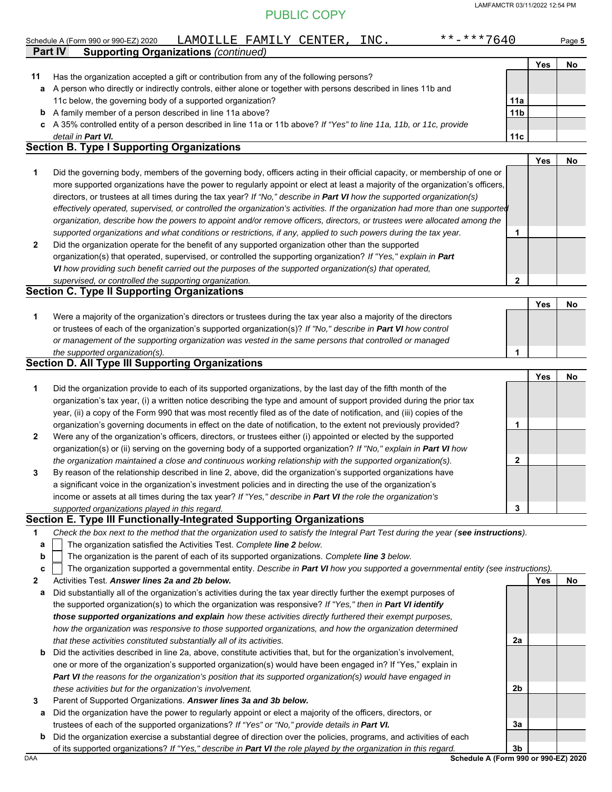|                  | <b>PUBLIC COPY</b>                                                                                                                                                                                                                                                                                                                                                                                                                                                                                                       | LAMFAMCTR 03/11/2022 12:54 PM |     |        |
|------------------|--------------------------------------------------------------------------------------------------------------------------------------------------------------------------------------------------------------------------------------------------------------------------------------------------------------------------------------------------------------------------------------------------------------------------------------------------------------------------------------------------------------------------|-------------------------------|-----|--------|
|                  | **-***7640<br>LAMOILLE FAMILY CENTER,<br>INC.<br>Schedule A (Form 990 or 990-EZ) 2020                                                                                                                                                                                                                                                                                                                                                                                                                                    |                               |     | Page 5 |
|                  | <b>Supporting Organizations (continued)</b><br><b>Part IV</b>                                                                                                                                                                                                                                                                                                                                                                                                                                                            |                               |     |        |
| 11               | Has the organization accepted a gift or contribution from any of the following persons?<br>A person who directly or indirectly controls, either alone or together with persons described in lines 11b and                                                                                                                                                                                                                                                                                                                |                               | Yes | No     |
| а                | 11c below, the governing body of a supported organization?                                                                                                                                                                                                                                                                                                                                                                                                                                                               | 11a                           |     |        |
| b                | A family member of a person described in line 11a above?<br>c A 35% controlled entity of a person described in line 11a or 11b above? If "Yes" to line 11a, 11b, or 11c, provide                                                                                                                                                                                                                                                                                                                                         | 11 <sub>b</sub>               |     |        |
|                  | detail in <b>Part VI.</b>                                                                                                                                                                                                                                                                                                                                                                                                                                                                                                | 11c                           |     |        |
|                  | <b>Section B. Type I Supporting Organizations</b>                                                                                                                                                                                                                                                                                                                                                                                                                                                                        |                               |     |        |
| 1                | Did the governing body, members of the governing body, officers acting in their official capacity, or membership of one or<br>more supported organizations have the power to regularly appoint or elect at least a majority of the organization's officers,<br>directors, or trustees at all times during the tax year? If "No," describe in Part VI how the supported organization(s)<br>effectively operated, supervised, or controlled the organization's activities. If the organization had more than one supported |                               | Yes | No     |
|                  | organization, describe how the powers to appoint and/or remove officers, directors, or trustees were allocated among the<br>supported organizations and what conditions or restrictions, if any, applied to such powers during the tax year.                                                                                                                                                                                                                                                                             | 1                             |     |        |
| $\mathbf{2}$     | Did the organization operate for the benefit of any supported organization other than the supported                                                                                                                                                                                                                                                                                                                                                                                                                      |                               |     |        |
|                  | organization(s) that operated, supervised, or controlled the supporting organization? If "Yes," explain in Part<br>VI how providing such benefit carried out the purposes of the supported organization(s) that operated,                                                                                                                                                                                                                                                                                                |                               |     |        |
|                  | supervised, or controlled the supporting organization.                                                                                                                                                                                                                                                                                                                                                                                                                                                                   | 2                             |     |        |
|                  | <b>Section C. Type II Supporting Organizations</b>                                                                                                                                                                                                                                                                                                                                                                                                                                                                       |                               |     |        |
| 1                | Were a majority of the organization's directors or trustees during the tax year also a majority of the directors<br>or trustees of each of the organization's supported organization(s)? If "No," describe in Part VI how control                                                                                                                                                                                                                                                                                        |                               | Yes | No     |
|                  | or management of the supporting organization was vested in the same persons that controlled or managed                                                                                                                                                                                                                                                                                                                                                                                                                   |                               |     |        |
|                  | the supported organization(s).                                                                                                                                                                                                                                                                                                                                                                                                                                                                                           | 1                             |     |        |
|                  | <b>Section D. All Type III Supporting Organizations</b>                                                                                                                                                                                                                                                                                                                                                                                                                                                                  |                               |     |        |
| 1                | Did the organization provide to each of its supported organizations, by the last day of the fifth month of the                                                                                                                                                                                                                                                                                                                                                                                                           |                               | Yes | No     |
|                  | organization's tax year, (i) a written notice describing the type and amount of support provided during the prior tax                                                                                                                                                                                                                                                                                                                                                                                                    |                               |     |        |
|                  | year, (ii) a copy of the Form 990 that was most recently filed as of the date of notification, and (iii) copies of the                                                                                                                                                                                                                                                                                                                                                                                                   |                               |     |        |
|                  | organization's governing documents in effect on the date of notification, to the extent not previously provided?                                                                                                                                                                                                                                                                                                                                                                                                         | 1                             |     |        |
| 2                | Were any of the organization's officers, directors, or trustees either (i) appointed or elected by the supported                                                                                                                                                                                                                                                                                                                                                                                                         |                               |     |        |
|                  | organization(s) or (ii) serving on the governing body of a supported organization? If "No," explain in Part VI how                                                                                                                                                                                                                                                                                                                                                                                                       |                               |     |        |
|                  | the organization maintained a close and continuous working relationship with the supported organization(s).                                                                                                                                                                                                                                                                                                                                                                                                              | $\mathbf{2}$                  |     |        |
| 3                | By reason of the relationship described in line 2, above, did the organization's supported organizations have                                                                                                                                                                                                                                                                                                                                                                                                            |                               |     |        |
|                  | a significant voice in the organization's investment policies and in directing the use of the organization's                                                                                                                                                                                                                                                                                                                                                                                                             |                               |     |        |
|                  | income or assets at all times during the tax year? If "Yes," describe in Part VI the role the organization's                                                                                                                                                                                                                                                                                                                                                                                                             |                               |     |        |
|                  | supported organizations played in this regard.                                                                                                                                                                                                                                                                                                                                                                                                                                                                           | 3                             |     |        |
|                  | Section E. Type III Functionally-Integrated Supporting Organizations                                                                                                                                                                                                                                                                                                                                                                                                                                                     |                               |     |        |
| 1<br>а<br>b<br>c | Check the box next to the method that the organization used to satisfy the Integral Part Test during the year (see instructions).<br>The organization satisfied the Activities Test. Complete line 2 below.<br>The organization is the parent of each of its supported organizations. Complete line 3 below.<br>The organization supported a governmental entity. Describe in Part VI how you supported a governmental entity (see instructions).                                                                        |                               |     |        |
| 2                | Activities Test. Answer lines 2a and 2b below.                                                                                                                                                                                                                                                                                                                                                                                                                                                                           |                               | Yes | No     |
| а                | Did substantially all of the organization's activities during the tax year directly further the exempt purposes of<br>the supported organization(s) to which the organization was responsive? If "Yes," then in Part VI identify                                                                                                                                                                                                                                                                                         |                               |     |        |
|                  | those supported organizations and explain how these activities directly furthered their exempt purposes,                                                                                                                                                                                                                                                                                                                                                                                                                 |                               |     |        |
|                  | how the organization was responsive to those supported organizations, and how the organization determined                                                                                                                                                                                                                                                                                                                                                                                                                |                               |     |        |
|                  | that these activities constituted substantially all of its activities.                                                                                                                                                                                                                                                                                                                                                                                                                                                   | 2a                            |     |        |
| b                | Did the activities described in line 2a, above, constitute activities that, but for the organization's involvement,                                                                                                                                                                                                                                                                                                                                                                                                      |                               |     |        |
|                  | one or more of the organization's supported organization(s) would have been engaged in? If "Yes," explain in                                                                                                                                                                                                                                                                                                                                                                                                             |                               |     |        |
|                  | Part VI the reasons for the organization's position that its supported organization(s) would have engaged in                                                                                                                                                                                                                                                                                                                                                                                                             |                               |     |        |
|                  | these activities but for the organization's involvement.                                                                                                                                                                                                                                                                                                                                                                                                                                                                 | 2b                            |     |        |

- **3** Parent of Supported Organizations. *Answer lines 3a and 3b below.*
- **a** Did the organization have the power to regularly appoint or elect a majority of the officers, directors, or trustees of each of the supported organizations? *If "Yes" or "No," provide details in Part VI.*
- **b** Did the organization exercise a substantial degree of direction over the policies, programs, and activities of each of its supported organizations? *If "Yes," describe in Part VI the role played by the organization in this regard.*

DAA **Schedule A (Form 990 or 990-EZ) 2020 3b**

**3a**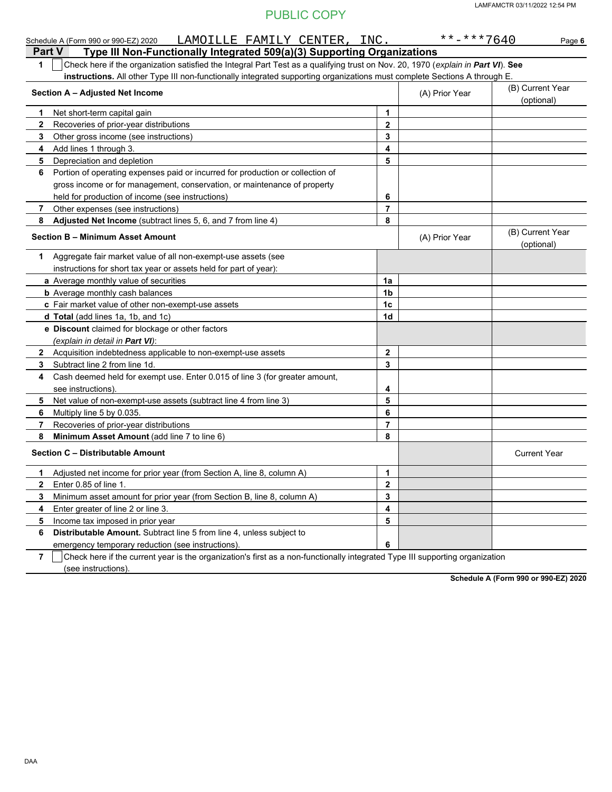|                | LAMOILLE FAMILY CENTER, INC.<br>Schedule A (Form 990 or 990-EZ) 2020                                                                                         |                | **-***7640     | Page 6                         |
|----------------|--------------------------------------------------------------------------------------------------------------------------------------------------------------|----------------|----------------|--------------------------------|
| <b>Part V</b>  | Type III Non-Functionally Integrated 509(a)(3) Supporting Organizations                                                                                      |                |                |                                |
| 1              | Check here if the organization satisfied the Integral Part Test as a qualifying trust on Nov. 20, 1970 (explain in Part VI). See                             |                |                |                                |
|                | instructions. All other Type III non-functionally integrated supporting organizations must complete Sections A through E.<br>Section A - Adjusted Net Income |                | (A) Prior Year | (B) Current Year<br>(optional) |
| 1              | Net short-term capital gain                                                                                                                                  | 1              |                |                                |
| $\mathbf{2}$   | Recoveries of prior-year distributions                                                                                                                       | $\mathbf{2}$   |                |                                |
| 3              | Other gross income (see instructions)                                                                                                                        | 3              |                |                                |
|                | 4 Add lines 1 through 3.                                                                                                                                     | 4              |                |                                |
| 5              | Depreciation and depletion                                                                                                                                   | 5              |                |                                |
| 6              | Portion of operating expenses paid or incurred for production or collection of                                                                               |                |                |                                |
|                | gross income or for management, conservation, or maintenance of property                                                                                     |                |                |                                |
|                | held for production of income (see instructions)                                                                                                             | 6              |                |                                |
| 7              | Other expenses (see instructions)                                                                                                                            | $\overline{7}$ |                |                                |
| 8              | Adjusted Net Income (subtract lines 5, 6, and 7 from line 4)                                                                                                 | 8              |                |                                |
|                | <b>Section B - Minimum Asset Amount</b>                                                                                                                      |                | (A) Prior Year | (B) Current Year<br>(optional) |
| 1.             | Aggregate fair market value of all non-exempt-use assets (see                                                                                                |                |                |                                |
|                | instructions for short tax year or assets held for part of year):                                                                                            |                |                |                                |
|                | a Average monthly value of securities                                                                                                                        | 1a             |                |                                |
|                | <b>b</b> Average monthly cash balances                                                                                                                       | 1b             |                |                                |
|                | c Fair market value of other non-exempt-use assets                                                                                                           | 1 <sub>c</sub> |                |                                |
|                | d Total (add lines 1a, 1b, and 1c)                                                                                                                           | 1 <sub>d</sub> |                |                                |
|                | e Discount claimed for blockage or other factors                                                                                                             |                |                |                                |
|                | (explain in detail in Part VI):                                                                                                                              |                |                |                                |
|                | 2 Acquisition indebtedness applicable to non-exempt-use assets                                                                                               | $\mathbf{2}$   |                |                                |
| 3              | Subtract line 2 from line 1d.                                                                                                                                | 3              |                |                                |
| 4              | Cash deemed held for exempt use. Enter 0.015 of line 3 (for greater amount,                                                                                  |                |                |                                |
|                | see instructions)                                                                                                                                            | 4              |                |                                |
| 5              | Net value of non-exempt-use assets (subtract line 4 from line 3)                                                                                             | 5              |                |                                |
| 6.             | Multiply line 5 by 0.035.                                                                                                                                    | 6              |                |                                |
| 7              | Recoveries of prior-year distributions                                                                                                                       | $\overline{7}$ |                |                                |
| 8              | Minimum Asset Amount (add line 7 to line 6)                                                                                                                  | 8              |                |                                |
|                | Section C - Distributable Amount                                                                                                                             |                |                | <b>Current Year</b>            |
| 1              | Adjusted net income for prior year (from Section A, line 8, column A)                                                                                        | 1              |                |                                |
| $\mathbf{2}$   | Enter 0.85 of line 1.                                                                                                                                        | 2              |                |                                |
| 3              | Minimum asset amount for prior year (from Section B, line 8, column A)                                                                                       | 3              |                |                                |
| 4              | Enter greater of line 2 or line 3.                                                                                                                           | 4              |                |                                |
| 5              | Income tax imposed in prior year                                                                                                                             | 5              |                |                                |
| 6              | Distributable Amount. Subtract line 5 from line 4, unless subject to                                                                                         |                |                |                                |
|                | emergency temporary reduction (see instructions).                                                                                                            | 6              |                |                                |
| $\overline{7}$ | Check here if the current year is the organization's first as a non-functionally integrated Type III supporting organization                                 |                |                |                                |

(see instructions).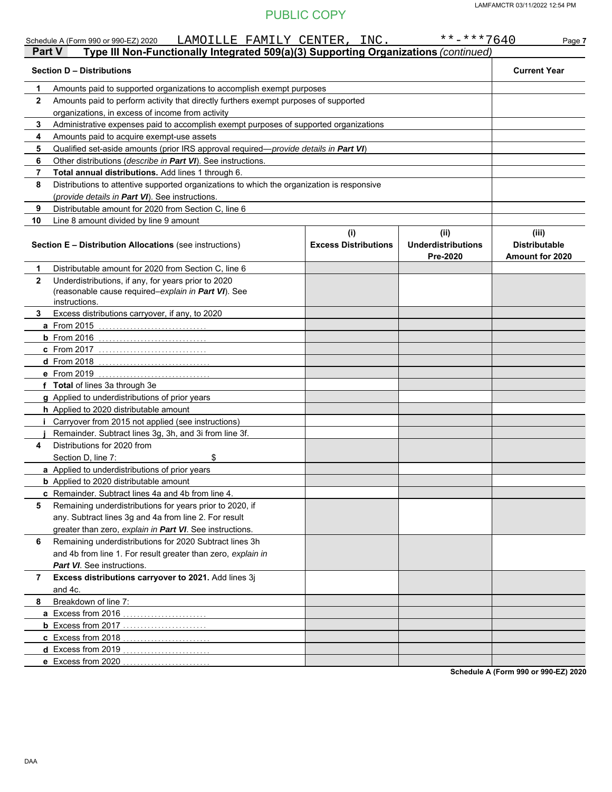|               | LAMOILLE FAMILY CENTER, INC.<br>Schedule A (Form 990 or 990-EZ) 2020                                                                      |                             | **-***7640                            | Page 7                                         |  |  |  |  |
|---------------|-------------------------------------------------------------------------------------------------------------------------------------------|-----------------------------|---------------------------------------|------------------------------------------------|--|--|--|--|
| <b>Part V</b> | Type III Non-Functionally Integrated 509(a)(3) Supporting Organizations (continued)                                                       |                             |                                       |                                                |  |  |  |  |
|               | <b>Section D - Distributions</b>                                                                                                          |                             |                                       | <b>Current Year</b>                            |  |  |  |  |
| 1             |                                                                                                                                           |                             |                                       |                                                |  |  |  |  |
| $\mathbf{2}$  |                                                                                                                                           |                             |                                       |                                                |  |  |  |  |
|               |                                                                                                                                           |                             |                                       |                                                |  |  |  |  |
| 3             | organizations, in excess of income from activity<br>Administrative expenses paid to accomplish exempt purposes of supported organizations |                             |                                       |                                                |  |  |  |  |
| 4             | Amounts paid to acquire exempt-use assets                                                                                                 |                             |                                       |                                                |  |  |  |  |
| 5             | Qualified set-aside amounts (prior IRS approval required— <i>provide details in Part VI</i> )                                             |                             |                                       |                                                |  |  |  |  |
| 6             | Other distributions ( <i>describe in <b>Part VI</b></i> ). See instructions.                                                              |                             |                                       |                                                |  |  |  |  |
| 7             | Total annual distributions. Add lines 1 through 6.                                                                                        |                             |                                       |                                                |  |  |  |  |
| 8             | Distributions to attentive supported organizations to which the organization is responsive                                                |                             |                                       |                                                |  |  |  |  |
|               | (provide details in Part VI). See instructions.                                                                                           |                             |                                       |                                                |  |  |  |  |
| 9             | Distributable amount for 2020 from Section C, line 6                                                                                      |                             |                                       |                                                |  |  |  |  |
| 10            | Line 8 amount divided by line 9 amount                                                                                                    |                             |                                       |                                                |  |  |  |  |
|               |                                                                                                                                           | (i)                         | (ii)                                  | (iii)                                          |  |  |  |  |
|               | <b>Section E - Distribution Allocations</b> (see instructions)                                                                            | <b>Excess Distributions</b> | <b>Underdistributions</b><br>Pre-2020 | <b>Distributable</b><br><b>Amount for 2020</b> |  |  |  |  |
| 1             | Distributable amount for 2020 from Section C, line 6                                                                                      |                             |                                       |                                                |  |  |  |  |
| $\mathbf{2}$  | Underdistributions, if any, for years prior to 2020                                                                                       |                             |                                       |                                                |  |  |  |  |
|               | (reasonable cause required-explain in Part VI). See                                                                                       |                             |                                       |                                                |  |  |  |  |
|               | instructions.                                                                                                                             |                             |                                       |                                                |  |  |  |  |
| 3             | Excess distributions carryover, if any, to 2020                                                                                           |                             |                                       |                                                |  |  |  |  |
|               | a From 2015                                                                                                                               |                             |                                       |                                                |  |  |  |  |
|               | $b$ From 2016                                                                                                                             |                             |                                       |                                                |  |  |  |  |
|               | c From 2017                                                                                                                               |                             |                                       |                                                |  |  |  |  |
|               | d From 2018                                                                                                                               |                             |                                       |                                                |  |  |  |  |
|               | e From 2019                                                                                                                               |                             |                                       |                                                |  |  |  |  |
|               | f Total of lines 3a through 3e                                                                                                            |                             |                                       |                                                |  |  |  |  |
|               | g Applied to underdistributions of prior years                                                                                            |                             |                                       |                                                |  |  |  |  |
|               | h Applied to 2020 distributable amount                                                                                                    |                             |                                       |                                                |  |  |  |  |
|               | Carryover from 2015 not applied (see instructions)                                                                                        |                             |                                       |                                                |  |  |  |  |
|               | Remainder. Subtract lines 3g, 3h, and 3i from line 3f.                                                                                    |                             |                                       |                                                |  |  |  |  |
| 4             | Distributions for 2020 from                                                                                                               |                             |                                       |                                                |  |  |  |  |
|               | Section D, line 7:<br>\$                                                                                                                  |                             |                                       |                                                |  |  |  |  |
|               | a Applied to underdistributions of prior years                                                                                            |                             |                                       |                                                |  |  |  |  |
|               | <b>b</b> Applied to 2020 distributable amount                                                                                             |                             |                                       |                                                |  |  |  |  |
|               | c Remainder. Subtract lines 4a and 4b from line 4.                                                                                        |                             |                                       |                                                |  |  |  |  |
| 5             | Remaining underdistributions for years prior to 2020, if                                                                                  |                             |                                       |                                                |  |  |  |  |
|               | any. Subtract lines 3g and 4a from line 2. For result                                                                                     |                             |                                       |                                                |  |  |  |  |
|               | greater than zero, explain in Part VI. See instructions.                                                                                  |                             |                                       |                                                |  |  |  |  |
| 6             | Remaining underdistributions for 2020 Subtract lines 3h                                                                                   |                             |                                       |                                                |  |  |  |  |
|               | and 4b from line 1. For result greater than zero, explain in                                                                              |                             |                                       |                                                |  |  |  |  |
|               | <b>Part VI</b> See instructions.                                                                                                          |                             |                                       |                                                |  |  |  |  |
| 7             | Excess distributions carryover to 2021. Add lines 3j                                                                                      |                             |                                       |                                                |  |  |  |  |
|               | and 4c.                                                                                                                                   |                             |                                       |                                                |  |  |  |  |
| 8             | Breakdown of line 7:                                                                                                                      |                             |                                       |                                                |  |  |  |  |
|               | a Excess from 2016                                                                                                                        |                             |                                       |                                                |  |  |  |  |
|               | <b>b</b> Excess from 2017                                                                                                                 |                             |                                       |                                                |  |  |  |  |
|               | c Excess from 2018                                                                                                                        |                             |                                       |                                                |  |  |  |  |
|               | d Excess from 2019                                                                                                                        |                             |                                       |                                                |  |  |  |  |
|               | e Excess from 2020                                                                                                                        |                             |                                       |                                                |  |  |  |  |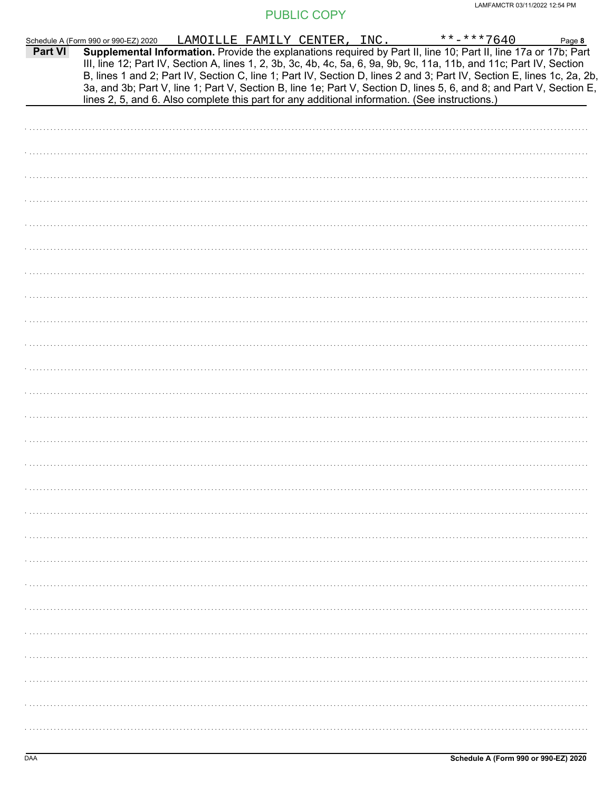|         | Schedule A (Form 990 or 990-EZ) 2020 LAMOILLE FAMILY CENTER, INC. |  |  | **-***7640                                                                                                                                                                                                                                                                                                                                                                                                                                                                                                                                                                                  | Page 8 |
|---------|-------------------------------------------------------------------|--|--|---------------------------------------------------------------------------------------------------------------------------------------------------------------------------------------------------------------------------------------------------------------------------------------------------------------------------------------------------------------------------------------------------------------------------------------------------------------------------------------------------------------------------------------------------------------------------------------------|--------|
| Part VI |                                                                   |  |  | Supplemental Information. Provide the explanations required by Part II, line 10; Part II, line 17a or 17b; Part<br>III, line 12; Part IV, Section A, lines 1, 2, 3b, 3c, 4b, 4c, 5a, 6, 9a, 9b, 9c, 11a, 11b, and 11c; Part IV, Section<br>B, lines 1 and 2; Part IV, Section C, line 1; Part IV, Section D, lines 2 and 3; Part IV, Section E, lines 1c, 2a, 2b,<br>3a, and 3b; Part V, line 1; Part V, Section B, line 1e; Part V, Section D, lines 5, 6, and 8; and Part V, Section E,<br>lines 2, 5, and 6. Also complete this part for any additional information. (See instructions.) |        |
|         |                                                                   |  |  |                                                                                                                                                                                                                                                                                                                                                                                                                                                                                                                                                                                             |        |
|         |                                                                   |  |  |                                                                                                                                                                                                                                                                                                                                                                                                                                                                                                                                                                                             |        |
|         |                                                                   |  |  |                                                                                                                                                                                                                                                                                                                                                                                                                                                                                                                                                                                             |        |
|         |                                                                   |  |  |                                                                                                                                                                                                                                                                                                                                                                                                                                                                                                                                                                                             |        |
|         |                                                                   |  |  |                                                                                                                                                                                                                                                                                                                                                                                                                                                                                                                                                                                             |        |
|         |                                                                   |  |  |                                                                                                                                                                                                                                                                                                                                                                                                                                                                                                                                                                                             |        |
|         |                                                                   |  |  |                                                                                                                                                                                                                                                                                                                                                                                                                                                                                                                                                                                             |        |
|         |                                                                   |  |  |                                                                                                                                                                                                                                                                                                                                                                                                                                                                                                                                                                                             |        |
|         |                                                                   |  |  |                                                                                                                                                                                                                                                                                                                                                                                                                                                                                                                                                                                             |        |
|         |                                                                   |  |  |                                                                                                                                                                                                                                                                                                                                                                                                                                                                                                                                                                                             |        |
|         |                                                                   |  |  |                                                                                                                                                                                                                                                                                                                                                                                                                                                                                                                                                                                             |        |
|         |                                                                   |  |  |                                                                                                                                                                                                                                                                                                                                                                                                                                                                                                                                                                                             |        |
|         |                                                                   |  |  |                                                                                                                                                                                                                                                                                                                                                                                                                                                                                                                                                                                             |        |
|         |                                                                   |  |  |                                                                                                                                                                                                                                                                                                                                                                                                                                                                                                                                                                                             |        |
|         |                                                                   |  |  |                                                                                                                                                                                                                                                                                                                                                                                                                                                                                                                                                                                             |        |
|         |                                                                   |  |  |                                                                                                                                                                                                                                                                                                                                                                                                                                                                                                                                                                                             |        |
|         |                                                                   |  |  |                                                                                                                                                                                                                                                                                                                                                                                                                                                                                                                                                                                             |        |
|         |                                                                   |  |  |                                                                                                                                                                                                                                                                                                                                                                                                                                                                                                                                                                                             |        |
|         |                                                                   |  |  |                                                                                                                                                                                                                                                                                                                                                                                                                                                                                                                                                                                             |        |
|         |                                                                   |  |  |                                                                                                                                                                                                                                                                                                                                                                                                                                                                                                                                                                                             |        |
|         |                                                                   |  |  |                                                                                                                                                                                                                                                                                                                                                                                                                                                                                                                                                                                             |        |
|         |                                                                   |  |  |                                                                                                                                                                                                                                                                                                                                                                                                                                                                                                                                                                                             |        |
|         |                                                                   |  |  |                                                                                                                                                                                                                                                                                                                                                                                                                                                                                                                                                                                             |        |
|         |                                                                   |  |  |                                                                                                                                                                                                                                                                                                                                                                                                                                                                                                                                                                                             |        |
|         |                                                                   |  |  |                                                                                                                                                                                                                                                                                                                                                                                                                                                                                                                                                                                             |        |
|         |                                                                   |  |  |                                                                                                                                                                                                                                                                                                                                                                                                                                                                                                                                                                                             |        |
|         |                                                                   |  |  |                                                                                                                                                                                                                                                                                                                                                                                                                                                                                                                                                                                             |        |
|         |                                                                   |  |  |                                                                                                                                                                                                                                                                                                                                                                                                                                                                                                                                                                                             |        |
|         |                                                                   |  |  |                                                                                                                                                                                                                                                                                                                                                                                                                                                                                                                                                                                             |        |
|         |                                                                   |  |  |                                                                                                                                                                                                                                                                                                                                                                                                                                                                                                                                                                                             |        |
|         |                                                                   |  |  |                                                                                                                                                                                                                                                                                                                                                                                                                                                                                                                                                                                             |        |
|         |                                                                   |  |  |                                                                                                                                                                                                                                                                                                                                                                                                                                                                                                                                                                                             |        |
|         |                                                                   |  |  |                                                                                                                                                                                                                                                                                                                                                                                                                                                                                                                                                                                             |        |
|         |                                                                   |  |  |                                                                                                                                                                                                                                                                                                                                                                                                                                                                                                                                                                                             |        |
|         |                                                                   |  |  |                                                                                                                                                                                                                                                                                                                                                                                                                                                                                                                                                                                             |        |
|         |                                                                   |  |  |                                                                                                                                                                                                                                                                                                                                                                                                                                                                                                                                                                                             |        |
|         |                                                                   |  |  |                                                                                                                                                                                                                                                                                                                                                                                                                                                                                                                                                                                             |        |
|         |                                                                   |  |  |                                                                                                                                                                                                                                                                                                                                                                                                                                                                                                                                                                                             |        |
|         |                                                                   |  |  |                                                                                                                                                                                                                                                                                                                                                                                                                                                                                                                                                                                             |        |
|         |                                                                   |  |  |                                                                                                                                                                                                                                                                                                                                                                                                                                                                                                                                                                                             |        |
|         |                                                                   |  |  |                                                                                                                                                                                                                                                                                                                                                                                                                                                                                                                                                                                             |        |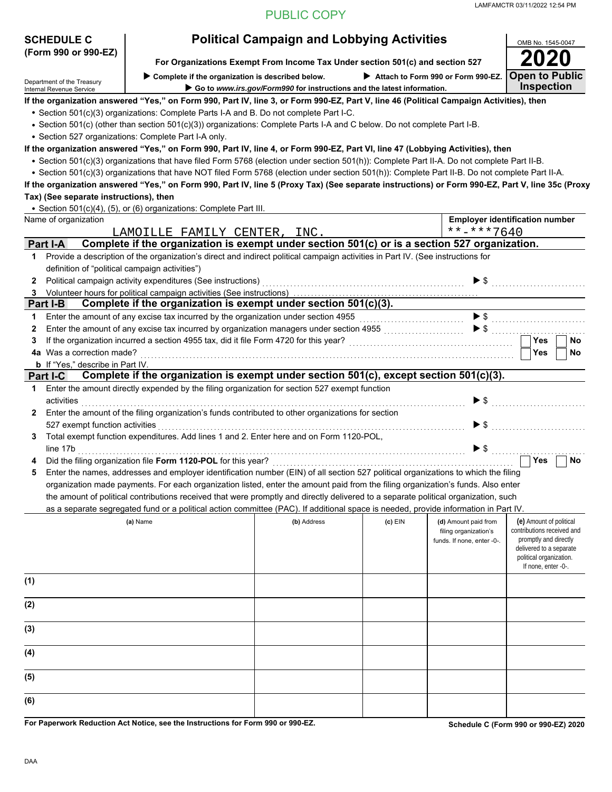| (Form 990 or 990-EZ)<br>For Organizations Exempt From Income Tax Under section 501(c) and section 527<br><b>Open to Public</b><br>Complete if the organization is described below.<br>Attach to Form 990 or Form 990-EZ.<br>Department of the Treasury<br>Internal Revenue Service<br><b>Inspection</b><br>Go to www.irs.gov/Form990 for instructions and the latest information.<br>If the organization answered "Yes," on Form 990, Part IV, line 3, or Form 990-EZ, Part V, line 46 (Political Campaign Activities), then<br>• Section 501(c)(3) organizations: Complete Parts I-A and B. Do not complete Part I-C.<br>• Section 501(c) (other than section 501(c)(3)) organizations: Complete Parts I-A and C below. Do not complete Part I-B.<br>• Section 527 organizations: Complete Part I-A only.<br>If the organization answered "Yes," on Form 990, Part IV, line 4, or Form 990-EZ, Part VI, line 47 (Lobbying Activities), then<br>· Section 501(c)(3) organizations that have filed Form 5768 (election under section 501(h)): Complete Part II-A. Do not complete Part II-B.<br>• Section 501(c)(3) organizations that have NOT filed Form 5768 (election under section 501(h)): Complete Part II-B. Do not complete Part II-A.<br>If the organization answered "Yes," on Form 990, Part IV, line 5 (Proxy Tax) (See separate instructions) or Form 990-EZ, Part V, line 35c (Proxy<br>Tax) (See separate instructions), then<br>• Section 501(c)(4), (5), or (6) organizations: Complete Part III.<br><b>Employer identification number</b><br>Name of organization<br>**-***7640<br>LAMOILLE FAMILY CENTER, INC.<br>Complete if the organization is exempt under section 501(c) or is a section 527 organization.<br>Part I-A<br>Provide a description of the organization's direct and indirect political campaign activities in Part IV. (See instructions for<br>1<br>definition of "political campaign activities")<br>Political campaign activity expenditures (See instructions)<br>2<br>$\triangleright$ s<br>3<br>Complete if the organization is exempt under section 501(c)(3).<br>Part I-B<br>Enter the amount of any excise tax incurred by the organization under section 4955<br>$\blacktriangleright$ \$<br>1<br>Enter the amount of any excise tax incurred by organization managers under section 4955<br>2<br>If the organization incurred a section 4955 tax, did it file Form 4720 for this year?<br>3<br>Yes<br>No<br>and a complete the contract of the complete the complete the complete the complete the complete the complete t<br>4a Was a correction made?<br>Yes<br>No<br><b>b</b> If "Yes," describe in Part IV.<br>Complete if the organization is exempt under section 501(c), except section 501(c)(3).<br>Part I-C<br>Enter the amount directly expended by the filing organization for section 527 exempt function<br>1<br>activities<br>$\blacktriangleright$ \$<br>Enter the amount of the filing organization's funds contributed to other organizations for section<br>$\mathbf{2}^{\circ}$<br>527 exempt function activities<br>$\blacktriangleright$ \$<br>Total exempt function expenditures. Add lines 1 and 2. Enter here and on Form 1120-POL,<br>3<br>line 17b<br>$\blacktriangleright$ s<br>Did the filing organization file Form 1120-POL for this year?<br>Yes<br>No<br>Enter the names, addresses and employer identification number (EIN) of all section 527 political organizations to which the filing<br>5<br>organization made payments. For each organization listed, enter the amount paid from the filing organization's funds. Also enter<br>the amount of political contributions received that were promptly and directly delivered to a separate political organization, such<br>as a separate segregated fund or a political action committee (PAC). If additional space is needed, provide information in Part IV.<br>(e) Amount of political<br>(a) Name<br>(b) Address<br>$(c)$ EIN<br>(d) Amount paid from<br>contributions received and<br>filing organization's<br>promptly and directly<br>funds. If none, enter -0-.<br>delivered to a separate<br>political organization.<br>If none, enter -0-.<br>(1) | <b>SCHEDULE C</b> | <b>Political Campaign and Lobbying Activities</b> | OMB No. 1545-0047 |  |  |
|--------------------------------------------------------------------------------------------------------------------------------------------------------------------------------------------------------------------------------------------------------------------------------------------------------------------------------------------------------------------------------------------------------------------------------------------------------------------------------------------------------------------------------------------------------------------------------------------------------------------------------------------------------------------------------------------------------------------------------------------------------------------------------------------------------------------------------------------------------------------------------------------------------------------------------------------------------------------------------------------------------------------------------------------------------------------------------------------------------------------------------------------------------------------------------------------------------------------------------------------------------------------------------------------------------------------------------------------------------------------------------------------------------------------------------------------------------------------------------------------------------------------------------------------------------------------------------------------------------------------------------------------------------------------------------------------------------------------------------------------------------------------------------------------------------------------------------------------------------------------------------------------------------------------------------------------------------------------------------------------------------------------------------------------------------------------------------------------------------------------------------------------------------------------------------------------------------------------------------------------------------------------------------------------------------------------------------------------------------------------------------------------------------------------------------------------------------------------------------------------------------------------------------------------------------------------------------------------------------------------------------------------------------------------------------------------------------------------------------------------------------------------------------------------------------------------------------------------------------------------------------------------------------------------------------------------------------------------------------------------------------------------------------------------------------------------------------------------------------------------------------------------------------------------------------------------------------------------------------------------------------------------------------------------------------------------------------------------------------------------------------------------------------------------------------------------------------------------------------------------------------------------------------------------------------------------------------------------------------------------------------------------------------------------------------------------------------------------------------------------------------------------------------------------------------------------------------------------------------------------------------------------------------------------------------------------------------------------------------------------------------------------------------------------------------------------------------------------------------------------------------------------------------------------------------------------------|-------------------|---------------------------------------------------|-------------------|--|--|
|                                                                                                                                                                                                                                                                                                                                                                                                                                                                                                                                                                                                                                                                                                                                                                                                                                                                                                                                                                                                                                                                                                                                                                                                                                                                                                                                                                                                                                                                                                                                                                                                                                                                                                                                                                                                                                                                                                                                                                                                                                                                                                                                                                                                                                                                                                                                                                                                                                                                                                                                                                                                                                                                                                                                                                                                                                                                                                                                                                                                                                                                                                                                                                                                                                                                                                                                                                                                                                                                                                                                                                                                                                                                                                                                                                                                                                                                                                                                                                                                                                                                                                                                                                                                  |                   |                                                   |                   |  |  |
|                                                                                                                                                                                                                                                                                                                                                                                                                                                                                                                                                                                                                                                                                                                                                                                                                                                                                                                                                                                                                                                                                                                                                                                                                                                                                                                                                                                                                                                                                                                                                                                                                                                                                                                                                                                                                                                                                                                                                                                                                                                                                                                                                                                                                                                                                                                                                                                                                                                                                                                                                                                                                                                                                                                                                                                                                                                                                                                                                                                                                                                                                                                                                                                                                                                                                                                                                                                                                                                                                                                                                                                                                                                                                                                                                                                                                                                                                                                                                                                                                                                                                                                                                                                                  |                   |                                                   |                   |  |  |
|                                                                                                                                                                                                                                                                                                                                                                                                                                                                                                                                                                                                                                                                                                                                                                                                                                                                                                                                                                                                                                                                                                                                                                                                                                                                                                                                                                                                                                                                                                                                                                                                                                                                                                                                                                                                                                                                                                                                                                                                                                                                                                                                                                                                                                                                                                                                                                                                                                                                                                                                                                                                                                                                                                                                                                                                                                                                                                                                                                                                                                                                                                                                                                                                                                                                                                                                                                                                                                                                                                                                                                                                                                                                                                                                                                                                                                                                                                                                                                                                                                                                                                                                                                                                  |                   |                                                   |                   |  |  |
|                                                                                                                                                                                                                                                                                                                                                                                                                                                                                                                                                                                                                                                                                                                                                                                                                                                                                                                                                                                                                                                                                                                                                                                                                                                                                                                                                                                                                                                                                                                                                                                                                                                                                                                                                                                                                                                                                                                                                                                                                                                                                                                                                                                                                                                                                                                                                                                                                                                                                                                                                                                                                                                                                                                                                                                                                                                                                                                                                                                                                                                                                                                                                                                                                                                                                                                                                                                                                                                                                                                                                                                                                                                                                                                                                                                                                                                                                                                                                                                                                                                                                                                                                                                                  |                   |                                                   |                   |  |  |
|                                                                                                                                                                                                                                                                                                                                                                                                                                                                                                                                                                                                                                                                                                                                                                                                                                                                                                                                                                                                                                                                                                                                                                                                                                                                                                                                                                                                                                                                                                                                                                                                                                                                                                                                                                                                                                                                                                                                                                                                                                                                                                                                                                                                                                                                                                                                                                                                                                                                                                                                                                                                                                                                                                                                                                                                                                                                                                                                                                                                                                                                                                                                                                                                                                                                                                                                                                                                                                                                                                                                                                                                                                                                                                                                                                                                                                                                                                                                                                                                                                                                                                                                                                                                  |                   |                                                   |                   |  |  |
|                                                                                                                                                                                                                                                                                                                                                                                                                                                                                                                                                                                                                                                                                                                                                                                                                                                                                                                                                                                                                                                                                                                                                                                                                                                                                                                                                                                                                                                                                                                                                                                                                                                                                                                                                                                                                                                                                                                                                                                                                                                                                                                                                                                                                                                                                                                                                                                                                                                                                                                                                                                                                                                                                                                                                                                                                                                                                                                                                                                                                                                                                                                                                                                                                                                                                                                                                                                                                                                                                                                                                                                                                                                                                                                                                                                                                                                                                                                                                                                                                                                                                                                                                                                                  |                   |                                                   |                   |  |  |
|                                                                                                                                                                                                                                                                                                                                                                                                                                                                                                                                                                                                                                                                                                                                                                                                                                                                                                                                                                                                                                                                                                                                                                                                                                                                                                                                                                                                                                                                                                                                                                                                                                                                                                                                                                                                                                                                                                                                                                                                                                                                                                                                                                                                                                                                                                                                                                                                                                                                                                                                                                                                                                                                                                                                                                                                                                                                                                                                                                                                                                                                                                                                                                                                                                                                                                                                                                                                                                                                                                                                                                                                                                                                                                                                                                                                                                                                                                                                                                                                                                                                                                                                                                                                  |                   |                                                   |                   |  |  |
|                                                                                                                                                                                                                                                                                                                                                                                                                                                                                                                                                                                                                                                                                                                                                                                                                                                                                                                                                                                                                                                                                                                                                                                                                                                                                                                                                                                                                                                                                                                                                                                                                                                                                                                                                                                                                                                                                                                                                                                                                                                                                                                                                                                                                                                                                                                                                                                                                                                                                                                                                                                                                                                                                                                                                                                                                                                                                                                                                                                                                                                                                                                                                                                                                                                                                                                                                                                                                                                                                                                                                                                                                                                                                                                                                                                                                                                                                                                                                                                                                                                                                                                                                                                                  |                   |                                                   |                   |  |  |
|                                                                                                                                                                                                                                                                                                                                                                                                                                                                                                                                                                                                                                                                                                                                                                                                                                                                                                                                                                                                                                                                                                                                                                                                                                                                                                                                                                                                                                                                                                                                                                                                                                                                                                                                                                                                                                                                                                                                                                                                                                                                                                                                                                                                                                                                                                                                                                                                                                                                                                                                                                                                                                                                                                                                                                                                                                                                                                                                                                                                                                                                                                                                                                                                                                                                                                                                                                                                                                                                                                                                                                                                                                                                                                                                                                                                                                                                                                                                                                                                                                                                                                                                                                                                  |                   |                                                   |                   |  |  |
|                                                                                                                                                                                                                                                                                                                                                                                                                                                                                                                                                                                                                                                                                                                                                                                                                                                                                                                                                                                                                                                                                                                                                                                                                                                                                                                                                                                                                                                                                                                                                                                                                                                                                                                                                                                                                                                                                                                                                                                                                                                                                                                                                                                                                                                                                                                                                                                                                                                                                                                                                                                                                                                                                                                                                                                                                                                                                                                                                                                                                                                                                                                                                                                                                                                                                                                                                                                                                                                                                                                                                                                                                                                                                                                                                                                                                                                                                                                                                                                                                                                                                                                                                                                                  |                   |                                                   |                   |  |  |
|                                                                                                                                                                                                                                                                                                                                                                                                                                                                                                                                                                                                                                                                                                                                                                                                                                                                                                                                                                                                                                                                                                                                                                                                                                                                                                                                                                                                                                                                                                                                                                                                                                                                                                                                                                                                                                                                                                                                                                                                                                                                                                                                                                                                                                                                                                                                                                                                                                                                                                                                                                                                                                                                                                                                                                                                                                                                                                                                                                                                                                                                                                                                                                                                                                                                                                                                                                                                                                                                                                                                                                                                                                                                                                                                                                                                                                                                                                                                                                                                                                                                                                                                                                                                  |                   |                                                   |                   |  |  |
|                                                                                                                                                                                                                                                                                                                                                                                                                                                                                                                                                                                                                                                                                                                                                                                                                                                                                                                                                                                                                                                                                                                                                                                                                                                                                                                                                                                                                                                                                                                                                                                                                                                                                                                                                                                                                                                                                                                                                                                                                                                                                                                                                                                                                                                                                                                                                                                                                                                                                                                                                                                                                                                                                                                                                                                                                                                                                                                                                                                                                                                                                                                                                                                                                                                                                                                                                                                                                                                                                                                                                                                                                                                                                                                                                                                                                                                                                                                                                                                                                                                                                                                                                                                                  |                   |                                                   |                   |  |  |
|                                                                                                                                                                                                                                                                                                                                                                                                                                                                                                                                                                                                                                                                                                                                                                                                                                                                                                                                                                                                                                                                                                                                                                                                                                                                                                                                                                                                                                                                                                                                                                                                                                                                                                                                                                                                                                                                                                                                                                                                                                                                                                                                                                                                                                                                                                                                                                                                                                                                                                                                                                                                                                                                                                                                                                                                                                                                                                                                                                                                                                                                                                                                                                                                                                                                                                                                                                                                                                                                                                                                                                                                                                                                                                                                                                                                                                                                                                                                                                                                                                                                                                                                                                                                  |                   |                                                   |                   |  |  |
|                                                                                                                                                                                                                                                                                                                                                                                                                                                                                                                                                                                                                                                                                                                                                                                                                                                                                                                                                                                                                                                                                                                                                                                                                                                                                                                                                                                                                                                                                                                                                                                                                                                                                                                                                                                                                                                                                                                                                                                                                                                                                                                                                                                                                                                                                                                                                                                                                                                                                                                                                                                                                                                                                                                                                                                                                                                                                                                                                                                                                                                                                                                                                                                                                                                                                                                                                                                                                                                                                                                                                                                                                                                                                                                                                                                                                                                                                                                                                                                                                                                                                                                                                                                                  |                   |                                                   |                   |  |  |
|                                                                                                                                                                                                                                                                                                                                                                                                                                                                                                                                                                                                                                                                                                                                                                                                                                                                                                                                                                                                                                                                                                                                                                                                                                                                                                                                                                                                                                                                                                                                                                                                                                                                                                                                                                                                                                                                                                                                                                                                                                                                                                                                                                                                                                                                                                                                                                                                                                                                                                                                                                                                                                                                                                                                                                                                                                                                                                                                                                                                                                                                                                                                                                                                                                                                                                                                                                                                                                                                                                                                                                                                                                                                                                                                                                                                                                                                                                                                                                                                                                                                                                                                                                                                  |                   |                                                   |                   |  |  |
|                                                                                                                                                                                                                                                                                                                                                                                                                                                                                                                                                                                                                                                                                                                                                                                                                                                                                                                                                                                                                                                                                                                                                                                                                                                                                                                                                                                                                                                                                                                                                                                                                                                                                                                                                                                                                                                                                                                                                                                                                                                                                                                                                                                                                                                                                                                                                                                                                                                                                                                                                                                                                                                                                                                                                                                                                                                                                                                                                                                                                                                                                                                                                                                                                                                                                                                                                                                                                                                                                                                                                                                                                                                                                                                                                                                                                                                                                                                                                                                                                                                                                                                                                                                                  |                   |                                                   |                   |  |  |
|                                                                                                                                                                                                                                                                                                                                                                                                                                                                                                                                                                                                                                                                                                                                                                                                                                                                                                                                                                                                                                                                                                                                                                                                                                                                                                                                                                                                                                                                                                                                                                                                                                                                                                                                                                                                                                                                                                                                                                                                                                                                                                                                                                                                                                                                                                                                                                                                                                                                                                                                                                                                                                                                                                                                                                                                                                                                                                                                                                                                                                                                                                                                                                                                                                                                                                                                                                                                                                                                                                                                                                                                                                                                                                                                                                                                                                                                                                                                                                                                                                                                                                                                                                                                  |                   |                                                   |                   |  |  |
|                                                                                                                                                                                                                                                                                                                                                                                                                                                                                                                                                                                                                                                                                                                                                                                                                                                                                                                                                                                                                                                                                                                                                                                                                                                                                                                                                                                                                                                                                                                                                                                                                                                                                                                                                                                                                                                                                                                                                                                                                                                                                                                                                                                                                                                                                                                                                                                                                                                                                                                                                                                                                                                                                                                                                                                                                                                                                                                                                                                                                                                                                                                                                                                                                                                                                                                                                                                                                                                                                                                                                                                                                                                                                                                                                                                                                                                                                                                                                                                                                                                                                                                                                                                                  |                   |                                                   |                   |  |  |
|                                                                                                                                                                                                                                                                                                                                                                                                                                                                                                                                                                                                                                                                                                                                                                                                                                                                                                                                                                                                                                                                                                                                                                                                                                                                                                                                                                                                                                                                                                                                                                                                                                                                                                                                                                                                                                                                                                                                                                                                                                                                                                                                                                                                                                                                                                                                                                                                                                                                                                                                                                                                                                                                                                                                                                                                                                                                                                                                                                                                                                                                                                                                                                                                                                                                                                                                                                                                                                                                                                                                                                                                                                                                                                                                                                                                                                                                                                                                                                                                                                                                                                                                                                                                  |                   |                                                   |                   |  |  |
|                                                                                                                                                                                                                                                                                                                                                                                                                                                                                                                                                                                                                                                                                                                                                                                                                                                                                                                                                                                                                                                                                                                                                                                                                                                                                                                                                                                                                                                                                                                                                                                                                                                                                                                                                                                                                                                                                                                                                                                                                                                                                                                                                                                                                                                                                                                                                                                                                                                                                                                                                                                                                                                                                                                                                                                                                                                                                                                                                                                                                                                                                                                                                                                                                                                                                                                                                                                                                                                                                                                                                                                                                                                                                                                                                                                                                                                                                                                                                                                                                                                                                                                                                                                                  |                   |                                                   |                   |  |  |
|                                                                                                                                                                                                                                                                                                                                                                                                                                                                                                                                                                                                                                                                                                                                                                                                                                                                                                                                                                                                                                                                                                                                                                                                                                                                                                                                                                                                                                                                                                                                                                                                                                                                                                                                                                                                                                                                                                                                                                                                                                                                                                                                                                                                                                                                                                                                                                                                                                                                                                                                                                                                                                                                                                                                                                                                                                                                                                                                                                                                                                                                                                                                                                                                                                                                                                                                                                                                                                                                                                                                                                                                                                                                                                                                                                                                                                                                                                                                                                                                                                                                                                                                                                                                  |                   |                                                   |                   |  |  |
|                                                                                                                                                                                                                                                                                                                                                                                                                                                                                                                                                                                                                                                                                                                                                                                                                                                                                                                                                                                                                                                                                                                                                                                                                                                                                                                                                                                                                                                                                                                                                                                                                                                                                                                                                                                                                                                                                                                                                                                                                                                                                                                                                                                                                                                                                                                                                                                                                                                                                                                                                                                                                                                                                                                                                                                                                                                                                                                                                                                                                                                                                                                                                                                                                                                                                                                                                                                                                                                                                                                                                                                                                                                                                                                                                                                                                                                                                                                                                                                                                                                                                                                                                                                                  |                   |                                                   |                   |  |  |
|                                                                                                                                                                                                                                                                                                                                                                                                                                                                                                                                                                                                                                                                                                                                                                                                                                                                                                                                                                                                                                                                                                                                                                                                                                                                                                                                                                                                                                                                                                                                                                                                                                                                                                                                                                                                                                                                                                                                                                                                                                                                                                                                                                                                                                                                                                                                                                                                                                                                                                                                                                                                                                                                                                                                                                                                                                                                                                                                                                                                                                                                                                                                                                                                                                                                                                                                                                                                                                                                                                                                                                                                                                                                                                                                                                                                                                                                                                                                                                                                                                                                                                                                                                                                  |                   |                                                   |                   |  |  |
|                                                                                                                                                                                                                                                                                                                                                                                                                                                                                                                                                                                                                                                                                                                                                                                                                                                                                                                                                                                                                                                                                                                                                                                                                                                                                                                                                                                                                                                                                                                                                                                                                                                                                                                                                                                                                                                                                                                                                                                                                                                                                                                                                                                                                                                                                                                                                                                                                                                                                                                                                                                                                                                                                                                                                                                                                                                                                                                                                                                                                                                                                                                                                                                                                                                                                                                                                                                                                                                                                                                                                                                                                                                                                                                                                                                                                                                                                                                                                                                                                                                                                                                                                                                                  |                   |                                                   |                   |  |  |
|                                                                                                                                                                                                                                                                                                                                                                                                                                                                                                                                                                                                                                                                                                                                                                                                                                                                                                                                                                                                                                                                                                                                                                                                                                                                                                                                                                                                                                                                                                                                                                                                                                                                                                                                                                                                                                                                                                                                                                                                                                                                                                                                                                                                                                                                                                                                                                                                                                                                                                                                                                                                                                                                                                                                                                                                                                                                                                                                                                                                                                                                                                                                                                                                                                                                                                                                                                                                                                                                                                                                                                                                                                                                                                                                                                                                                                                                                                                                                                                                                                                                                                                                                                                                  |                   |                                                   |                   |  |  |
|                                                                                                                                                                                                                                                                                                                                                                                                                                                                                                                                                                                                                                                                                                                                                                                                                                                                                                                                                                                                                                                                                                                                                                                                                                                                                                                                                                                                                                                                                                                                                                                                                                                                                                                                                                                                                                                                                                                                                                                                                                                                                                                                                                                                                                                                                                                                                                                                                                                                                                                                                                                                                                                                                                                                                                                                                                                                                                                                                                                                                                                                                                                                                                                                                                                                                                                                                                                                                                                                                                                                                                                                                                                                                                                                                                                                                                                                                                                                                                                                                                                                                                                                                                                                  |                   |                                                   |                   |  |  |
|                                                                                                                                                                                                                                                                                                                                                                                                                                                                                                                                                                                                                                                                                                                                                                                                                                                                                                                                                                                                                                                                                                                                                                                                                                                                                                                                                                                                                                                                                                                                                                                                                                                                                                                                                                                                                                                                                                                                                                                                                                                                                                                                                                                                                                                                                                                                                                                                                                                                                                                                                                                                                                                                                                                                                                                                                                                                                                                                                                                                                                                                                                                                                                                                                                                                                                                                                                                                                                                                                                                                                                                                                                                                                                                                                                                                                                                                                                                                                                                                                                                                                                                                                                                                  |                   |                                                   |                   |  |  |
|                                                                                                                                                                                                                                                                                                                                                                                                                                                                                                                                                                                                                                                                                                                                                                                                                                                                                                                                                                                                                                                                                                                                                                                                                                                                                                                                                                                                                                                                                                                                                                                                                                                                                                                                                                                                                                                                                                                                                                                                                                                                                                                                                                                                                                                                                                                                                                                                                                                                                                                                                                                                                                                                                                                                                                                                                                                                                                                                                                                                                                                                                                                                                                                                                                                                                                                                                                                                                                                                                                                                                                                                                                                                                                                                                                                                                                                                                                                                                                                                                                                                                                                                                                                                  |                   |                                                   |                   |  |  |
|                                                                                                                                                                                                                                                                                                                                                                                                                                                                                                                                                                                                                                                                                                                                                                                                                                                                                                                                                                                                                                                                                                                                                                                                                                                                                                                                                                                                                                                                                                                                                                                                                                                                                                                                                                                                                                                                                                                                                                                                                                                                                                                                                                                                                                                                                                                                                                                                                                                                                                                                                                                                                                                                                                                                                                                                                                                                                                                                                                                                                                                                                                                                                                                                                                                                                                                                                                                                                                                                                                                                                                                                                                                                                                                                                                                                                                                                                                                                                                                                                                                                                                                                                                                                  |                   |                                                   |                   |  |  |
|                                                                                                                                                                                                                                                                                                                                                                                                                                                                                                                                                                                                                                                                                                                                                                                                                                                                                                                                                                                                                                                                                                                                                                                                                                                                                                                                                                                                                                                                                                                                                                                                                                                                                                                                                                                                                                                                                                                                                                                                                                                                                                                                                                                                                                                                                                                                                                                                                                                                                                                                                                                                                                                                                                                                                                                                                                                                                                                                                                                                                                                                                                                                                                                                                                                                                                                                                                                                                                                                                                                                                                                                                                                                                                                                                                                                                                                                                                                                                                                                                                                                                                                                                                                                  |                   |                                                   |                   |  |  |
|                                                                                                                                                                                                                                                                                                                                                                                                                                                                                                                                                                                                                                                                                                                                                                                                                                                                                                                                                                                                                                                                                                                                                                                                                                                                                                                                                                                                                                                                                                                                                                                                                                                                                                                                                                                                                                                                                                                                                                                                                                                                                                                                                                                                                                                                                                                                                                                                                                                                                                                                                                                                                                                                                                                                                                                                                                                                                                                                                                                                                                                                                                                                                                                                                                                                                                                                                                                                                                                                                                                                                                                                                                                                                                                                                                                                                                                                                                                                                                                                                                                                                                                                                                                                  |                   |                                                   |                   |  |  |
|                                                                                                                                                                                                                                                                                                                                                                                                                                                                                                                                                                                                                                                                                                                                                                                                                                                                                                                                                                                                                                                                                                                                                                                                                                                                                                                                                                                                                                                                                                                                                                                                                                                                                                                                                                                                                                                                                                                                                                                                                                                                                                                                                                                                                                                                                                                                                                                                                                                                                                                                                                                                                                                                                                                                                                                                                                                                                                                                                                                                                                                                                                                                                                                                                                                                                                                                                                                                                                                                                                                                                                                                                                                                                                                                                                                                                                                                                                                                                                                                                                                                                                                                                                                                  |                   |                                                   |                   |  |  |
|                                                                                                                                                                                                                                                                                                                                                                                                                                                                                                                                                                                                                                                                                                                                                                                                                                                                                                                                                                                                                                                                                                                                                                                                                                                                                                                                                                                                                                                                                                                                                                                                                                                                                                                                                                                                                                                                                                                                                                                                                                                                                                                                                                                                                                                                                                                                                                                                                                                                                                                                                                                                                                                                                                                                                                                                                                                                                                                                                                                                                                                                                                                                                                                                                                                                                                                                                                                                                                                                                                                                                                                                                                                                                                                                                                                                                                                                                                                                                                                                                                                                                                                                                                                                  |                   |                                                   |                   |  |  |
|                                                                                                                                                                                                                                                                                                                                                                                                                                                                                                                                                                                                                                                                                                                                                                                                                                                                                                                                                                                                                                                                                                                                                                                                                                                                                                                                                                                                                                                                                                                                                                                                                                                                                                                                                                                                                                                                                                                                                                                                                                                                                                                                                                                                                                                                                                                                                                                                                                                                                                                                                                                                                                                                                                                                                                                                                                                                                                                                                                                                                                                                                                                                                                                                                                                                                                                                                                                                                                                                                                                                                                                                                                                                                                                                                                                                                                                                                                                                                                                                                                                                                                                                                                                                  |                   |                                                   |                   |  |  |
|                                                                                                                                                                                                                                                                                                                                                                                                                                                                                                                                                                                                                                                                                                                                                                                                                                                                                                                                                                                                                                                                                                                                                                                                                                                                                                                                                                                                                                                                                                                                                                                                                                                                                                                                                                                                                                                                                                                                                                                                                                                                                                                                                                                                                                                                                                                                                                                                                                                                                                                                                                                                                                                                                                                                                                                                                                                                                                                                                                                                                                                                                                                                                                                                                                                                                                                                                                                                                                                                                                                                                                                                                                                                                                                                                                                                                                                                                                                                                                                                                                                                                                                                                                                                  |                   |                                                   |                   |  |  |
|                                                                                                                                                                                                                                                                                                                                                                                                                                                                                                                                                                                                                                                                                                                                                                                                                                                                                                                                                                                                                                                                                                                                                                                                                                                                                                                                                                                                                                                                                                                                                                                                                                                                                                                                                                                                                                                                                                                                                                                                                                                                                                                                                                                                                                                                                                                                                                                                                                                                                                                                                                                                                                                                                                                                                                                                                                                                                                                                                                                                                                                                                                                                                                                                                                                                                                                                                                                                                                                                                                                                                                                                                                                                                                                                                                                                                                                                                                                                                                                                                                                                                                                                                                                                  |                   |                                                   |                   |  |  |
|                                                                                                                                                                                                                                                                                                                                                                                                                                                                                                                                                                                                                                                                                                                                                                                                                                                                                                                                                                                                                                                                                                                                                                                                                                                                                                                                                                                                                                                                                                                                                                                                                                                                                                                                                                                                                                                                                                                                                                                                                                                                                                                                                                                                                                                                                                                                                                                                                                                                                                                                                                                                                                                                                                                                                                                                                                                                                                                                                                                                                                                                                                                                                                                                                                                                                                                                                                                                                                                                                                                                                                                                                                                                                                                                                                                                                                                                                                                                                                                                                                                                                                                                                                                                  |                   |                                                   |                   |  |  |
|                                                                                                                                                                                                                                                                                                                                                                                                                                                                                                                                                                                                                                                                                                                                                                                                                                                                                                                                                                                                                                                                                                                                                                                                                                                                                                                                                                                                                                                                                                                                                                                                                                                                                                                                                                                                                                                                                                                                                                                                                                                                                                                                                                                                                                                                                                                                                                                                                                                                                                                                                                                                                                                                                                                                                                                                                                                                                                                                                                                                                                                                                                                                                                                                                                                                                                                                                                                                                                                                                                                                                                                                                                                                                                                                                                                                                                                                                                                                                                                                                                                                                                                                                                                                  |                   |                                                   |                   |  |  |
|                                                                                                                                                                                                                                                                                                                                                                                                                                                                                                                                                                                                                                                                                                                                                                                                                                                                                                                                                                                                                                                                                                                                                                                                                                                                                                                                                                                                                                                                                                                                                                                                                                                                                                                                                                                                                                                                                                                                                                                                                                                                                                                                                                                                                                                                                                                                                                                                                                                                                                                                                                                                                                                                                                                                                                                                                                                                                                                                                                                                                                                                                                                                                                                                                                                                                                                                                                                                                                                                                                                                                                                                                                                                                                                                                                                                                                                                                                                                                                                                                                                                                                                                                                                                  |                   |                                                   |                   |  |  |
|                                                                                                                                                                                                                                                                                                                                                                                                                                                                                                                                                                                                                                                                                                                                                                                                                                                                                                                                                                                                                                                                                                                                                                                                                                                                                                                                                                                                                                                                                                                                                                                                                                                                                                                                                                                                                                                                                                                                                                                                                                                                                                                                                                                                                                                                                                                                                                                                                                                                                                                                                                                                                                                                                                                                                                                                                                                                                                                                                                                                                                                                                                                                                                                                                                                                                                                                                                                                                                                                                                                                                                                                                                                                                                                                                                                                                                                                                                                                                                                                                                                                                                                                                                                                  |                   |                                                   |                   |  |  |
|                                                                                                                                                                                                                                                                                                                                                                                                                                                                                                                                                                                                                                                                                                                                                                                                                                                                                                                                                                                                                                                                                                                                                                                                                                                                                                                                                                                                                                                                                                                                                                                                                                                                                                                                                                                                                                                                                                                                                                                                                                                                                                                                                                                                                                                                                                                                                                                                                                                                                                                                                                                                                                                                                                                                                                                                                                                                                                                                                                                                                                                                                                                                                                                                                                                                                                                                                                                                                                                                                                                                                                                                                                                                                                                                                                                                                                                                                                                                                                                                                                                                                                                                                                                                  |                   |                                                   |                   |  |  |
|                                                                                                                                                                                                                                                                                                                                                                                                                                                                                                                                                                                                                                                                                                                                                                                                                                                                                                                                                                                                                                                                                                                                                                                                                                                                                                                                                                                                                                                                                                                                                                                                                                                                                                                                                                                                                                                                                                                                                                                                                                                                                                                                                                                                                                                                                                                                                                                                                                                                                                                                                                                                                                                                                                                                                                                                                                                                                                                                                                                                                                                                                                                                                                                                                                                                                                                                                                                                                                                                                                                                                                                                                                                                                                                                                                                                                                                                                                                                                                                                                                                                                                                                                                                                  |                   |                                                   |                   |  |  |
|                                                                                                                                                                                                                                                                                                                                                                                                                                                                                                                                                                                                                                                                                                                                                                                                                                                                                                                                                                                                                                                                                                                                                                                                                                                                                                                                                                                                                                                                                                                                                                                                                                                                                                                                                                                                                                                                                                                                                                                                                                                                                                                                                                                                                                                                                                                                                                                                                                                                                                                                                                                                                                                                                                                                                                                                                                                                                                                                                                                                                                                                                                                                                                                                                                                                                                                                                                                                                                                                                                                                                                                                                                                                                                                                                                                                                                                                                                                                                                                                                                                                                                                                                                                                  |                   |                                                   |                   |  |  |
|                                                                                                                                                                                                                                                                                                                                                                                                                                                                                                                                                                                                                                                                                                                                                                                                                                                                                                                                                                                                                                                                                                                                                                                                                                                                                                                                                                                                                                                                                                                                                                                                                                                                                                                                                                                                                                                                                                                                                                                                                                                                                                                                                                                                                                                                                                                                                                                                                                                                                                                                                                                                                                                                                                                                                                                                                                                                                                                                                                                                                                                                                                                                                                                                                                                                                                                                                                                                                                                                                                                                                                                                                                                                                                                                                                                                                                                                                                                                                                                                                                                                                                                                                                                                  |                   |                                                   |                   |  |  |
| (2)                                                                                                                                                                                                                                                                                                                                                                                                                                                                                                                                                                                                                                                                                                                                                                                                                                                                                                                                                                                                                                                                                                                                                                                                                                                                                                                                                                                                                                                                                                                                                                                                                                                                                                                                                                                                                                                                                                                                                                                                                                                                                                                                                                                                                                                                                                                                                                                                                                                                                                                                                                                                                                                                                                                                                                                                                                                                                                                                                                                                                                                                                                                                                                                                                                                                                                                                                                                                                                                                                                                                                                                                                                                                                                                                                                                                                                                                                                                                                                                                                                                                                                                                                                                              |                   |                                                   |                   |  |  |
|                                                                                                                                                                                                                                                                                                                                                                                                                                                                                                                                                                                                                                                                                                                                                                                                                                                                                                                                                                                                                                                                                                                                                                                                                                                                                                                                                                                                                                                                                                                                                                                                                                                                                                                                                                                                                                                                                                                                                                                                                                                                                                                                                                                                                                                                                                                                                                                                                                                                                                                                                                                                                                                                                                                                                                                                                                                                                                                                                                                                                                                                                                                                                                                                                                                                                                                                                                                                                                                                                                                                                                                                                                                                                                                                                                                                                                                                                                                                                                                                                                                                                                                                                                                                  |                   |                                                   |                   |  |  |
| (3)                                                                                                                                                                                                                                                                                                                                                                                                                                                                                                                                                                                                                                                                                                                                                                                                                                                                                                                                                                                                                                                                                                                                                                                                                                                                                                                                                                                                                                                                                                                                                                                                                                                                                                                                                                                                                                                                                                                                                                                                                                                                                                                                                                                                                                                                                                                                                                                                                                                                                                                                                                                                                                                                                                                                                                                                                                                                                                                                                                                                                                                                                                                                                                                                                                                                                                                                                                                                                                                                                                                                                                                                                                                                                                                                                                                                                                                                                                                                                                                                                                                                                                                                                                                              |                   |                                                   |                   |  |  |
|                                                                                                                                                                                                                                                                                                                                                                                                                                                                                                                                                                                                                                                                                                                                                                                                                                                                                                                                                                                                                                                                                                                                                                                                                                                                                                                                                                                                                                                                                                                                                                                                                                                                                                                                                                                                                                                                                                                                                                                                                                                                                                                                                                                                                                                                                                                                                                                                                                                                                                                                                                                                                                                                                                                                                                                                                                                                                                                                                                                                                                                                                                                                                                                                                                                                                                                                                                                                                                                                                                                                                                                                                                                                                                                                                                                                                                                                                                                                                                                                                                                                                                                                                                                                  |                   |                                                   |                   |  |  |
| (4)                                                                                                                                                                                                                                                                                                                                                                                                                                                                                                                                                                                                                                                                                                                                                                                                                                                                                                                                                                                                                                                                                                                                                                                                                                                                                                                                                                                                                                                                                                                                                                                                                                                                                                                                                                                                                                                                                                                                                                                                                                                                                                                                                                                                                                                                                                                                                                                                                                                                                                                                                                                                                                                                                                                                                                                                                                                                                                                                                                                                                                                                                                                                                                                                                                                                                                                                                                                                                                                                                                                                                                                                                                                                                                                                                                                                                                                                                                                                                                                                                                                                                                                                                                                              |                   |                                                   |                   |  |  |
|                                                                                                                                                                                                                                                                                                                                                                                                                                                                                                                                                                                                                                                                                                                                                                                                                                                                                                                                                                                                                                                                                                                                                                                                                                                                                                                                                                                                                                                                                                                                                                                                                                                                                                                                                                                                                                                                                                                                                                                                                                                                                                                                                                                                                                                                                                                                                                                                                                                                                                                                                                                                                                                                                                                                                                                                                                                                                                                                                                                                                                                                                                                                                                                                                                                                                                                                                                                                                                                                                                                                                                                                                                                                                                                                                                                                                                                                                                                                                                                                                                                                                                                                                                                                  |                   |                                                   |                   |  |  |
| (5)                                                                                                                                                                                                                                                                                                                                                                                                                                                                                                                                                                                                                                                                                                                                                                                                                                                                                                                                                                                                                                                                                                                                                                                                                                                                                                                                                                                                                                                                                                                                                                                                                                                                                                                                                                                                                                                                                                                                                                                                                                                                                                                                                                                                                                                                                                                                                                                                                                                                                                                                                                                                                                                                                                                                                                                                                                                                                                                                                                                                                                                                                                                                                                                                                                                                                                                                                                                                                                                                                                                                                                                                                                                                                                                                                                                                                                                                                                                                                                                                                                                                                                                                                                                              |                   |                                                   |                   |  |  |
|                                                                                                                                                                                                                                                                                                                                                                                                                                                                                                                                                                                                                                                                                                                                                                                                                                                                                                                                                                                                                                                                                                                                                                                                                                                                                                                                                                                                                                                                                                                                                                                                                                                                                                                                                                                                                                                                                                                                                                                                                                                                                                                                                                                                                                                                                                                                                                                                                                                                                                                                                                                                                                                                                                                                                                                                                                                                                                                                                                                                                                                                                                                                                                                                                                                                                                                                                                                                                                                                                                                                                                                                                                                                                                                                                                                                                                                                                                                                                                                                                                                                                                                                                                                                  |                   |                                                   |                   |  |  |
| (6)                                                                                                                                                                                                                                                                                                                                                                                                                                                                                                                                                                                                                                                                                                                                                                                                                                                                                                                                                                                                                                                                                                                                                                                                                                                                                                                                                                                                                                                                                                                                                                                                                                                                                                                                                                                                                                                                                                                                                                                                                                                                                                                                                                                                                                                                                                                                                                                                                                                                                                                                                                                                                                                                                                                                                                                                                                                                                                                                                                                                                                                                                                                                                                                                                                                                                                                                                                                                                                                                                                                                                                                                                                                                                                                                                                                                                                                                                                                                                                                                                                                                                                                                                                                              |                   |                                                   |                   |  |  |
| For Paperwork Reduction Act Notice, see the Instructions for Form 990 or 990-EZ.<br><b>Cohodulo C (Form 000 or 000 E7) 2020</b>                                                                                                                                                                                                                                                                                                                                                                                                                                                                                                                                                                                                                                                                                                                                                                                                                                                                                                                                                                                                                                                                                                                                                                                                                                                                                                                                                                                                                                                                                                                                                                                                                                                                                                                                                                                                                                                                                                                                                                                                                                                                                                                                                                                                                                                                                                                                                                                                                                                                                                                                                                                                                                                                                                                                                                                                                                                                                                                                                                                                                                                                                                                                                                                                                                                                                                                                                                                                                                                                                                                                                                                                                                                                                                                                                                                                                                                                                                                                                                                                                                                                  |                   |                                                   |                   |  |  |

**For Paperwork Reduction Act Notice, see the Instructions for Form 990 or 990-EZ.**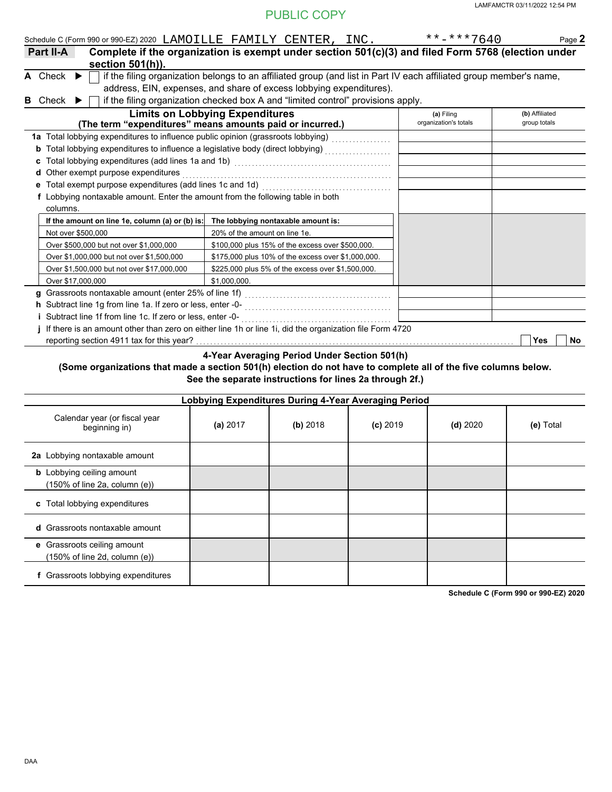|                                  |                                                                                 | Schedule C (Form 990 or 990-EZ) 2020 LAMOILLE FAMILY CENTER, INC.                                                   | **-***7640                          | Page 2                         |
|----------------------------------|---------------------------------------------------------------------------------|---------------------------------------------------------------------------------------------------------------------|-------------------------------------|--------------------------------|
| Part II-A                        |                                                                                 | Complete if the organization is exempt under section 501(c)(3) and filed Form 5768 (election under                  |                                     |                                |
|                                  | section 501(h)).                                                                |                                                                                                                     |                                     |                                |
| A Check $\blacktriangleright$    |                                                                                 | if the filing organization belongs to an affiliated group (and list in Part IV each affiliated group member's name, |                                     |                                |
|                                  |                                                                                 | address, EIN, expenses, and share of excess lobbying expenditures).                                                 |                                     |                                |
| Check $\blacktriangleright$<br>в |                                                                                 | if the filing organization checked box A and "limited control" provisions apply.                                    |                                     |                                |
|                                  |                                                                                 | <b>Limits on Lobbying Expenditures</b><br>(The term "expenditures" means amounts paid or incurred.)                 | (a) Filing<br>organization's totals | (b) Affiliated<br>group totals |
|                                  |                                                                                 | 1a Total lobbying expenditures to influence public opinion (grassroots lobbying) [[[[[[[[[[[[[[[[[[[[[[[[[[[[       |                                     |                                |
|                                  |                                                                                 | Total lobbying expenditures to influence a legislative body (direct lobbying)<br>[[[[[[[[[[[[[[[[[[[[]]]]]]         |                                     |                                |
|                                  |                                                                                 |                                                                                                                     |                                     |                                |
|                                  | Other exempt purpose expenditures                                               |                                                                                                                     |                                     |                                |
|                                  | Total exempt purpose expenditures (add lines 1c and 1d)                         |                                                                                                                     |                                     |                                |
|                                  | f Lobbying nontaxable amount. Enter the amount from the following table in both |                                                                                                                     |                                     |                                |
|                                  | columns.                                                                        |                                                                                                                     |                                     |                                |
|                                  | If the amount on line 1e, column (a) or (b) is:                                 | The lobbying nontaxable amount is:                                                                                  |                                     |                                |
|                                  | Not over \$500,000                                                              | 20% of the amount on line 1e.                                                                                       |                                     |                                |
|                                  | Over \$500,000 but not over \$1,000,000                                         | \$100,000 plus 15% of the excess over \$500,000.                                                                    |                                     |                                |
|                                  | Over \$1,000,000 but not over \$1,500,000                                       | \$175,000 plus 10% of the excess over \$1,000,000.                                                                  |                                     |                                |
|                                  | Over \$1,500,000 but not over \$17,000,000                                      | \$225,000 plus 5% of the excess over \$1,500,000.                                                                   |                                     |                                |
|                                  | Over \$17,000,000                                                               | \$1.000.000.                                                                                                        |                                     |                                |
| q                                |                                                                                 |                                                                                                                     |                                     |                                |
|                                  |                                                                                 |                                                                                                                     |                                     |                                |
|                                  | Subtract line 1f from line 1c. If zero or less, enter -0-                       |                                                                                                                     |                                     |                                |
|                                  |                                                                                 | If there is an amount other than zero on either line 1h or line 1i, did the organization file Form 4720             |                                     |                                |
|                                  |                                                                                 |                                                                                                                     |                                     | <b>Yes</b><br>No               |

**4-Year Averaging Period Under Section 501(h)**

#### **(Some organizations that made a section 501(h) election do not have to complete all of the five columns below. See the separate instructions for lines 2a through 2f.)**

|                                                                                        |          |          | Lobbying Expenditures During 4-Year Averaging Period |            |           |
|----------------------------------------------------------------------------------------|----------|----------|------------------------------------------------------|------------|-----------|
| Calendar year (or fiscal year<br>beginning in)                                         | (a) 2017 | (b) 2018 | $(c)$ 2019                                           | $(d)$ 2020 | (e) Total |
| 2a Lobbying nontaxable amount                                                          |          |          |                                                      |            |           |
| <b>b</b> Lobbying ceiling amount<br>$(150\% \text{ of line } 2a, \text{ column } (e))$ |          |          |                                                      |            |           |
| c Total lobbying expenditures                                                          |          |          |                                                      |            |           |
| <b>d</b> Grassroots nontaxable amount                                                  |          |          |                                                      |            |           |
| e Grassroots ceiling amount<br>(150% of line 2d, column (e))                           |          |          |                                                      |            |           |
| Grassroots lobbying expenditures                                                       |          |          |                                                      |            |           |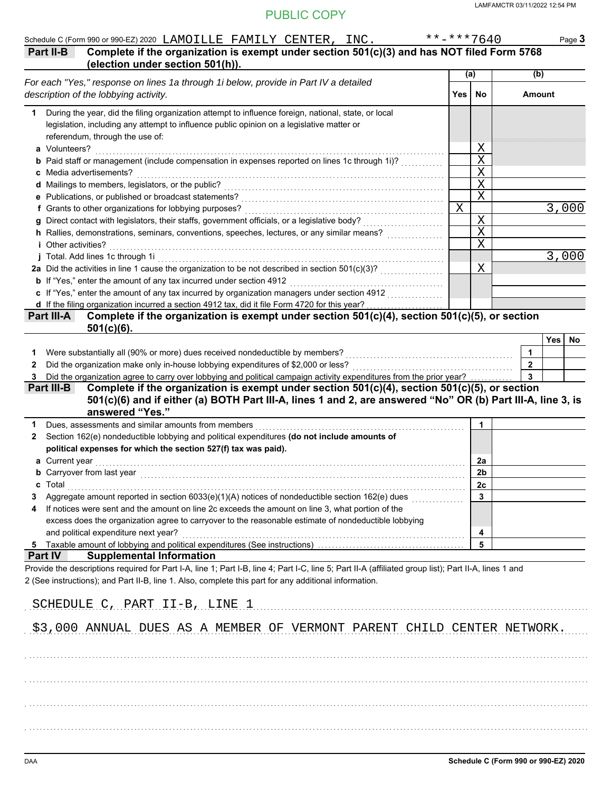| (election under section 501(h)).                                                                                                                                                                              |             | (a)            | (b)            |            |    |
|---------------------------------------------------------------------------------------------------------------------------------------------------------------------------------------------------------------|-------------|----------------|----------------|------------|----|
| For each "Yes," response on lines 1a through 1i below, provide in Part IV a detailed<br>description of the lobbying activity.                                                                                 | <b>Yes</b>  | No             | <b>Amount</b>  |            |    |
| 1 During the year, did the filing organization attempt to influence foreign, national, state, or local                                                                                                        |             |                |                |            |    |
| legislation, including any attempt to influence public opinion on a legislative matter or                                                                                                                     |             |                |                |            |    |
| referendum, through the use of:                                                                                                                                                                               |             |                |                |            |    |
| a Volunteers?                                                                                                                                                                                                 |             | Χ              |                |            |    |
| <b>b</b> Paid staff or management (include compensation in expenses reported on lines 1c through 1i)?                                                                                                         |             | X              |                |            |    |
| c Media advertisements?                                                                                                                                                                                       |             | $\mathbf X$    |                |            |    |
| d Mailings to members, legislators, or the public?                                                                                                                                                            |             | X              |                |            |    |
| e Publications, or published or broadcast statements?                                                                                                                                                         |             | X              |                |            |    |
| f Grants to other organizations for lobbying purposes?                                                                                                                                                        | $\mathbf X$ |                |                | 3,000      |    |
| g Direct contact with legislators, their staffs, government officials, or a legislative body?                                                                                                                 |             | X              |                |            |    |
| h Rallies, demonstrations, seminars, conventions, speeches, lectures, or any similar means?                                                                                                                   |             | X              |                |            |    |
| <i>i</i> Other activities?                                                                                                                                                                                    |             | X              |                |            |    |
| j Total. Add lines 1c through 1i                                                                                                                                                                              |             |                |                | 3,000      |    |
| 2a Did the activities in line 1 cause the organization to be not described in section 501(c)(3)?                                                                                                              |             | X              |                |            |    |
| <b>b</b> If "Yes," enter the amount of any tax incurred under section 4912                                                                                                                                    |             |                |                |            |    |
| c If "Yes," enter the amount of any tax incurred by organization managers under section 4912                                                                                                                  |             |                |                |            |    |
| d If the filing organization incurred a section 4912 tax, did it file Form 4720 for this year?<br>Complete if the organization is exempt under section 501(c)(4), section 501(c)(5), or section<br>Part III-A |             |                |                |            |    |
| $501(c)(6)$ .                                                                                                                                                                                                 |             |                |                |            |    |
|                                                                                                                                                                                                               |             |                |                | <b>Yes</b> |    |
|                                                                                                                                                                                                               |             |                |                |            |    |
|                                                                                                                                                                                                               |             |                |                |            | No |
| Were substantially all (90% or more) dues received nondeductible by members?<br>1                                                                                                                             |             |                | $\mathbf 1$    |            |    |
| Did the organization make only in-house lobbying expenditures of \$2,000 or less?<br>2                                                                                                                        |             |                | $\mathbf{2}$   |            |    |
| Did the organization agree to carry over lobbying and political campaign activity expenditures from the prior year?                                                                                           |             |                | $\overline{3}$ |            |    |
| Complete if the organization is exempt under section $501(c)(4)$ , section $501(c)(5)$ , or section<br>Part III-B                                                                                             |             |                |                |            |    |
| 501(c)(6) and if either (a) BOTH Part III-A, lines 1 and 2, are answered "No" OR (b) Part III-A, line 3, is                                                                                                   |             |                |                |            |    |
| answered "Yes."<br>1                                                                                                                                                                                          |             | 1              |                |            |    |
| Dues, assessments and similar amounts from members<br>Section 162(e) nondeductible lobbying and political expenditures (do not include amounts of<br>2                                                        |             |                |                |            |    |
|                                                                                                                                                                                                               |             |                |                |            |    |
| political expenses for which the section 527(f) tax was paid).<br>a Current year                                                                                                                              |             | 2a             |                |            |    |
| <b>b</b> Carryover from last year                                                                                                                                                                             |             | 2b             |                |            |    |
| Total<br>c                                                                                                                                                                                                    |             | 2 <sub>c</sub> |                |            |    |
| Aggregate amount reported in section 6033(e)(1)(A) notices of nondeductible section 162(e) dues                                                                                                               |             | 3              |                |            |    |
| If notices were sent and the amount on line 2c exceeds the amount on line 3, what portion of the<br>4                                                                                                         |             |                |                |            |    |
| excess does the organization agree to carryover to the reasonable estimate of nondeductible lobbying                                                                                                          |             |                |                |            |    |
| and political expenditure next year?                                                                                                                                                                          |             | 4              |                |            |    |
| 5                                                                                                                                                                                                             |             | 5              |                |            |    |
| <b>Supplemental Information</b><br><b>Part IV</b>                                                                                                                                                             |             |                |                |            |    |
| Provide the descriptions required for Part I-A, line 1; Part I-B, line 4; Part I-C, line 5; Part II-A (affiliated group list); Part II-A, lines 1 and                                                         |             |                |                |            |    |
| 2 (See instructions); and Part II-B, line 1. Also, complete this part for any additional information.                                                                                                         |             |                |                |            |    |
|                                                                                                                                                                                                               |             |                |                |            |    |
| SCHEDULE C, PART II-B, LINE 1                                                                                                                                                                                 |             |                |                |            |    |
|                                                                                                                                                                                                               |             |                |                |            |    |
| \$3,000 ANNUAL DUES AS A MEMBER OF VERMONT PARENT CHILD CENTER NETWORK.                                                                                                                                       |             |                |                |            |    |
|                                                                                                                                                                                                               |             |                |                |            |    |
|                                                                                                                                                                                                               |             |                |                |            |    |
|                                                                                                                                                                                                               |             |                |                |            |    |
|                                                                                                                                                                                                               |             |                |                |            |    |
|                                                                                                                                                                                                               |             |                |                |            |    |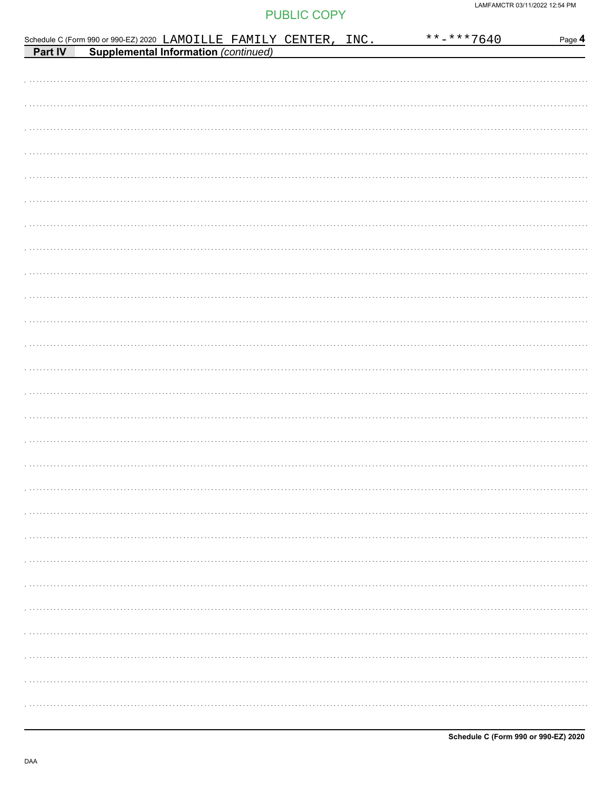|         | Schedule C (Form 990 or 990-EZ) 2020 LAMOILLE FAMILY CENTER, INC. |                                             |  | **-***7640 | Page 4 |
|---------|-------------------------------------------------------------------|---------------------------------------------|--|------------|--------|
| Part IV |                                                                   | <b>Supplemental Information (continued)</b> |  |            |        |
|         |                                                                   |                                             |  |            |        |
|         |                                                                   |                                             |  |            |        |
|         |                                                                   |                                             |  |            |        |
|         |                                                                   |                                             |  |            |        |
|         |                                                                   |                                             |  |            |        |
|         |                                                                   |                                             |  |            |        |
|         |                                                                   |                                             |  |            |        |
|         |                                                                   |                                             |  |            |        |
|         |                                                                   |                                             |  |            |        |
|         |                                                                   |                                             |  |            |        |
|         |                                                                   |                                             |  |            |        |
|         |                                                                   |                                             |  |            |        |
|         |                                                                   |                                             |  |            |        |
|         |                                                                   |                                             |  |            |        |
|         |                                                                   |                                             |  |            |        |
|         |                                                                   |                                             |  |            |        |
|         |                                                                   |                                             |  |            |        |
|         |                                                                   |                                             |  |            |        |
|         |                                                                   |                                             |  |            |        |
|         |                                                                   |                                             |  |            |        |
|         |                                                                   |                                             |  |            |        |
|         |                                                                   |                                             |  |            |        |
|         |                                                                   |                                             |  |            |        |
|         |                                                                   |                                             |  |            |        |
|         |                                                                   |                                             |  |            |        |
|         |                                                                   |                                             |  |            |        |
|         |                                                                   |                                             |  |            |        |
|         |                                                                   |                                             |  |            |        |
|         |                                                                   |                                             |  |            |        |
|         |                                                                   |                                             |  |            |        |
|         |                                                                   |                                             |  |            |        |
|         |                                                                   |                                             |  |            |        |
|         |                                                                   |                                             |  |            |        |
|         |                                                                   |                                             |  |            |        |
|         |                                                                   |                                             |  |            |        |
|         |                                                                   |                                             |  |            |        |
|         |                                                                   |                                             |  |            |        |
|         |                                                                   |                                             |  |            |        |
|         |                                                                   |                                             |  |            |        |
|         |                                                                   |                                             |  |            |        |
|         |                                                                   |                                             |  |            |        |
|         |                                                                   |                                             |  |            |        |
|         |                                                                   |                                             |  |            |        |
|         |                                                                   |                                             |  |            |        |
|         |                                                                   |                                             |  |            |        |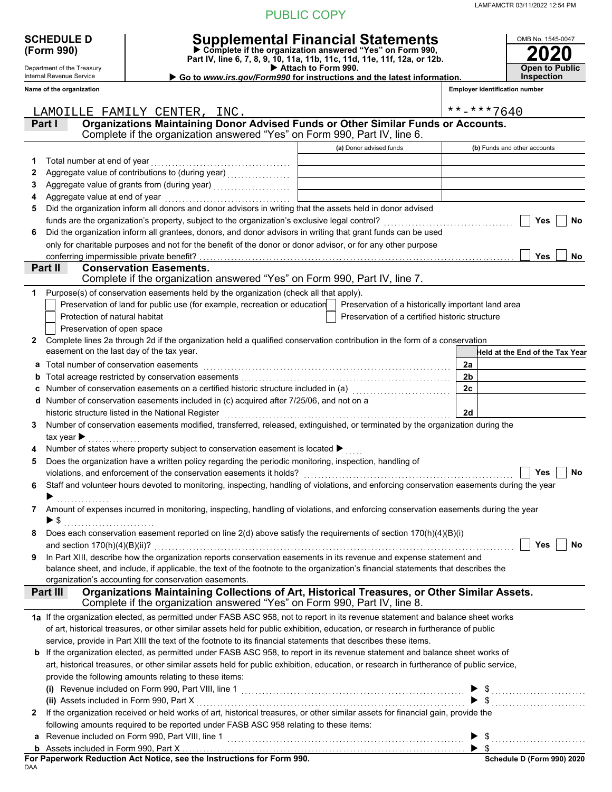LAMFAMCTR 03/11/2022 12:54 PM

#### PUBLIC COPY

|              | <b>SCHEDULE D</b><br>(Form 990)                      |                                                                                                                                                                                                                                                                                                                                                        | Supplemental Financial Statements<br>$\triangleright$ Complete if the organization answered "Yes" on Form 990, |                | OMB No. 1545-0047                                          |
|--------------|------------------------------------------------------|--------------------------------------------------------------------------------------------------------------------------------------------------------------------------------------------------------------------------------------------------------------------------------------------------------------------------------------------------------|----------------------------------------------------------------------------------------------------------------|----------------|------------------------------------------------------------|
|              | Department of the Treasury                           |                                                                                                                                                                                                                                                                                                                                                        | Part IV, line 6, 7, 8, 9, 10, 11a, 11b, 11c, 11d, 11e, 11f, 12a, or 12b.<br>Attach to Form 990.                |                | <b>Open to Public</b>                                      |
|              | Internal Revenue Service<br>Name of the organization |                                                                                                                                                                                                                                                                                                                                                        | Go to www.irs.gov/Form990 for instructions and the latest information.                                         |                | <b>Inspection</b><br><b>Employer identification number</b> |
|              |                                                      |                                                                                                                                                                                                                                                                                                                                                        |                                                                                                                |                |                                                            |
|              |                                                      | LAMOILLE FAMILY CENTER, INC.                                                                                                                                                                                                                                                                                                                           |                                                                                                                |                | **-***7640                                                 |
|              | Part I                                               | Organizations Maintaining Donor Advised Funds or Other Similar Funds or Accounts.                                                                                                                                                                                                                                                                      |                                                                                                                |                |                                                            |
|              |                                                      | Complete if the organization answered "Yes" on Form 990, Part IV, line 6.                                                                                                                                                                                                                                                                              |                                                                                                                |                |                                                            |
|              |                                                      |                                                                                                                                                                                                                                                                                                                                                        | (a) Donor advised funds                                                                                        |                | (b) Funds and other accounts                               |
| 1<br>2       |                                                      | Total number at end of year<br>[11] Total number at end of year<br>[11] Total number at end of year<br>[11] Total number at end of year<br>[11] Total number at end of year<br>[11] Total number at end of year<br>[11] Total number at en<br>Aggregate value of contributions to (during year) [[1] Aggregate value of contributions to (during year) |                                                                                                                |                |                                                            |
| 3            |                                                      |                                                                                                                                                                                                                                                                                                                                                        |                                                                                                                |                |                                                            |
|              |                                                      |                                                                                                                                                                                                                                                                                                                                                        |                                                                                                                |                |                                                            |
| 5            |                                                      | Did the organization inform all donors and donor advisors in writing that the assets held in donor advised                                                                                                                                                                                                                                             |                                                                                                                |                |                                                            |
|              |                                                      |                                                                                                                                                                                                                                                                                                                                                        |                                                                                                                |                | Yes<br>No                                                  |
| 6            |                                                      | Did the organization inform all grantees, donors, and donor advisors in writing that grant funds can be used                                                                                                                                                                                                                                           |                                                                                                                |                |                                                            |
|              |                                                      | only for charitable purposes and not for the benefit of the donor or donor advisor, or for any other purpose                                                                                                                                                                                                                                           |                                                                                                                |                |                                                            |
|              | conferring impermissible private benefit?            |                                                                                                                                                                                                                                                                                                                                                        |                                                                                                                |                | Yes<br><b>No</b>                                           |
|              | Part II                                              | <b>Conservation Easements.</b>                                                                                                                                                                                                                                                                                                                         |                                                                                                                |                |                                                            |
|              |                                                      | Complete if the organization answered "Yes" on Form 990, Part IV, line 7.                                                                                                                                                                                                                                                                              |                                                                                                                |                |                                                            |
|              |                                                      | Purpose(s) of conservation easements held by the organization (check all that apply).                                                                                                                                                                                                                                                                  |                                                                                                                |                |                                                            |
|              | Protection of natural habitat                        | Preservation of land for public use (for example, recreation or education                                                                                                                                                                                                                                                                              | Preservation of a historically important land area                                                             |                |                                                            |
|              |                                                      |                                                                                                                                                                                                                                                                                                                                                        | Preservation of a certified historic structure                                                                 |                |                                                            |
| $\mathbf{2}$ | Preservation of open space                           | Complete lines 2a through 2d if the organization held a qualified conservation contribution in the form of a conservation                                                                                                                                                                                                                              |                                                                                                                |                |                                                            |
|              | easement on the last day of the tax year.            |                                                                                                                                                                                                                                                                                                                                                        |                                                                                                                |                | Held at the End of the Tax Year                            |
| а            |                                                      |                                                                                                                                                                                                                                                                                                                                                        |                                                                                                                | 2a             |                                                            |
|              |                                                      |                                                                                                                                                                                                                                                                                                                                                        |                                                                                                                | 2 <sub>b</sub> |                                                            |
|              |                                                      | Number of conservation easements on a certified historic structure included in (a) [11] Number of conservation                                                                                                                                                                                                                                         |                                                                                                                | 2c             |                                                            |
|              |                                                      | d Number of conservation easements included in (c) acquired after 7/25/06, and not on a                                                                                                                                                                                                                                                                |                                                                                                                |                |                                                            |
|              |                                                      | historic structure listed in the National Register                                                                                                                                                                                                                                                                                                     |                                                                                                                | 2d             |                                                            |
| 3            |                                                      | Number of conservation easements modified, transferred, released, extinguished, or terminated by the organization during the                                                                                                                                                                                                                           |                                                                                                                |                |                                                            |
|              | tax year $\blacktriangleright$                       |                                                                                                                                                                                                                                                                                                                                                        |                                                                                                                |                |                                                            |
|              |                                                      | Number of states where property subject to conservation easement is located ▶                                                                                                                                                                                                                                                                          |                                                                                                                |                |                                                            |
| 5            |                                                      | Does the organization have a written policy regarding the periodic monitoring, inspection, handling of                                                                                                                                                                                                                                                 |                                                                                                                |                |                                                            |
|              |                                                      |                                                                                                                                                                                                                                                                                                                                                        |                                                                                                                |                | Yes<br>No                                                  |
| 6            |                                                      | Staff and volunteer hours devoted to monitoring, inspecting, handling of violations, and enforcing conservation easements during the year                                                                                                                                                                                                              |                                                                                                                |                |                                                            |
|              |                                                      |                                                                                                                                                                                                                                                                                                                                                        |                                                                                                                |                |                                                            |
| 7            |                                                      | Amount of expenses incurred in monitoring, inspecting, handling of violations, and enforcing conservation easements during the year                                                                                                                                                                                                                    |                                                                                                                |                |                                                            |
|              | $\blacktriangleright$ \$                             | Does each conservation easement reported on line $2(d)$ above satisfy the requirements of section $170(h)(4)(B)(i)$                                                                                                                                                                                                                                    |                                                                                                                |                |                                                            |
| 8            |                                                      |                                                                                                                                                                                                                                                                                                                                                        |                                                                                                                |                | Yes<br>No                                                  |
| 9            |                                                      | In Part XIII, describe how the organization reports conservation easements in its revenue and expense statement and                                                                                                                                                                                                                                    |                                                                                                                |                |                                                            |
|              |                                                      | balance sheet, and include, if applicable, the text of the footnote to the organization's financial statements that describes the                                                                                                                                                                                                                      |                                                                                                                |                |                                                            |
|              |                                                      | organization's accounting for conservation easements.                                                                                                                                                                                                                                                                                                  |                                                                                                                |                |                                                            |
|              | Part III                                             | Organizations Maintaining Collections of Art, Historical Treasures, or Other Similar Assets.                                                                                                                                                                                                                                                           |                                                                                                                |                |                                                            |
|              |                                                      | Complete if the organization answered "Yes" on Form 990, Part IV, line 8.                                                                                                                                                                                                                                                                              |                                                                                                                |                |                                                            |
|              |                                                      | 1a If the organization elected, as permitted under FASB ASC 958, not to report in its revenue statement and balance sheet works                                                                                                                                                                                                                        |                                                                                                                |                |                                                            |
|              |                                                      | of art, historical treasures, or other similar assets held for public exhibition, education, or research in furtherance of public                                                                                                                                                                                                                      |                                                                                                                |                |                                                            |
|              |                                                      | service, provide in Part XIII the text of the footnote to its financial statements that describes these items.                                                                                                                                                                                                                                         |                                                                                                                |                |                                                            |
|              |                                                      | <b>b</b> If the organization elected, as permitted under FASB ASC 958, to report in its revenue statement and balance sheet works of                                                                                                                                                                                                                   |                                                                                                                |                |                                                            |
|              |                                                      | art, historical treasures, or other similar assets held for public exhibition, education, or research in furtherance of public service,                                                                                                                                                                                                                |                                                                                                                |                |                                                            |
|              |                                                      | provide the following amounts relating to these items:                                                                                                                                                                                                                                                                                                 |                                                                                                                |                |                                                            |
|              |                                                      | (i) Revenue included on Form 990, Part VIII, line 1 $\ldots$ example 2 and 2 and 3 and 3 and 3 and 3 and 3 and 4 and 4 and 4 and 4 and 4 and 4 and 4 and 4 and 4 and 4 and 4 and 4 and 4 and 4 and 4 and 4 and 4 and 4 and 4 and                                                                                                                       |                                                                                                                |                |                                                            |
| 2            |                                                      | If the organization received or held works of art, historical treasures, or other similar assets for financial gain, provide the                                                                                                                                                                                                                       |                                                                                                                |                |                                                            |
|              |                                                      | following amounts required to be reported under FASB ASC 958 relating to these items:                                                                                                                                                                                                                                                                  |                                                                                                                |                |                                                            |
|              |                                                      |                                                                                                                                                                                                                                                                                                                                                        |                                                                                                                |                |                                                            |
|              |                                                      |                                                                                                                                                                                                                                                                                                                                                        |                                                                                                                |                | $\blacktriangleright$ s                                    |

**For Paperwork Reduction Act Notice, see the Instructions for Form 990.**<br><sub>DAA</sub>

**Schedule D (Form 990) 2020**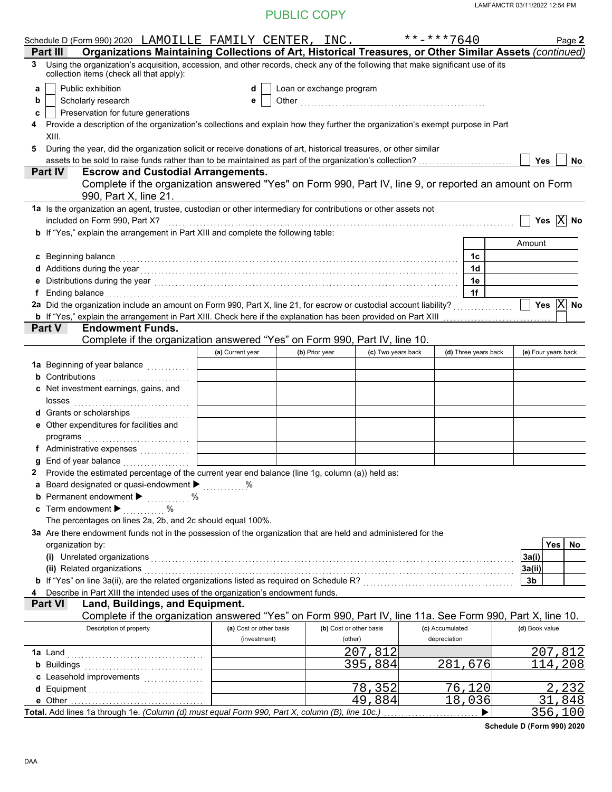|   | Schedule D (Form 990) 2020 LAMOILLE FAMILY CENTER, INC.                                                                                                                                                                          |                         |  |                          |                    | **-***7640      |                      |                     | Page 2       |
|---|----------------------------------------------------------------------------------------------------------------------------------------------------------------------------------------------------------------------------------|-------------------------|--|--------------------------|--------------------|-----------------|----------------------|---------------------|--------------|
|   | Organizations Maintaining Collections of Art, Historical Treasures, or Other Similar Assets (continued)<br>Part III                                                                                                              |                         |  |                          |                    |                 |                      |                     |              |
|   | 3 Using the organization's acquisition, accession, and other records, check any of the following that make significant use of its<br>collection items (check all that apply):                                                    |                         |  |                          |                    |                 |                      |                     |              |
| a | Public exhibition                                                                                                                                                                                                                | d                       |  | Loan or exchange program |                    |                 |                      |                     |              |
| b | Scholarly research                                                                                                                                                                                                               | е                       |  |                          |                    |                 |                      |                     |              |
| c | Preservation for future generations                                                                                                                                                                                              |                         |  |                          |                    |                 |                      |                     |              |
|   | Provide a description of the organization's collections and explain how they further the organization's exempt purpose in Part                                                                                                   |                         |  |                          |                    |                 |                      |                     |              |
|   | XIII.                                                                                                                                                                                                                            |                         |  |                          |                    |                 |                      |                     |              |
| 5 | During the year, did the organization solicit or receive donations of art, historical treasures, or other similar                                                                                                                |                         |  |                          |                    |                 |                      |                     |              |
|   | assets to be sold to raise funds rather than to be maintained as part of the organization's collection?                                                                                                                          |                         |  |                          |                    |                 |                      | Yes                 | No.          |
|   | <b>Part IV</b><br><b>Escrow and Custodial Arrangements.</b>                                                                                                                                                                      |                         |  |                          |                    |                 |                      |                     |              |
|   | Complete if the organization answered "Yes" on Form 990, Part IV, line 9, or reported an amount on Form                                                                                                                          |                         |  |                          |                    |                 |                      |                     |              |
|   | 990, Part X, line 21.                                                                                                                                                                                                            |                         |  |                          |                    |                 |                      |                     |              |
|   | 1a Is the organization an agent, trustee, custodian or other intermediary for contributions or other assets not                                                                                                                  |                         |  |                          |                    |                 |                      |                     |              |
|   | included on Form 990, Part X?                                                                                                                                                                                                    |                         |  |                          |                    |                 |                      |                     | Yes $X$ No   |
|   | <b>b</b> If "Yes," explain the arrangement in Part XIII and complete the following table:                                                                                                                                        |                         |  |                          |                    |                 |                      |                     |              |
|   |                                                                                                                                                                                                                                  |                         |  |                          |                    |                 |                      | Amount              |              |
|   | c Beginning balance                                                                                                                                                                                                              |                         |  |                          |                    |                 | 1c                   |                     |              |
|   | Additions during the year<br>interaction continuous continuous continuous during the year of the year of the set of the set of the set of the set of the set of the set of the set of the set of the set of the set of the set o |                         |  |                          |                    |                 | 1 <sub>d</sub>       |                     |              |
|   | Distributions during the year [1, 1, 2010] [1, 2010] [1, 2010] [1, 2010] [1, 2010] [1, 2010] [1, 2010] [1, 2010] [1, 2010] [1, 2010] [1, 2010] [1, 2010] [1, 2010] [1, 2010] [1, 2010] [1, 2010] [1, 2010] [1, 2010] [1, 2010]   |                         |  |                          |                    |                 | 1e                   |                     |              |
|   | f Ending balance                                                                                                                                                                                                                 |                         |  |                          |                    |                 | 1f                   |                     |              |
|   |                                                                                                                                                                                                                                  |                         |  |                          |                    |                 |                      |                     | Yes $ X $ No |
|   | <b>b</b> If "Yes," explain the arrangement in Part XIII. Check here if the explanation has been provided on Part XIII                                                                                                            |                         |  |                          |                    |                 |                      |                     |              |
|   | Part V<br><b>Endowment Funds.</b>                                                                                                                                                                                                |                         |  |                          |                    |                 |                      |                     |              |
|   | Complete if the organization answered "Yes" on Form 990, Part IV, line 10.                                                                                                                                                       |                         |  |                          |                    |                 |                      |                     |              |
|   |                                                                                                                                                                                                                                  | (a) Current year        |  | (b) Prior year           | (c) Two years back |                 | (d) Three years back | (e) Four years back |              |
|   |                                                                                                                                                                                                                                  |                         |  |                          |                    |                 |                      |                     |              |
|   |                                                                                                                                                                                                                                  |                         |  |                          |                    |                 |                      |                     |              |
|   | <b>b</b> Contributions <b>contributions</b>                                                                                                                                                                                      |                         |  |                          |                    |                 |                      |                     |              |
|   | c Net investment earnings, gains, and                                                                                                                                                                                            |                         |  |                          |                    |                 |                      |                     |              |
|   | losses                                                                                                                                                                                                                           |                         |  |                          |                    |                 |                      |                     |              |
|   | d Grants or scholarships                                                                                                                                                                                                         |                         |  |                          |                    |                 |                      |                     |              |
|   | Other expenditures for facilities and                                                                                                                                                                                            |                         |  |                          |                    |                 |                      |                     |              |
|   | programs                                                                                                                                                                                                                         |                         |  |                          |                    |                 |                      |                     |              |
|   | f Administrative expenses                                                                                                                                                                                                        |                         |  |                          |                    |                 |                      |                     |              |
|   | End of year balance                                                                                                                                                                                                              |                         |  |                          |                    |                 |                      |                     |              |
|   | 2 Provide the estimated percentage of the current year end balance (line 1g, column (a)) held as:                                                                                                                                |                         |  |                          |                    |                 |                      |                     |              |
|   | a Board designated or quasi-endowment > %                                                                                                                                                                                        |                         |  |                          |                    |                 |                      |                     |              |
|   | <b>b</b> Permanent endowment $\blacktriangleright$<br>$\%$                                                                                                                                                                       |                         |  |                          |                    |                 |                      |                     |              |
|   | Term endowment ▶                                                                                                                                                                                                                 |                         |  |                          |                    |                 |                      |                     |              |
|   | The percentages on lines 2a, 2b, and 2c should equal 100%.                                                                                                                                                                       |                         |  |                          |                    |                 |                      |                     |              |
|   | 3a Are there endowment funds not in the possession of the organization that are held and administered for the                                                                                                                    |                         |  |                          |                    |                 |                      |                     |              |
|   |                                                                                                                                                                                                                                  |                         |  |                          |                    |                 |                      | Yes                 | No           |
|   | organization by:                                                                                                                                                                                                                 |                         |  |                          |                    |                 |                      |                     |              |
|   | (i) Unrelated organizations                                                                                                                                                                                                      |                         |  |                          |                    |                 |                      | 3a(i)               |              |
|   | (ii) Related organizations                                                                                                                                                                                                       |                         |  |                          |                    |                 |                      | 3a(ii)              |              |
|   | <b>b</b> If "Yes" on line 3a(ii), are the related organizations listed as required on Schedule R?                                                                                                                                |                         |  |                          |                    |                 |                      | 3b                  |              |
|   | Describe in Part XIII the intended uses of the organization's endowment funds.                                                                                                                                                   |                         |  |                          |                    |                 |                      |                     |              |
|   | <b>Part VI</b><br>Land, Buildings, and Equipment.                                                                                                                                                                                |                         |  |                          |                    |                 |                      |                     |              |
|   | Complete if the organization answered "Yes" on Form 990, Part IV, line 11a. See Form 990, Part X, line 10.                                                                                                                       |                         |  |                          |                    |                 |                      |                     |              |
|   | Description of property                                                                                                                                                                                                          | (a) Cost or other basis |  | (b) Cost or other basis  |                    | (c) Accumulated |                      | (d) Book value      |              |
|   |                                                                                                                                                                                                                                  | (investment)            |  | (other)                  |                    | depreciation    |                      |                     |              |
|   | 1a Land                                                                                                                                                                                                                          |                         |  |                          | 207,812            |                 |                      |                     | 207,812      |
|   | <b>b</b> Buildings                                                                                                                                                                                                               |                         |  |                          | 395,884            |                 | 281,676              |                     | 114,208      |
|   |                                                                                                                                                                                                                                  |                         |  |                          |                    |                 |                      |                     |              |
|   | d Equipment                                                                                                                                                                                                                      |                         |  |                          | 78,352             |                 | 76,120               |                     | 2,232        |
|   |                                                                                                                                                                                                                                  |                         |  |                          | 49,884             |                 | 18,036               |                     | 31,848       |
|   | e Other<br>Total. Add lines 1a through 1e. (Column (d) must equal Form 990, Part X, column (B), line 10c.)                                                                                                                       |                         |  |                          |                    |                 |                      |                     | 356,100      |
|   |                                                                                                                                                                                                                                  |                         |  |                          |                    |                 |                      |                     |              |

**Schedule D (Form 990) 2020**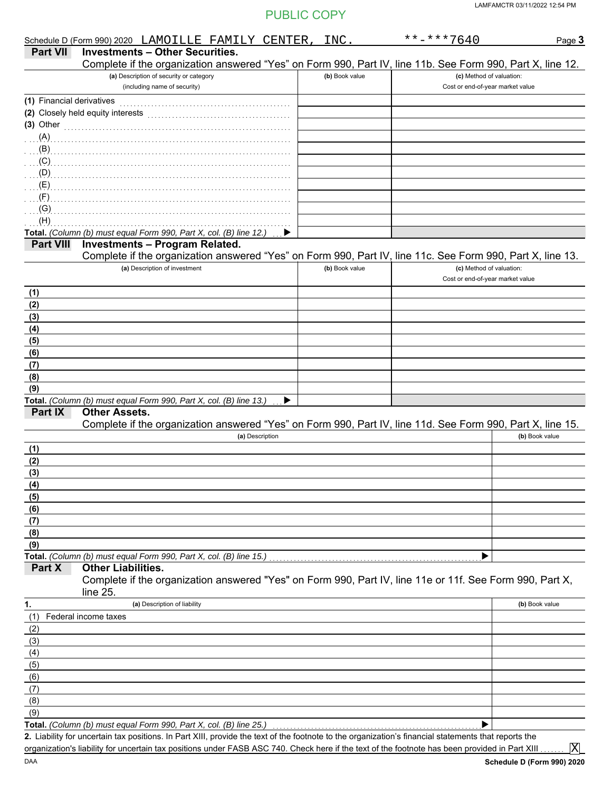|                           | Schedule D (Form 990) 2020 LAMOILLE FAMILY CENTER,                                                                                                   | INC.           | **-***7640                                                   | Page 3         |
|---------------------------|------------------------------------------------------------------------------------------------------------------------------------------------------|----------------|--------------------------------------------------------------|----------------|
| <b>Part VII</b>           | <b>Investments - Other Securities.</b>                                                                                                               |                |                                                              |                |
|                           | Complete if the organization answered "Yes" on Form 990, Part IV, line 11b. See Form 990, Part X, line 12.                                           |                |                                                              |                |
|                           | (a) Description of security or category<br>(including name of security)                                                                              | (b) Book value | (c) Method of valuation:<br>Cost or end-of-year market value |                |
| (1) Financial derivatives |                                                                                                                                                      |                |                                                              |                |
|                           | (2) Closely held equity interests                                                                                                                    |                |                                                              |                |
| $(3)$ Other               |                                                                                                                                                      |                |                                                              |                |
| $(A)$ .                   |                                                                                                                                                      |                |                                                              |                |
| (B)                       |                                                                                                                                                      |                |                                                              |                |
| (C)                       |                                                                                                                                                      |                |                                                              |                |
| (D)                       |                                                                                                                                                      |                |                                                              |                |
| (E)                       |                                                                                                                                                      |                |                                                              |                |
| $(F)$ .                   |                                                                                                                                                      |                |                                                              |                |
| (G)                       |                                                                                                                                                      |                |                                                              |                |
| (H)                       |                                                                                                                                                      |                |                                                              |                |
|                           | Total. (Column (b) must equal Form 990, Part X, col. (B) line 12.)                                                                                   |                |                                                              |                |
| <b>Part VIII</b>          | <b>Investments - Program Related.</b>                                                                                                                |                |                                                              |                |
|                           | Complete if the organization answered "Yes" on Form 990, Part IV, line 11c. See Form 990, Part X, line 13.                                           |                |                                                              |                |
|                           | (a) Description of investment                                                                                                                        | (b) Book value | (c) Method of valuation:                                     |                |
|                           |                                                                                                                                                      |                | Cost or end-of-year market value                             |                |
| (1)                       |                                                                                                                                                      |                |                                                              |                |
| (2)                       |                                                                                                                                                      |                |                                                              |                |
| (3)                       |                                                                                                                                                      |                |                                                              |                |
| (4)                       |                                                                                                                                                      |                |                                                              |                |
| (5)                       |                                                                                                                                                      |                |                                                              |                |
| (6)                       |                                                                                                                                                      |                |                                                              |                |
| (7)                       |                                                                                                                                                      |                |                                                              |                |
| (8)                       |                                                                                                                                                      |                |                                                              |                |
| (9)                       |                                                                                                                                                      |                |                                                              |                |
| Part IX                   | Total. (Column (b) must equal Form 990, Part X, col. (B) line 13.)<br><b>Other Assets.</b>                                                           |                |                                                              |                |
|                           | Complete if the organization answered "Yes" on Form 990, Part IV, line 11d. See Form 990, Part X, line 15.                                           |                |                                                              |                |
|                           | (a) Description                                                                                                                                      |                |                                                              | (b) Book value |
| (1)                       |                                                                                                                                                      |                |                                                              |                |
| (2)                       |                                                                                                                                                      |                |                                                              |                |
| (3)                       |                                                                                                                                                      |                |                                                              |                |
| (4)                       |                                                                                                                                                      |                |                                                              |                |
| (5)                       |                                                                                                                                                      |                |                                                              |                |
| (6)                       |                                                                                                                                                      |                |                                                              |                |
| (7)                       |                                                                                                                                                      |                |                                                              |                |
| (8)                       |                                                                                                                                                      |                |                                                              |                |
| (9)                       |                                                                                                                                                      |                |                                                              |                |
|                           | Total. (Column (b) must equal Form 990, Part X, col. (B) line 15.)                                                                                   |                |                                                              |                |
| Part X                    | <b>Other Liabilities.</b>                                                                                                                            |                |                                                              |                |
|                           | Complete if the organization answered "Yes" on Form 990, Part IV, line 11e or 11f. See Form 990, Part X,                                             |                |                                                              |                |
|                           | line 25.                                                                                                                                             |                |                                                              |                |
| 1.                        | (a) Description of liability                                                                                                                         |                |                                                              | (b) Book value |
| (1)                       | Federal income taxes                                                                                                                                 |                |                                                              |                |
| (2)                       |                                                                                                                                                      |                |                                                              |                |
| (3)                       |                                                                                                                                                      |                |                                                              |                |
| (4)                       |                                                                                                                                                      |                |                                                              |                |
| (5)                       |                                                                                                                                                      |                |                                                              |                |
| (6)                       |                                                                                                                                                      |                |                                                              |                |
| (7)                       |                                                                                                                                                      |                |                                                              |                |
| (8)                       |                                                                                                                                                      |                |                                                              |                |
| (9)                       |                                                                                                                                                      |                |                                                              |                |
|                           | Total. (Column (b) must equal Form 990, Part X, col. (B) line 25.)                                                                                   |                |                                                              |                |
|                           | 2. Liability for uncertain tax positions. In Part XIII, provide the text of the footnote to the organization's financial statements that reports the |                |                                                              | ΙxΙ            |
|                           | organization's liability for uncertain tax positions under FASB ASC 740. Check here if the text of the footnote has been provided in Part XIII.      |                |                                                              |                |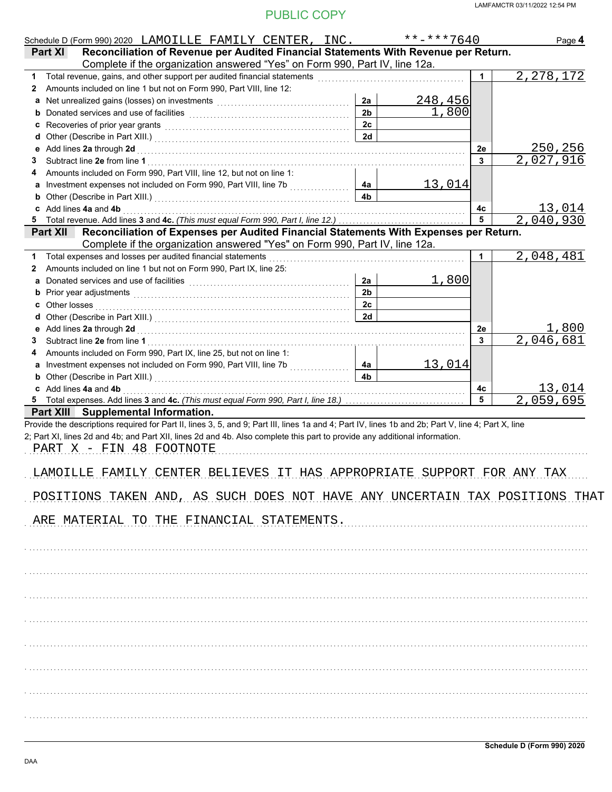|              | Schedule D (Form 990) 2020 LAMOILLE FAMILY CENTER, INC. **-***7640                                                                                                                                                                                                      |                      |         |                      | Page 4                     |
|--------------|-------------------------------------------------------------------------------------------------------------------------------------------------------------------------------------------------------------------------------------------------------------------------|----------------------|---------|----------------------|----------------------------|
|              | Reconciliation of Revenue per Audited Financial Statements With Revenue per Return.<br><b>Part XI</b>                                                                                                                                                                   |                      |         |                      |                            |
|              | Complete if the organization answered "Yes" on Form 990, Part IV, line 12a.                                                                                                                                                                                             |                      |         |                      |                            |
| 1            | Total revenue, gains, and other support per audited financial statements [111] [11] Total revenue, gains, and other support per audited financial statements                                                                                                            |                      |         | $\mathbf{1}$         | 2, 278, 172                |
| 2            | Amounts included on line 1 but not on Form 990, Part VIII, line 12:                                                                                                                                                                                                     |                      |         |                      |                            |
|              |                                                                                                                                                                                                                                                                         | 2a                   | 248,456 |                      |                            |
|              |                                                                                                                                                                                                                                                                         | 2 <sub>b</sub>       | 1,800   |                      |                            |
|              | c Recoveries of prior year grants <b>contained</b> and the Recoveries of prior year grants <b>contained</b> and <b>contained</b> and <b>contained</b> and <b>contained</b> and <b>contained</b> and <b>contained</b> and <b>contained and contained and contained a</b> | 2c                   |         |                      |                            |
|              |                                                                                                                                                                                                                                                                         | 2d                   |         |                      |                            |
|              |                                                                                                                                                                                                                                                                         |                      |         | 2e                   | 250,256                    |
| 3            |                                                                                                                                                                                                                                                                         |                      |         | $\mathbf{3}$         | 2,027,916                  |
| 4            | Amounts included on Form 990, Part VIII, line 12, but not on line 1:                                                                                                                                                                                                    |                      |         |                      |                            |
|              | a Investment expenses not included on Form 990, Part VIII, line 7b                                                                                                                                                                                                      | 4a                   | 13,014  |                      |                            |
|              | <b>b</b> Other (Describe in Part XIII.) <b>CONSERVING (2014)</b>                                                                                                                                                                                                        | 4 <sub>b</sub>       |         |                      |                            |
|              | c Add lines 4a and 4b                                                                                                                                                                                                                                                   |                      |         | 4c                   | <u>13,014</u>              |
| 5            |                                                                                                                                                                                                                                                                         |                      |         | 5                    | 2,040,930                  |
|              | Reconciliation of Expenses per Audited Financial Statements With Expenses per Return.<br>Part XII                                                                                                                                                                       |                      |         |                      |                            |
|              | Complete if the organization answered "Yes" on Form 990, Part IV, line 12a.<br>Total expenses and losses per audited financial statements                                                                                                                               |                      |         | $\mathbf{1}$         |                            |
| 1            | Amounts included on line 1 but not on Form 990, Part IX, line 25:                                                                                                                                                                                                       |                      |         |                      | $\overline{2}$ , 048, 481  |
| $\mathbf{2}$ |                                                                                                                                                                                                                                                                         |                      |         |                      |                            |
|              |                                                                                                                                                                                                                                                                         | 2a<br>2 <sub>b</sub> | 1,800   |                      |                            |
|              | b Prior year adjustments <b>contained</b> and the contained and the contained and contained and prior of Prior (1990)                                                                                                                                                   |                      |         |                      |                            |
|              |                                                                                                                                                                                                                                                                         | 2 <sub>c</sub><br>2d |         |                      |                            |
|              |                                                                                                                                                                                                                                                                         |                      |         |                      |                            |
|              |                                                                                                                                                                                                                                                                         |                      |         | 2e<br>3              | <u>1,800</u><br>2,046,681  |
| 3<br>4       | Amounts included on Form 990, Part IX, line 25, but not on line 1:                                                                                                                                                                                                      |                      |         |                      |                            |
|              | a Investment expenses not included on Form 990, Part VIII, line 7b                                                                                                                                                                                                      | 4a                   | 13,014  |                      |                            |
|              |                                                                                                                                                                                                                                                                         | 4 <sub>b</sub>       |         |                      |                            |
|              |                                                                                                                                                                                                                                                                         |                      |         |                      |                            |
|              | c Add lines 4a and 4b                                                                                                                                                                                                                                                   |                      |         | 4c<br>$\overline{5}$ | <u>13,014</u><br>2,059,695 |
|              | Part XIII Supplemental Information.                                                                                                                                                                                                                                     |                      |         |                      |                            |
|              | Provide the descriptions required for Part II, lines 3, 5, and 9; Part III, lines 1a and 4; Part IV, lines 1b and 2b; Part V, line 4; Part X, line                                                                                                                      |                      |         |                      |                            |
|              | 2; Part XI, lines 2d and 4b; and Part XII, lines 2d and 4b. Also complete this part to provide any additional information.                                                                                                                                              |                      |         |                      |                            |
|              | PART X - FIN 48 FOOTNOTE                                                                                                                                                                                                                                                |                      |         |                      |                            |
|              |                                                                                                                                                                                                                                                                         |                      |         |                      |                            |
|              | LAMOILLE FAMILY CENTER BELIEVES IT HAS APPROPRIATE SUPPORT FOR ANY TAX                                                                                                                                                                                                  |                      |         |                      |                            |
|              |                                                                                                                                                                                                                                                                         |                      |         |                      |                            |
|              | POSITIONS TAKEN AND, AS SUCH DOES NOT HAVE ANY UNCERTAIN TAX POSITIONS THAT                                                                                                                                                                                             |                      |         |                      |                            |
|              |                                                                                                                                                                                                                                                                         |                      |         |                      |                            |
|              | ARE MATERIAL TO THE FINANCIAL STATEMENTS.                                                                                                                                                                                                                               |                      |         |                      |                            |
|              |                                                                                                                                                                                                                                                                         |                      |         |                      |                            |
|              |                                                                                                                                                                                                                                                                         |                      |         |                      |                            |
|              |                                                                                                                                                                                                                                                                         |                      |         |                      |                            |
|              |                                                                                                                                                                                                                                                                         |                      |         |                      |                            |
|              |                                                                                                                                                                                                                                                                         |                      |         |                      |                            |
|              |                                                                                                                                                                                                                                                                         |                      |         |                      |                            |
|              |                                                                                                                                                                                                                                                                         |                      |         |                      |                            |
|              |                                                                                                                                                                                                                                                                         |                      |         |                      |                            |
|              |                                                                                                                                                                                                                                                                         |                      |         |                      |                            |
|              |                                                                                                                                                                                                                                                                         |                      |         |                      |                            |
|              |                                                                                                                                                                                                                                                                         |                      |         |                      |                            |
|              |                                                                                                                                                                                                                                                                         |                      |         |                      |                            |
|              |                                                                                                                                                                                                                                                                         |                      |         |                      |                            |
|              |                                                                                                                                                                                                                                                                         |                      |         |                      |                            |
|              |                                                                                                                                                                                                                                                                         |                      |         |                      |                            |
|              |                                                                                                                                                                                                                                                                         |                      |         |                      |                            |
|              |                                                                                                                                                                                                                                                                         |                      |         |                      |                            |
|              |                                                                                                                                                                                                                                                                         |                      |         |                      |                            |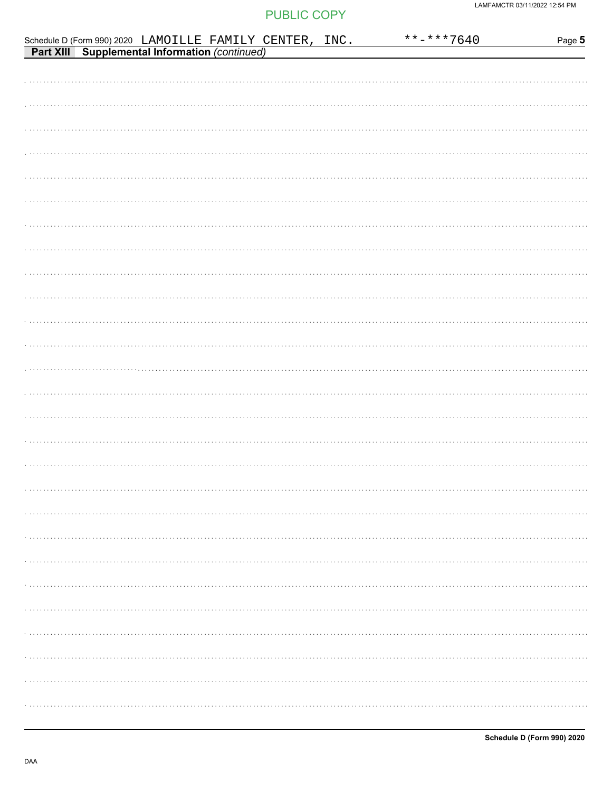|  |  |                                                                                                           |  | **-***7640 | Page 5 |
|--|--|-----------------------------------------------------------------------------------------------------------|--|------------|--------|
|  |  | Schedule D (Form 990) 2020 LAMOILLE FAMILY CENTER, INC.<br>Part XIII Supplemental Information (continued) |  |            |        |
|  |  |                                                                                                           |  |            |        |
|  |  |                                                                                                           |  |            |        |
|  |  |                                                                                                           |  |            |        |
|  |  |                                                                                                           |  |            |        |
|  |  |                                                                                                           |  |            |        |
|  |  |                                                                                                           |  |            |        |
|  |  |                                                                                                           |  |            |        |
|  |  |                                                                                                           |  |            |        |
|  |  |                                                                                                           |  |            |        |
|  |  |                                                                                                           |  |            |        |
|  |  |                                                                                                           |  |            |        |
|  |  |                                                                                                           |  |            |        |
|  |  |                                                                                                           |  |            |        |
|  |  |                                                                                                           |  |            |        |
|  |  |                                                                                                           |  |            |        |
|  |  |                                                                                                           |  |            |        |
|  |  |                                                                                                           |  |            |        |
|  |  |                                                                                                           |  |            |        |
|  |  |                                                                                                           |  |            |        |
|  |  |                                                                                                           |  |            |        |
|  |  |                                                                                                           |  |            |        |
|  |  |                                                                                                           |  |            |        |
|  |  |                                                                                                           |  |            |        |
|  |  |                                                                                                           |  |            |        |
|  |  |                                                                                                           |  |            |        |
|  |  |                                                                                                           |  |            |        |
|  |  |                                                                                                           |  |            |        |
|  |  |                                                                                                           |  |            |        |
|  |  |                                                                                                           |  |            |        |
|  |  |                                                                                                           |  |            |        |
|  |  |                                                                                                           |  |            |        |
|  |  |                                                                                                           |  |            |        |
|  |  |                                                                                                           |  |            |        |
|  |  |                                                                                                           |  |            |        |
|  |  |                                                                                                           |  |            |        |
|  |  |                                                                                                           |  |            |        |
|  |  |                                                                                                           |  |            |        |
|  |  |                                                                                                           |  |            |        |
|  |  |                                                                                                           |  |            |        |
|  |  |                                                                                                           |  |            |        |
|  |  |                                                                                                           |  |            |        |
|  |  |                                                                                                           |  |            |        |
|  |  |                                                                                                           |  |            |        |
|  |  |                                                                                                           |  |            |        |
|  |  |                                                                                                           |  |            |        |
|  |  |                                                                                                           |  |            |        |
|  |  |                                                                                                           |  |            |        |
|  |  |                                                                                                           |  |            |        |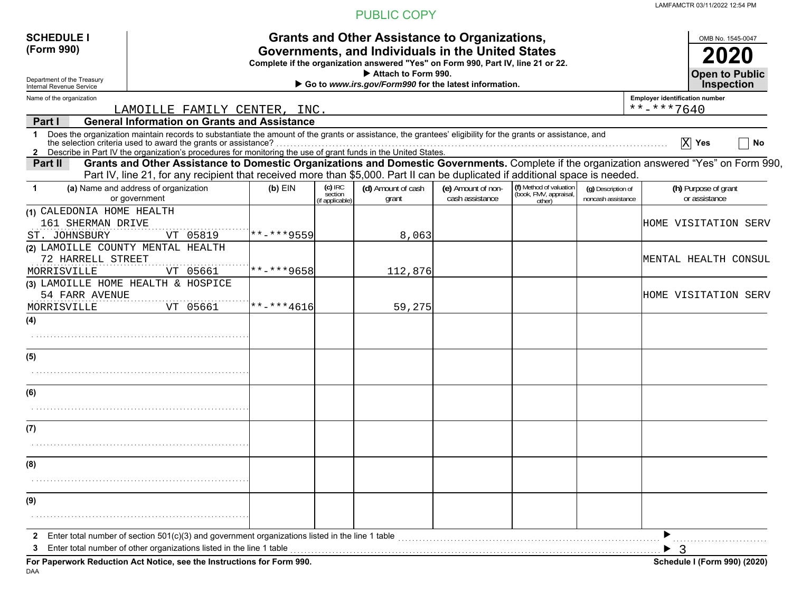|                                                                                     |                                                                                                                                                                                                                       | Governments, and Individuals in the United States<br>Complete if the organization answered "Yes" on Form 990, Part IV, line 21 or 22.<br>Attach to Form 990. |                                                       |                                                                                                                 |                                                                                                                                                            |                                                                                                                                                                                                                                                                                                                       |
|-------------------------------------------------------------------------------------|-----------------------------------------------------------------------------------------------------------------------------------------------------------------------------------------------------------------------|--------------------------------------------------------------------------------------------------------------------------------------------------------------|-------------------------------------------------------|-----------------------------------------------------------------------------------------------------------------|------------------------------------------------------------------------------------------------------------------------------------------------------------|-----------------------------------------------------------------------------------------------------------------------------------------------------------------------------------------------------------------------------------------------------------------------------------------------------------------------|
|                                                                                     |                                                                                                                                                                                                                       |                                                                                                                                                              |                                                       |                                                                                                                 |                                                                                                                                                            |                                                                                                                                                                                                                                                                                                                       |
|                                                                                     |                                                                                                                                                                                                                       |                                                                                                                                                              | Go to www.irs.gov/Form990 for the latest information. |                                                                                                                 |                                                                                                                                                            | <b>Open to Public</b><br><b>Inspection</b>                                                                                                                                                                                                                                                                            |
|                                                                                     |                                                                                                                                                                                                                       |                                                                                                                                                              |                                                       |                                                                                                                 | <b>Employer identification number</b>                                                                                                                      |                                                                                                                                                                                                                                                                                                                       |
| LAMOILLE FAMILY CENTER, INC.<br><b>General Information on Grants and Assistance</b> |                                                                                                                                                                                                                       |                                                                                                                                                              |                                                       |                                                                                                                 | **-***7640                                                                                                                                                 |                                                                                                                                                                                                                                                                                                                       |
|                                                                                     |                                                                                                                                                                                                                       |                                                                                                                                                              |                                                       |                                                                                                                 |                                                                                                                                                            | $\overline{X}$ Yes<br>No                                                                                                                                                                                                                                                                                              |
|                                                                                     |                                                                                                                                                                                                                       |                                                                                                                                                              |                                                       |                                                                                                                 |                                                                                                                                                            |                                                                                                                                                                                                                                                                                                                       |
| $(b)$ EIN                                                                           | $(c)$ IRC<br>section<br>(if applicable)                                                                                                                                                                               | (d) Amount of cash<br>grant                                                                                                                                  | (e) Amount of non-<br>cash assistance                 | (f) Method of valuation<br>(book, FMV, appraisal,<br>other)                                                     |                                                                                                                                                            | (h) Purpose of grant<br>or assistance                                                                                                                                                                                                                                                                                 |
|                                                                                     |                                                                                                                                                                                                                       | 8,063                                                                                                                                                        |                                                       |                                                                                                                 |                                                                                                                                                            | HOME VISITATION SERV                                                                                                                                                                                                                                                                                                  |
|                                                                                     |                                                                                                                                                                                                                       | 112,876                                                                                                                                                      |                                                       |                                                                                                                 |                                                                                                                                                            | MENTAL HEALTH CONSUL                                                                                                                                                                                                                                                                                                  |
|                                                                                     |                                                                                                                                                                                                                       | 59,275                                                                                                                                                       |                                                       |                                                                                                                 |                                                                                                                                                            | HOME VISITATION SERV                                                                                                                                                                                                                                                                                                  |
|                                                                                     |                                                                                                                                                                                                                       |                                                                                                                                                              |                                                       |                                                                                                                 |                                                                                                                                                            |                                                                                                                                                                                                                                                                                                                       |
|                                                                                     |                                                                                                                                                                                                                       |                                                                                                                                                              |                                                       |                                                                                                                 |                                                                                                                                                            |                                                                                                                                                                                                                                                                                                                       |
|                                                                                     |                                                                                                                                                                                                                       |                                                                                                                                                              |                                                       |                                                                                                                 |                                                                                                                                                            |                                                                                                                                                                                                                                                                                                                       |
|                                                                                     |                                                                                                                                                                                                                       |                                                                                                                                                              |                                                       |                                                                                                                 |                                                                                                                                                            |                                                                                                                                                                                                                                                                                                                       |
|                                                                                     |                                                                                                                                                                                                                       |                                                                                                                                                              |                                                       |                                                                                                                 |                                                                                                                                                            |                                                                                                                                                                                                                                                                                                                       |
|                                                                                     |                                                                                                                                                                                                                       |                                                                                                                                                              |                                                       |                                                                                                                 |                                                                                                                                                            |                                                                                                                                                                                                                                                                                                                       |
|                                                                                     | the selection criteria used to award the grants or assistance?<br>(a) Name and address of organization<br>VT 05819<br>(2) LAMOILLE COUNTY MENTAL HEALTH<br>VT 05661<br>(3) LAMOILLE HOME HEALTH & HOSPICE<br>VT 05661 | $******9559$<br>$******9658$<br>**-***4616                                                                                                                   |                                                       | 2 Describe in Part IV the organization's procedures for monitoring the use of grant funds in the United States. | Does the organization maintain records to substantiate the amount of the grants or assistance, the grantees' eligibility for the grants or assistance, and | Grants and Other Assistance to Domestic Organizations and Domestic Governments. Complete if the organization answered "Yes" on Form 990,<br>Part IV, line 21, for any recipient that received more than \$5,000. Part II can be duplicated if additional space is needed.<br>(g) Description of<br>noncash assistance |

DAA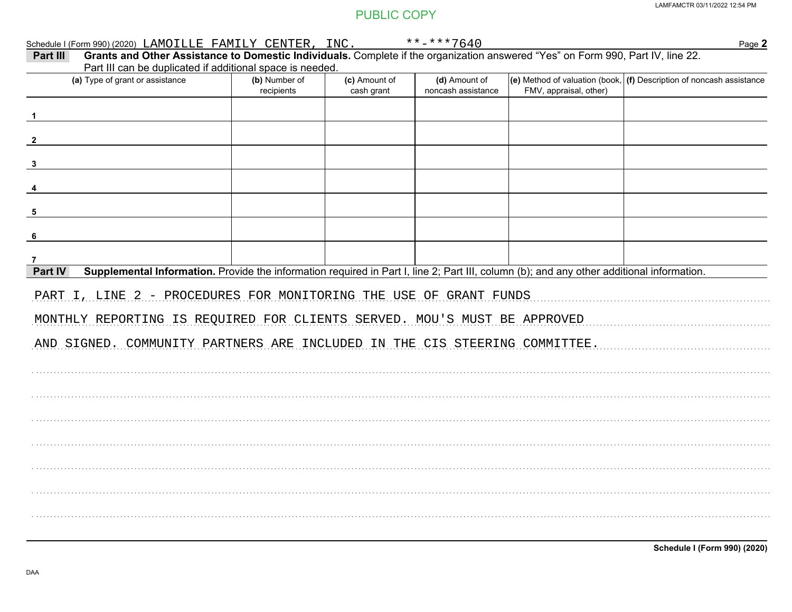| Schedule I (Form 990) (2020) LAMOILLE FAMILY CENTER, INC.                                                                                                                                                |                             |                             | **-***7640                          |                        | Page 2                                                                   |
|----------------------------------------------------------------------------------------------------------------------------------------------------------------------------------------------------------|-----------------------------|-----------------------------|-------------------------------------|------------------------|--------------------------------------------------------------------------|
| Grants and Other Assistance to Domestic Individuals. Complete if the organization answered "Yes" on Form 990, Part IV, line 22.<br>Part III<br>Part III can be duplicated if additional space is needed. |                             |                             |                                     |                        |                                                                          |
| (a) Type of grant or assistance                                                                                                                                                                          | (b) Number of<br>recipients | (c) Amount of<br>cash grant | (d) Amount of<br>noncash assistance | FMV, appraisal, other) | (e) Method of valuation (book, $ $ (f) Description of noncash assistance |
|                                                                                                                                                                                                          |                             |                             |                                     |                        |                                                                          |
|                                                                                                                                                                                                          |                             |                             |                                     |                        |                                                                          |
| 3                                                                                                                                                                                                        |                             |                             |                                     |                        |                                                                          |
|                                                                                                                                                                                                          |                             |                             |                                     |                        |                                                                          |
|                                                                                                                                                                                                          |                             |                             |                                     |                        |                                                                          |
| -6                                                                                                                                                                                                       |                             |                             |                                     |                        |                                                                          |
| Supplemental Information. Provide the information required in Part I, line 2; Part III, column (b); and any other additional information.<br>Part IV                                                     |                             |                             |                                     |                        |                                                                          |
| PART I, LINE 2 - PROCEDURES FOR MONITORING THE USE OF GRANT FUNDS                                                                                                                                        |                             |                             |                                     |                        |                                                                          |
| MONTHLY REPORTING IS REQUIRED FOR CLIENTS SERVED. MOU'S MUST BE APPROVED                                                                                                                                 |                             |                             |                                     |                        |                                                                          |
| AND SIGNED. COMMUNITY PARTNERS ARE INCLUDED IN THE CIS STEERING COMMITTEE.                                                                                                                               |                             |                             |                                     |                        |                                                                          |
|                                                                                                                                                                                                          |                             |                             |                                     |                        |                                                                          |
|                                                                                                                                                                                                          |                             |                             |                                     |                        |                                                                          |
|                                                                                                                                                                                                          |                             |                             |                                     |                        |                                                                          |
|                                                                                                                                                                                                          |                             |                             |                                     |                        |                                                                          |
|                                                                                                                                                                                                          |                             |                             |                                     |                        |                                                                          |
|                                                                                                                                                                                                          |                             |                             |                                     |                        |                                                                          |
|                                                                                                                                                                                                          |                             |                             |                                     |                        |                                                                          |
|                                                                                                                                                                                                          |                             |                             |                                     |                        | Schodulo I (Form 000) (2020)                                             |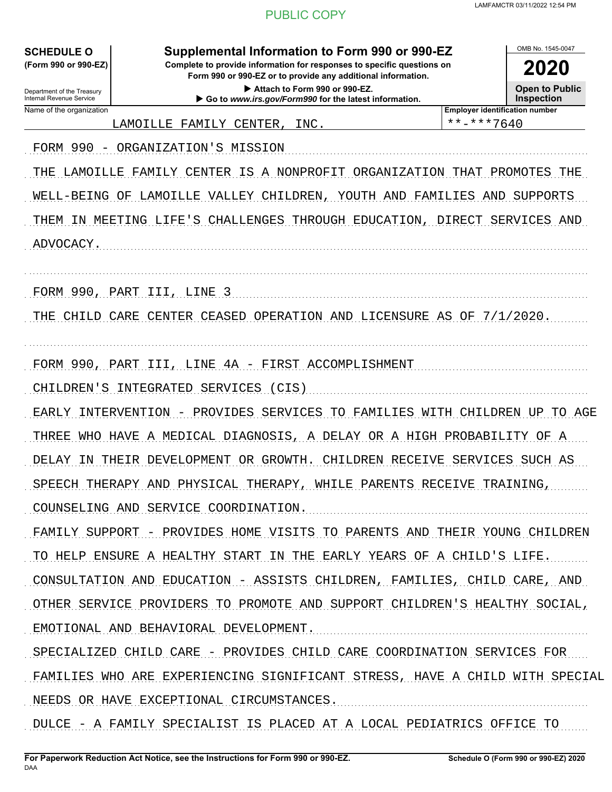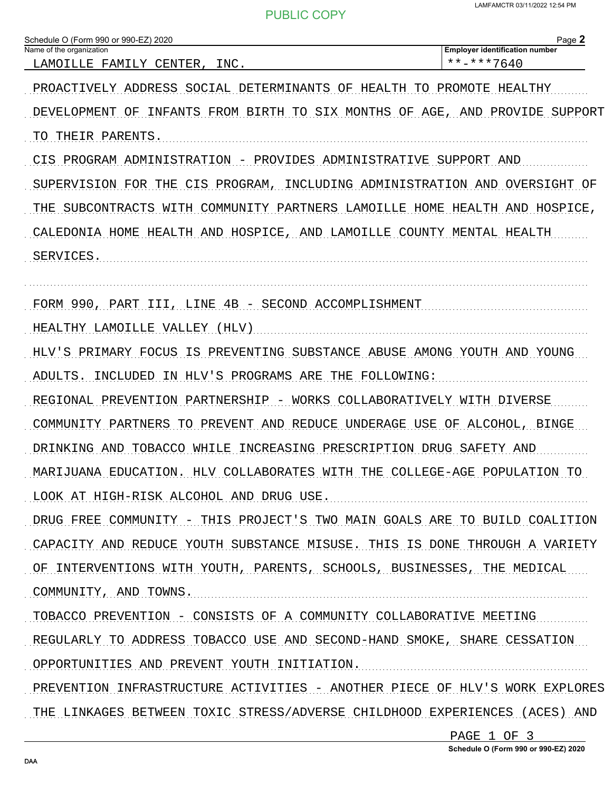| <b>PUBLIC COPY</b>                                                                                  | LAMFAMCTR 03/11/2022 12:54 PM                                 |
|-----------------------------------------------------------------------------------------------------|---------------------------------------------------------------|
| Schedule O (Form 990 or 990-EZ) 2020<br>Name of the organization<br>LAMOILLE FAMILY CENTER,<br>INC. | Page 2<br><b>Employer identification number</b><br>**-***7640 |
| PROACTIVELY ADDRESS SOCIAL DETERMINANTS OF<br>HEALTH TO                                             | PROMOTE<br>HEALTHY                                            |
| DEVELOPMENT OF<br>INFANTS FROM BIRTH TO SIX MONTHS OF AGE, AND PROVIDE SUPPORT                      |                                                               |
| THEIR PARENTS.<br>TO                                                                                |                                                               |
| PROGRAM ADMINISTRATION - PROVIDES ADMINISTRATIVE SUPPORT AND<br>CIS                                 |                                                               |
| SUPERVISION FOR THE CIS PROGRAM,<br>INCLUDING ADMINISTRATION AND                                    | OVERSIGHT OF                                                  |
| THE SUBCONTRACTS WITH COMMUNITY PARTNERS LAMOILLE HOME HEALTH AND HOSPICE,                          |                                                               |
| CALEDONIA HOME HEALTH AND HOSPICE, AND LAMOILLE COUNTY MENTAL HEALTH                                |                                                               |
| SERVICES.                                                                                           |                                                               |
|                                                                                                     |                                                               |
| FORM 990, PART III, LINE 4B - SECOND ACCOMPLISHMENT                                                 |                                                               |
| HEALTHY LAMOILLE VALLEY (HLV)                                                                       |                                                               |
| HLV'S PRIMARY FOCUS IS PREVENTING SUBSTANCE ABUSE AMONG YOUTH AND YOUNG                             |                                                               |
| INCLUDED IN HLV'S PROGRAMS ARE THE FOLLOWING:<br>ADULTS.                                            |                                                               |
| REGIONAL PREVENTION PARTNERSHIP - WORKS COLLABORATIVELY WITH DIVERSE                                |                                                               |
| COMMUNITY PARTNERS TO PREVENT AND REDUCE UNDERAGE USE OF ALCOHOL, BINGE                             |                                                               |
| DRINKING AND TOBACCO WHILE INCREASING PRESCRIPTION DRUG SAFETY AND                                  |                                                               |
| MARIJUANA EDUCATION. HLV COLLABORATES WITH THE COLLEGE-AGE POPULATION TO                            |                                                               |
| LOOK AT HIGH-RISK ALCOHOL AND DRUG USE.                                                             |                                                               |
| DRUG FREE COMMUNITY - THIS PROJECT'S TWO MAIN GOALS ARE TO BUILD COALITION                          |                                                               |
| CAPACITY AND REDUCE YOUTH SUBSTANCE MISUSE. THIS IS DONE THROUGH A VARIETY                          |                                                               |
| OF INTERVENTIONS WITH YOUTH, PARENTS, SCHOOLS, BUSINESSES, THE MEDICAL                              |                                                               |
| COMMUNITY, AND TOWNS.                                                                               |                                                               |
| TOBACCO PREVENTION - CONSISTS OF A COMMUNITY COLLABORATIVE MEETING                                  |                                                               |
| REGULARLY TO ADDRESS TOBACCO USE AND SECOND-HAND SMOKE, SHARE CESSATION                             |                                                               |

OPPORTUNITIES AND PREVENT YOUTH INITIATION.

PREVENTION INFRASTRUCTURE ACTIVITIES - ANOTHER PIECE OF HLV'S WORK EXPLORES THE LINKAGES BETWEEN TOXIC STRESS/ADVERSE CHILDHOOD EXPERIENCES (ACES) AND

PAGE 1 OF 3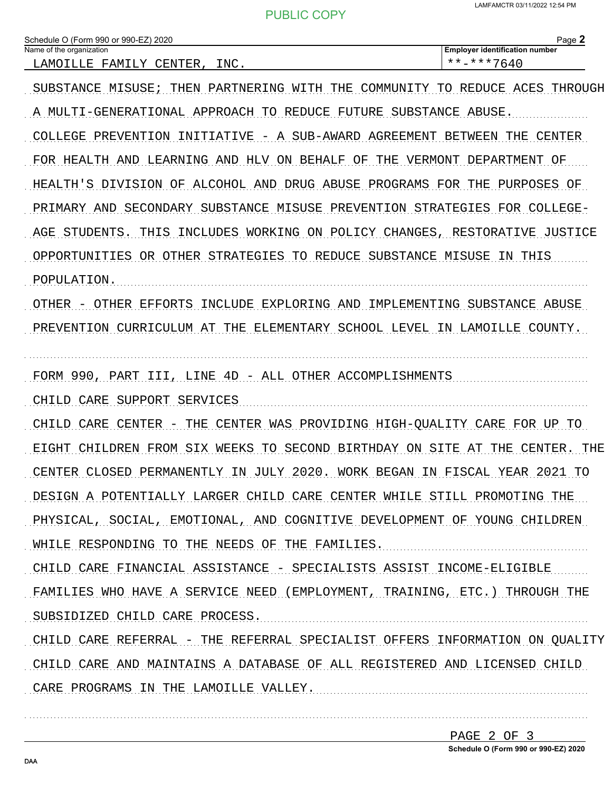| Schedule O (Form 990 or 990-EZ) 2020<br>Name of the organization<br>LAMOILLE FAMILY CENTER,<br>TNC. | Page 2<br><b>Employer identification number</b><br>**-***7640 |
|-----------------------------------------------------------------------------------------------------|---------------------------------------------------------------|
| SUBSTANCE<br>MISUSE;<br>THEN PARTNERING<br>WITH                                                     | THE<br>COMMUNITY<br>TО<br>REDUCE<br>ACES<br>THROUGH           |
| REDUCE<br>MULTI-GENERATIONAL APPROACH TO                                                            | FUTURE SUBSTANCE ABUSE.                                       |
| COLLEGE<br>PREVENTION INITIATIVE - A SUB-AWARD AGREEMENT BETWEEN                                    | THE<br>CENTER                                                 |
| FOR HEALTH AND LEARNING AND HLV ON BEHALF                                                           | THE VERMONT DEPARTMENT OF<br>OF                               |
| DIVISION OF ALCOHOL AND DRUG ABUSE<br>HEALTH'S                                                      | PROGRAMS FOR THE<br>PURPOSES OF                               |
| SECONDARY SUBSTANCE<br>MISUSE<br>PRIMARY AND                                                        | PREVENTION STRATEGIES<br>FOR COLLEGE-                         |
| STUDENTS<br>THIS<br>AGE                                                                             | INCLUDES WORKING ON POLICY CHANGES, RESTORATIVE JUSTICE       |
| OPPORTUNITIES                                                                                       | OR OTHER STRATEGIES TO REDUCE SUBSTANCE MISUSE IN THIS        |
| POPULATION.                                                                                         |                                                               |
| EFFORTS<br>EXPLORING AND<br>OTHER<br>OTHER<br>INCLUDE                                               | IMPLEMENTING SUBSTANCE<br>ABUSE                               |
| PREVENTION CURRICULUM AT THE                                                                        | ELEMENTARY SCHOOL LEVEL IN LAMOILLE COUNTY.                   |
| FORM 990, PART III,<br>LINE 4D - ALL OTHER ACCOMPLISHMENTS                                          |                                                               |
| CHILD CARE SUPPORT SERVICES                                                                         |                                                               |
| CHILD CARE CENTER - THE CENTER WAS PROVIDING HIGH-QUALITY CARE FOR UP TO                            |                                                               |
| EIGHT CHILDREN FROM SIX WEEKS TO SECOND BIRTHDAY ON SITE AT THE CENTER. THE                         |                                                               |
| CENTER CLOSED PERMANENTLY IN JULY 2020. WORK BEGAN IN FISCAL YEAR 2021 TO                           |                                                               |
| DESIGN A POTENTIALLY LARGER CHILD CARE CENTER WHILE STILL PROMOTING THE                             |                                                               |
| PHYSICAL, SOCIAL, EMOTIONAL, AND COGNITIVE DEVELOPMENT OF YOUNG CHILDREN                            |                                                               |
| WHILE RESPONDING TO THE NEEDS OF THE FAMILIES.                                                      |                                                               |
| CHILD CARE FINANCIAL ASSISTANCE - SPECIALISTS ASSIST INCOME-ELIGIBLE                                |                                                               |
| FAMILIES WHO HAVE A SERVICE NEED (EMPLOYMENT, TRAINING, ETC.) THROUGH THE                           |                                                               |
| SUBSIDIZED CHILD CARE PROCESS.                                                                      |                                                               |
| CHILD CARE REFERRAL - THE REFERRAL SPECIALIST OFFERS INFORMATION ON QUALITY                         |                                                               |
| CHILD CARE AND MAINTAINS A DATABASE OF ALL REGISTERED AND LICENSED CHILD                            |                                                               |
| CARE PROGRAMS IN THE LAMOILLE VALLEY.                                                               |                                                               |

PAGE 2 OF 3 Schedule O (Form 990 or 990-EZ) 2020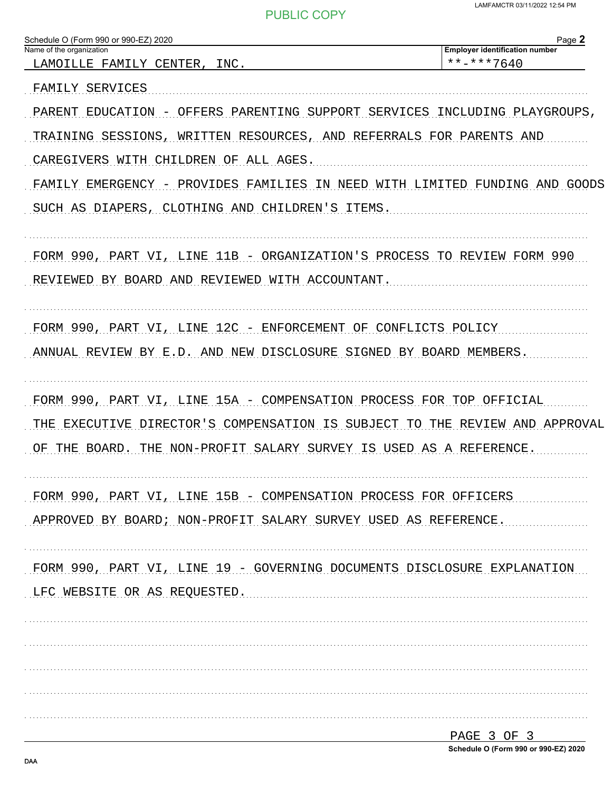LAMFAMCTR 03/11/2022 12:54 PM

| Schedule O (Form 990 or 990-EZ) 2020<br>Name of the organization                                                                                                                                                     | Page 2<br><b>Employer identification number</b> |
|----------------------------------------------------------------------------------------------------------------------------------------------------------------------------------------------------------------------|-------------------------------------------------|
| LAMOILLE FAMILY CENTER,<br>INC.                                                                                                                                                                                      | **-***7640                                      |
| FAMILY SERVICES                                                                                                                                                                                                      |                                                 |
| PARENT EDUCATION - OFFERS PARENTING SUPPORT SERVICES INCLUDING PLAYGROUPS,                                                                                                                                           |                                                 |
| TRAINING SESSIONS,<br>WRITTEN RESOURCES, AND REFERRALS FOR PARENTS AND                                                                                                                                               |                                                 |
|                                                                                                                                                                                                                      |                                                 |
| CAREGIVERS WITH CHILDREN OF ALL AGES.                                                                                                                                                                                |                                                 |
| FAMILY EMERGENCY - PROVIDES FAMILIES IN NEED WITH LIMITED FUNDING AND GOODS                                                                                                                                          |                                                 |
| SUCH AS DIAPERS, CLOTHING AND CHILDREN'S ITEMS.                                                                                                                                                                      |                                                 |
| FORM 990, PART VI, LINE 11B - ORGANIZATION'S PROCESS TO REVIEW FORM 990                                                                                                                                              |                                                 |
| REVIEWED BY BOARD AND REVIEWED WITH ACCOUNTANT.                                                                                                                                                                      |                                                 |
| FORM 990, PART VI, LINE 12C - ENFORCEMENT OF CONFLICTS POLICY                                                                                                                                                        |                                                 |
| ANNUAL REVIEW BY E.D. AND NEW DISCLOSURE SIGNED BY BOARD MEMBERS.                                                                                                                                                    |                                                 |
| FORM 990, PART VI, LINE 15A - COMPENSATION PROCESS FOR TOP OFFICIAL<br>DIRECTOR'S COMPENSATION IS SUBJECT TO THE<br>EXECUTIVE<br>THE<br>NON-PROFIT SALARY SURVEY IS USED AS A REFERENCE.<br>THE BOARD.<br>THE<br>OF. | REVIEW AND APPROVAL                             |
| FORM 990, PART VI, LINE 15B - COMPENSATION PROCESS FOR OFFICERS                                                                                                                                                      |                                                 |
| APPROVED BY BOARD; NON-PROFIT SALARY SURVEY USED AS REFERENCE.                                                                                                                                                       |                                                 |
| FORM 990, PART VI, LINE 19 - GOVERNING DOCUMENTS DISCLOSURE EXPLANATION<br>LFC WEBSITE OR AS REQUESTED.                                                                                                              |                                                 |
|                                                                                                                                                                                                                      |                                                 |
|                                                                                                                                                                                                                      |                                                 |
|                                                                                                                                                                                                                      |                                                 |
|                                                                                                                                                                                                                      | PAGE 3 OF 3                                     |

| C IU C IUDA |  |                                      |
|-------------|--|--------------------------------------|
|             |  | Schedule O (Form 990 or 990-EZ) 2020 |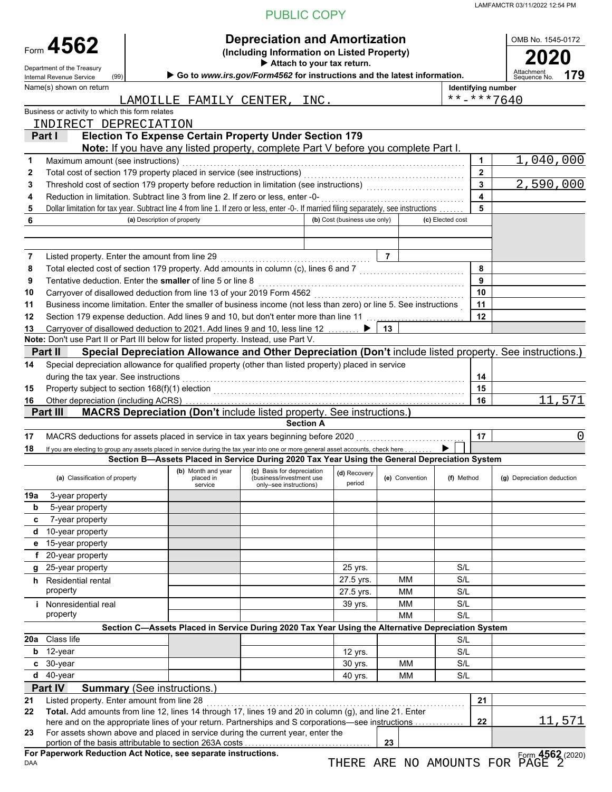LAMFAMCTR 03/11/2022 12:54 PM

|                | Form 4562                                                                                                                                                                                                     | <b>Depreciation and Amortization</b><br>(Including Information on Listed Property)<br>Attach to your tax return. |                                            |                                                                                                                                                     |                  |                              |                |                 |                  |                         | OMB No. 1545-0172<br>2020                                                                                |
|----------------|---------------------------------------------------------------------------------------------------------------------------------------------------------------------------------------------------------------|------------------------------------------------------------------------------------------------------------------|--------------------------------------------|-----------------------------------------------------------------------------------------------------------------------------------------------------|------------------|------------------------------|----------------|-----------------|------------------|-------------------------|----------------------------------------------------------------------------------------------------------|
|                | Department of the Treasury<br>(99)<br>Internal Revenue Service                                                                                                                                                |                                                                                                                  |                                            | Go to www.irs.gov/Form4562 for instructions and the latest information.                                                                             |                  |                              |                |                 |                  |                         | Attachment<br>179<br>Sequence No.                                                                        |
|                | Name(s) shown on return                                                                                                                                                                                       |                                                                                                                  |                                            |                                                                                                                                                     |                  |                              |                |                 |                  | Identifying number      |                                                                                                          |
|                |                                                                                                                                                                                                               |                                                                                                                  |                                            | LAMOILLE FAMILY CENTER, INC.                                                                                                                        |                  |                              |                |                 |                  |                         | **-***7640                                                                                               |
|                | Business or activity to which this form relates                                                                                                                                                               |                                                                                                                  |                                            |                                                                                                                                                     |                  |                              |                |                 |                  |                         |                                                                                                          |
|                | INDIRECT DEPRECIATION                                                                                                                                                                                         |                                                                                                                  |                                            |                                                                                                                                                     |                  |                              |                |                 |                  |                         |                                                                                                          |
| Part I         |                                                                                                                                                                                                               |                                                                                                                  |                                            | <b>Election To Expense Certain Property Under Section 179</b><br>Note: If you have any listed property, complete Part V before you complete Part I. |                  |                              |                |                 |                  |                         |                                                                                                          |
| 1              | Maximum amount (see instructions)                                                                                                                                                                             |                                                                                                                  |                                            |                                                                                                                                                     |                  |                              |                |                 |                  | 1                       | 1,040,000                                                                                                |
| 2              |                                                                                                                                                                                                               |                                                                                                                  |                                            |                                                                                                                                                     |                  |                              |                |                 |                  | $\overline{2}$          |                                                                                                          |
| 3              |                                                                                                                                                                                                               |                                                                                                                  | $\overline{3}$                             | 2,590,000                                                                                                                                           |                  |                              |                |                 |                  |                         |                                                                                                          |
| 4              |                                                                                                                                                                                                               |                                                                                                                  |                                            |                                                                                                                                                     |                  |                              |                |                 |                  | $\overline{\mathbf{A}}$ |                                                                                                          |
| 5              | Dollar limitation for tax year. Subtract line 4 from line 1. If zero or less, enter -0-. If married filing separately, see instructions                                                                       |                                                                                                                  |                                            |                                                                                                                                                     |                  |                              |                |                 |                  | 5                       |                                                                                                          |
| 6              |                                                                                                                                                                                                               | (a) Description of property                                                                                      |                                            |                                                                                                                                                     |                  | (b) Cost (business use only) |                |                 | (c) Elected cost |                         |                                                                                                          |
|                |                                                                                                                                                                                                               |                                                                                                                  |                                            |                                                                                                                                                     |                  |                              |                |                 |                  |                         |                                                                                                          |
|                |                                                                                                                                                                                                               |                                                                                                                  |                                            |                                                                                                                                                     |                  |                              |                |                 |                  |                         |                                                                                                          |
| 7              | Listed property. Enter the amount from line 29                                                                                                                                                                |                                                                                                                  |                                            |                                                                                                                                                     |                  |                              | $\overline{7}$ |                 |                  |                         |                                                                                                          |
| 8              | Total elected cost of section 179 property. Add amounts in column (c), lines 6 and 7 [[[[[[[[[[[[[[[[[[[[[[[[                                                                                                 |                                                                                                                  |                                            |                                                                                                                                                     |                  |                              |                |                 |                  | 8                       |                                                                                                          |
| 9              | Tentative deduction. Enter the smaller of line 5 or line 8                                                                                                                                                    |                                                                                                                  |                                            |                                                                                                                                                     |                  |                              |                |                 |                  | 9<br>10                 |                                                                                                          |
| 10<br>11       | Carryover of disallowed deduction from line 13 of your 2019 Form 4562<br>[[[CORDIN 4562]<br>Business income limitation. Enter the smaller of business income (not less than zero) or line 5. See instructions |                                                                                                                  |                                            |                                                                                                                                                     |                  |                              |                |                 |                  | 11                      |                                                                                                          |
| 12             | Section 179 expense deduction. Add lines 9 and 10, but don't enter more than line 11                                                                                                                          |                                                                                                                  |                                            |                                                                                                                                                     |                  |                              |                |                 |                  | 12                      |                                                                                                          |
| 13             | Carryover of disallowed deduction to 2021. Add lines 9 and 10, less line 12                                                                                                                                   |                                                                                                                  |                                            |                                                                                                                                                     |                  |                              | 13             |                 |                  |                         |                                                                                                          |
|                | Note: Don't use Part II or Part III below for listed property. Instead, use Part V.                                                                                                                           |                                                                                                                  |                                            |                                                                                                                                                     |                  |                              |                |                 |                  |                         |                                                                                                          |
| Part II        |                                                                                                                                                                                                               |                                                                                                                  |                                            |                                                                                                                                                     |                  |                              |                |                 |                  |                         | Special Depreciation Allowance and Other Depreciation (Don't include listed property. See instructions.) |
| 14             | Special depreciation allowance for qualified property (other than listed property) placed in service                                                                                                          |                                                                                                                  |                                            |                                                                                                                                                     |                  |                              |                |                 |                  |                         |                                                                                                          |
|                | during the tax year. See instructions                                                                                                                                                                         |                                                                                                                  |                                            |                                                                                                                                                     |                  |                              |                |                 |                  | 14                      |                                                                                                          |
| 15             |                                                                                                                                                                                                               |                                                                                                                  |                                            |                                                                                                                                                     |                  |                              |                |                 |                  | 15                      |                                                                                                          |
| 16             |                                                                                                                                                                                                               |                                                                                                                  |                                            |                                                                                                                                                     |                  |                              |                |                 |                  | 16                      | 11,571                                                                                                   |
| Part III       |                                                                                                                                                                                                               |                                                                                                                  |                                            | MACRS Depreciation (Don't include listed property. See instructions.)                                                                               |                  |                              |                |                 |                  |                         |                                                                                                          |
|                |                                                                                                                                                                                                               |                                                                                                                  |                                            |                                                                                                                                                     | <b>Section A</b> |                              |                |                 |                  |                         |                                                                                                          |
| 17             | MACRS deductions for assets placed in service in tax years beginning before 2020                                                                                                                              |                                                                                                                  |                                            |                                                                                                                                                     |                  |                              |                |                 |                  | 17                      | 0                                                                                                        |
| 18             | If you are electing to group any assets placed in service during the tax year into one or more general asset accounts, check here                                                                             |                                                                                                                  |                                            | Section B-Assets Placed in Service During 2020 Tax Year Using the General Depreciation System                                                       |                  |                              |                |                 |                  |                         |                                                                                                          |
|                | (a) Classification of property                                                                                                                                                                                |                                                                                                                  | (b) Month and year<br>placed in<br>service | (c) Basis for depreciation<br>(business/investment use<br>only-see instructions)                                                                    |                  | (d) Recovery<br>period       |                | (e) Convention  | (f) Method       |                         | (g) Depreciation deduction                                                                               |
| 19a            | 3-year property                                                                                                                                                                                               |                                                                                                                  |                                            |                                                                                                                                                     |                  |                              |                |                 |                  |                         |                                                                                                          |
| b              | 5-year property                                                                                                                                                                                               |                                                                                                                  |                                            |                                                                                                                                                     |                  |                              |                |                 |                  |                         |                                                                                                          |
| c              | 7-year property                                                                                                                                                                                               |                                                                                                                  |                                            |                                                                                                                                                     |                  |                              |                |                 |                  |                         |                                                                                                          |
| d              | 10-year property                                                                                                                                                                                              |                                                                                                                  |                                            |                                                                                                                                                     |                  |                              |                |                 |                  |                         |                                                                                                          |
| е              | 15-year property                                                                                                                                                                                              |                                                                                                                  |                                            |                                                                                                                                                     |                  |                              |                |                 |                  |                         |                                                                                                          |
| f.             | 20-year property                                                                                                                                                                                              |                                                                                                                  |                                            |                                                                                                                                                     |                  |                              |                |                 |                  |                         |                                                                                                          |
| g              | 25-year property                                                                                                                                                                                              |                                                                                                                  |                                            |                                                                                                                                                     |                  | 25 yrs.                      |                |                 | S/L              |                         |                                                                                                          |
|                | h Residential rental<br>property                                                                                                                                                                              |                                                                                                                  |                                            |                                                                                                                                                     |                  | 27.5 yrs.                    |                | MМ<br><b>MM</b> | S/L<br>S/L       |                         |                                                                                                          |
|                | <i>i</i> Nonresidential real                                                                                                                                                                                  |                                                                                                                  |                                            |                                                                                                                                                     |                  | 27.5 yrs.<br>39 yrs.         |                | MМ              | S/L              |                         |                                                                                                          |
|                | property                                                                                                                                                                                                      |                                                                                                                  |                                            |                                                                                                                                                     |                  |                              |                | MM              | S/L              |                         |                                                                                                          |
|                |                                                                                                                                                                                                               |                                                                                                                  |                                            | Section C-Assets Placed in Service During 2020 Tax Year Using the Alternative Depreciation System                                                   |                  |                              |                |                 |                  |                         |                                                                                                          |
| 20a            | Class life                                                                                                                                                                                                    |                                                                                                                  |                                            |                                                                                                                                                     |                  |                              |                |                 | S/L              |                         |                                                                                                          |
| b              | 12-year<br>S/L<br>12 yrs.                                                                                                                                                                                     |                                                                                                                  |                                            |                                                                                                                                                     |                  |                              |                |                 |                  |                         |                                                                                                          |
| c              | 30-year                                                                                                                                                                                                       |                                                                                                                  |                                            |                                                                                                                                                     |                  | 30 yrs.                      |                | MМ              | S/L              |                         |                                                                                                          |
| d              | 40-year                                                                                                                                                                                                       |                                                                                                                  |                                            |                                                                                                                                                     |                  | 40 yrs.                      |                | MМ              | S/L              |                         |                                                                                                          |
| <b>Part IV</b> |                                                                                                                                                                                                               | <b>Summary</b> (See instructions.)                                                                               |                                            |                                                                                                                                                     |                  |                              |                |                 |                  |                         |                                                                                                          |
| 21             | Listed property. Enter amount from line 28                                                                                                                                                                    |                                                                                                                  |                                            |                                                                                                                                                     |                  |                              |                |                 |                  | 21                      |                                                                                                          |
| 22             | Total. Add amounts from line 12, lines 14 through 17, lines 19 and 20 in column (g), and line 21. Enter<br>here and on the appropriate lines of your return. Partnerships and S corporations—see instructions |                                                                                                                  |                                            |                                                                                                                                                     |                  |                              |                |                 |                  | 22                      | 11,571                                                                                                   |
| 23             | For assets shown above and placed in service during the current year, enter the                                                                                                                               |                                                                                                                  |                                            |                                                                                                                                                     |                  |                              |                |                 |                  |                         |                                                                                                          |
|                |                                                                                                                                                                                                               |                                                                                                                  |                                            |                                                                                                                                                     |                  |                              | 23             |                 |                  |                         |                                                                                                          |
|                | For Paperwork Reduction Act Notice, see separate instructions.                                                                                                                                                |                                                                                                                  |                                            |                                                                                                                                                     |                  |                              |                |                 |                  |                         | Form 4562 (2020)                                                                                         |
| DAA            |                                                                                                                                                                                                               |                                                                                                                  |                                            |                                                                                                                                                     |                  |                              |                |                 |                  |                         | THERE ARE NO AMOUNTS FOR PAGE 2                                                                          |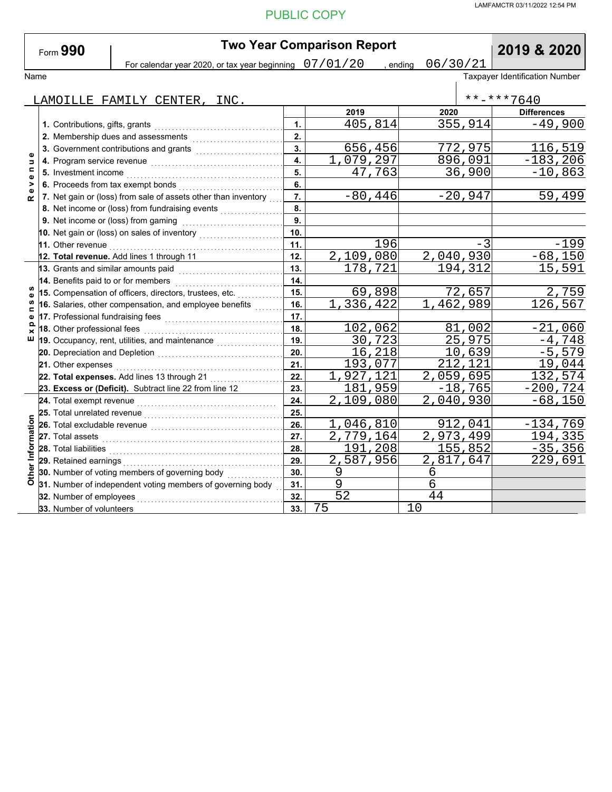## **Two Year Comparison Report 2019 & 2020**

|      | For calendar vear 2020.<br>or tax year beginning, | 20<br>( | and the state of the state of the<br>endina | $\overline{ }$ |                                |
|------|---------------------------------------------------|---------|---------------------------------------------|----------------|--------------------------------|
| Name |                                                   |         |                                             |                | Taxpaver Identification Number |

 $06/30/21$ 

|                     | LAMOILLE FAMILY CENTER,<br>INC.                                |                           |                           |           |           | **-***7640         |
|---------------------|----------------------------------------------------------------|---------------------------|---------------------------|-----------|-----------|--------------------|
|                     |                                                                |                           | 2019                      | 2020      |           | <b>Differences</b> |
|                     | 1. Contributions, gifts, grants                                | 1.                        | 405,814                   |           | 355,914   | $-49,900$          |
|                     | 2. Membership dues and assessments                             | 2.                        |                           |           |           |                    |
|                     | 3. Government contributions and grants                         | 3.                        | 656,456                   |           | 772,975   | 116,519            |
| Φ<br>$\overline{a}$ |                                                                | $\overline{\mathbf{4}}$ . | 1,079,297                 |           | 896,091   | $-183, 206$        |
| c<br>$\bullet$      | 5. Investment income                                           | 5.                        | 47,763                    |           | 36,900    | $-10,863$          |
| >                   | 6. Proceeds from tax exempt bonds                              | 6.                        |                           |           |           |                    |
| œ                   | 7. Net gain or (loss) from sale of assets other than inventory | 7.                        | $-80,446$                 |           | $-20,947$ | 59,499             |
|                     | 8. Net income or (loss) from fundraising events                | 8.                        |                           |           |           |                    |
|                     | 9. Net income or (loss) from gaming                            | 9.                        |                           |           |           |                    |
|                     | 10. Net gain or (loss) on sales of inventory                   | 10.                       |                           |           |           |                    |
|                     | 11. Other revenue                                              | 11.                       | 196                       |           | -3        | -199               |
|                     | 12. Total revenue. Add lines 1 through 11                      | 12.                       | 2,109,080                 | 2,040,930 |           | $-68,150$          |
|                     | 13. Grants and similar amounts paid                            | 13.                       | 178,721                   |           | 194,312   | 15,591             |
|                     | 14. Benefits paid to or for members                            | 14.                       |                           |           |           |                    |
| w<br>$\omega$       | 15. Compensation of officers, directors, trustees, etc.        | 15.                       | 69,898                    |           | 72,657    | 2,759              |
| n<br>$\mathbf{C}$   | 16. Salaries, other compensation, and employee benefits        | 16.                       | 1,336,422                 | 1,462,989 |           | 126,567            |
| Ф                   |                                                                | 17.                       |                           |           |           |                    |
|                     | 18. Other professional fees                                    | 18.                       | 102,062                   |           | 81,002    | $-21,060$          |
| ш                   | 19. Occupancy, rent, utilities, and maintenance                | 19.                       | 30,723                    |           | 25,975    | $-4,748$           |
|                     |                                                                | 20.                       | 16,218                    |           | 10,639    | $-5,579$           |
|                     | 21. Other expenses                                             | 21.                       | 193,077                   |           | 212,121   | 19,044             |
|                     | 22. Total expenses. Add lines 13 through 21                    | 22.                       | 1,927,121                 | 2,059,695 |           | 132,574            |
|                     | 23. Excess or (Deficit). Subtract line 22 from line 12         | 23.                       | 181,959                   |           | $-18,765$ | $-200,724$         |
|                     | 24. Total exempt revenue                                       | 24.                       | 2,109,080                 | 2,040,930 |           | $-68,150$          |
|                     | 25. Total unrelated revenue                                    | 25.                       |                           |           |           |                    |
|                     | 26. Total excludable revenue                                   | 26.                       | 1,046,810                 |           | 912,041   | $-134,769$         |
|                     | 27. Total assets                                               | 27.                       | $\overline{2}$ , 779, 164 | 2,973,499 |           | 194,335            |
|                     | 28. Total liabilities                                          | 28.                       | 191,208                   |           | 155,852   | $-35,356$          |
|                     | 29. Retained earnings                                          | 29.                       | 2,587,956                 | 2,817,647 |           | 229,691            |
| Other Information   | 30. Number of voting members of governing body                 | 30.                       | 9                         | 6         |           |                    |
|                     | 31. Number of independent voting members of governing body     | 31.                       | 9                         | 6         |           |                    |
|                     | 32. Number of employees                                        | 32.                       | $\overline{52}$           | 44        |           |                    |
|                     | 33. Number of volunteers                                       | 33.                       | 75                        | 10        |           |                    |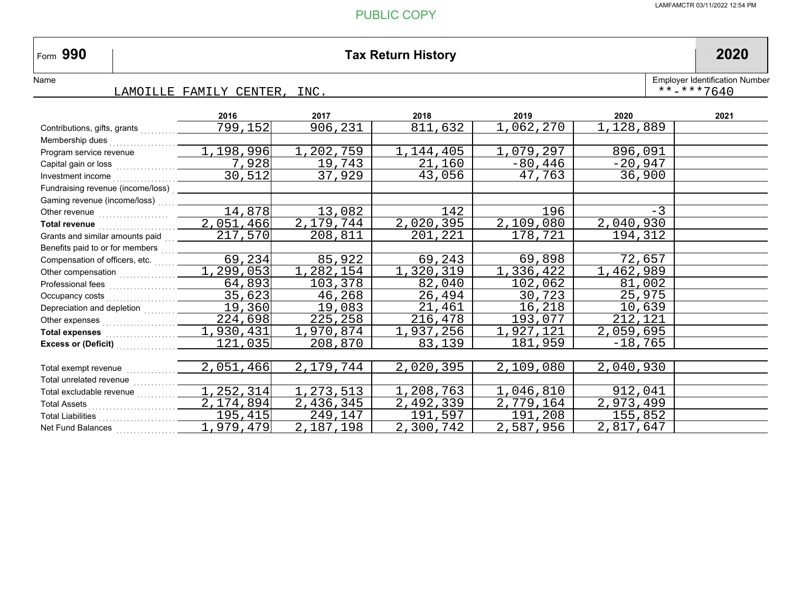#### Form 990

### **990 Tax Return History 2020**



Name

#### LAMOILLE FAMILY CENTER, INC.

|                                                                                                                                                                                                                                                                                   | 2016                   | 2017        | 2018       | 2019      | 2020      | 2021 |
|-----------------------------------------------------------------------------------------------------------------------------------------------------------------------------------------------------------------------------------------------------------------------------------|------------------------|-------------|------------|-----------|-----------|------|
| Contributions, gifts, grants                                                                                                                                                                                                                                                      | 799,152                | 906,231     | 811,632    | 1,062,270 | 1,128,889 |      |
| Membership dues<br>                                                                                                                                                                                                                                                               |                        |             |            |           |           |      |
| Program service revenue                                                                                                                                                                                                                                                           | 1,198,996              | 1,202,759   | 1,144,405  | 1,079,297 | 896,091   |      |
|                                                                                                                                                                                                                                                                                   | 7,928                  | 19,743      | 21,160     | $-80,446$ | $-20,947$ |      |
|                                                                                                                                                                                                                                                                                   | 30,512                 | 37,929      | 43,056     | 47,763    | 36,900    |      |
| Fundraising revenue (income/loss) _________                                                                                                                                                                                                                                       |                        |             |            |           |           |      |
| Gaming revenue (income/loss)                                                                                                                                                                                                                                                      |                        |             |            |           |           |      |
|                                                                                                                                                                                                                                                                                   | 14,878                 | 13,082      | 142        | 196       | $-3$      |      |
| Total revenue manual contracts and the contracts of the contracts of the contracts of the contracts of the contracts                                                                                                                                                              | $\overline{2,051,466}$ | 2,179,744   | 2,020,395  | 2,109,080 | 2,040,930 |      |
| Grants and similar amounts paid                                                                                                                                                                                                                                                   | 217,570                | 208,811     | 201,221    | 178,721   | 194,312   |      |
| Benefits paid to or for members <b>SACCO</b>                                                                                                                                                                                                                                      |                        |             |            |           |           |      |
| Compensation of officers, etc.                                                                                                                                                                                                                                                    | 69,234                 | 85,922      | 69,243     | 69,898    | 72,657    |      |
|                                                                                                                                                                                                                                                                                   | 1,299,053              | 1,282,154   | , 320, 319 | 1,336,422 | 1,462,989 |      |
|                                                                                                                                                                                                                                                                                   | 64,893                 | 103,378     | 82,040     | 102,062   | 81,002    |      |
|                                                                                                                                                                                                                                                                                   | 35,623                 | 46,268      | 26,494     | 30,723    | 25,975    |      |
| Depreciation and depletion<br>                                                                                                                                                                                                                                                    | 19,360                 | 19,083      | 21,461     | 16,218    | 10,639    |      |
|                                                                                                                                                                                                                                                                                   | 224,698                | 225,258     | 216,478    | 193,077   | 212,121   |      |
| Total expenses [11] contains the material contains the material contains the material contains the material of                                                                                                                                                                    | 1,930,431              | 1,970,874   | 1,937,256  | 1,927,121 | 2,059,695 |      |
| Excess or (Deficit) $\frac{1}{2}$ [100] $\frac{1}{2}$ [100] $\frac{1}{2}$ [100] $\frac{1}{2}$ [100] $\frac{1}{2}$ [100] $\frac{1}{2}$ [100] $\frac{1}{2}$ [100] $\frac{1}{2}$ [100] $\frac{1}{2}$ [100] $\frac{1}{2}$ [100] $\frac{1}{2}$ [100] $\frac{1}{2}$ [100] $\frac{1}{2}$ | 121,035                | 208,870     | 83,139     | 181,959   | $-18,765$ |      |
|                                                                                                                                                                                                                                                                                   |                        |             |            |           |           |      |
| Total exempt revenue                                                                                                                                                                                                                                                              | 2,051,466              | 2,179,744   | 2,020,395  | 2,109,080 | 2,040,930 |      |
| Total unrelated revenue                                                                                                                                                                                                                                                           |                        |             |            |           |           |      |
| Total excludable revenue                                                                                                                                                                                                                                                          | 1, 252, 314            | 1, 273, 513 | , 208, 763 | 1,046,810 | 912,041   |      |
|                                                                                                                                                                                                                                                                                   | 2, 174, 894            | 2,436,345   | 2,492,339  | 2,779,164 | 2,973,499 |      |
|                                                                                                                                                                                                                                                                                   | 195,415                | 249,147     | 191,597    | 191,208   | 155,852   |      |
| Net Fund Balances<br>. <b>.</b>                                                                                                                                                                                                                                                   | 1,979,479              | 2,187,198   | 2,300,742  | 2,587,956 | 2,817,647 |      |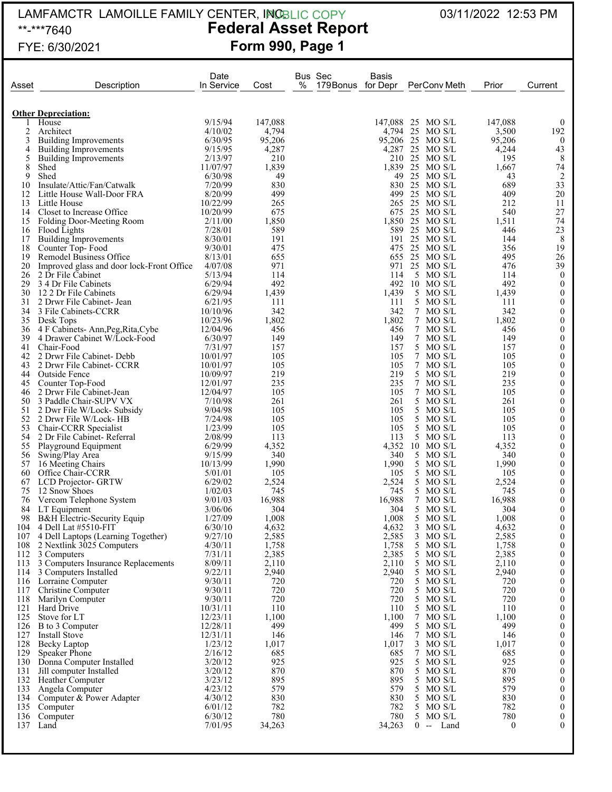### \*\*-\*\*\*7640 **Federal Asset Report NOBLIC COPY**

LAMFAMCTR\_LAMOILLE FAMILY CENTER, INCBLIC COPY 03/11/2022\_12:53 PM

|               | FYE: 6/30/2021                            |                    |                      | Form 990, Page 1                                                                                    |
|---------------|-------------------------------------------|--------------------|----------------------|-----------------------------------------------------------------------------------------------------|
| Asset         | Description                               | Date<br>In Service | Cost                 | Bus Sec<br><b>Basis</b><br>$\%$<br>179 Bonus<br><b>PerConv Meth</b><br>Prior<br>Current<br>for Depr |
|               |                                           |                    |                      |                                                                                                     |
|               | <b>Other Depreciation:</b>                |                    |                      |                                                                                                     |
|               | House                                     | 9/15/94            | 147,088              | 147,088 25 MO S/L<br>147,088<br>$\overline{0}$                                                      |
| 2             | Architect                                 | 4/10/02            | 4,794                | 192<br>4,794 25 MO S/L<br>3,500                                                                     |
| 3             | <b>Building Improvements</b>              | 6/30/95            | 95,206               | 95,206 25 MO S/L<br>95,206<br>0                                                                     |
|               | <b>Building Improvements</b>              | 9/15/95            | 4,287                | 4,287 25 MO S/L<br>43<br>4,244                                                                      |
| 5             | <b>Building Improvements</b>              | 2/13/97            | 210                  | 195<br>210<br>25 MO S/L<br>8                                                                        |
| 8             | Shed                                      | 11/07/97           | 1,839                | 1,839 25 MO S/L<br>1,667<br>74                                                                      |
| 9             | Shed                                      | 6/30/98            | 49                   | $\overline{2}$<br>49<br>25<br>MO S/L<br>43                                                          |
| 10            | Insulate/Attic/Fan/Catwalk                | 7/20/99            | 830                  | 33<br>830<br>689<br>25 MO S/L                                                                       |
| 12            | Little House Wall-Door FRA                | 8/20/99            | 499                  | 20<br>499<br>25 MO S/L<br>409                                                                       |
| 13            | Little House                              | 10/22/99           | 265                  | 25 MO S/L<br>212<br>265<br>11                                                                       |
| 14            | Closet to Increase Office                 | 10/20/99           | 675                  | 27<br>675<br>25 MO S/L<br>540                                                                       |
| 15            | Folding Door-Meeting Room                 | 2/11/00            | 1,850                | 1,511<br>74<br>1,850<br>25 MO S/L                                                                   |
| 16            | Flood Lights                              | 7/28/01            | 589                  | 23<br>589<br>446<br>25 MO S/L                                                                       |
| 17            | <b>Building Improvements</b>              | 8/30/01            | 191                  | 8<br>191<br>25<br>MO S/L<br>144                                                                     |
| 18            | Counter Top-Food                          | 9/30/01            | 475                  | 19<br>25 MO S/L<br>356<br>475                                                                       |
| 19            | Remodel Business Office                   | 8/13/01            | 655                  | 655<br>25 MO S/L<br>495<br>26                                                                       |
| 20            | Improved glass and door lock-Front Office | 4/07/08            | 971                  | 39<br>25 MO S/L<br>971<br>476                                                                       |
| 26            | 2 Dr File Cabinet                         | 5/13/94            | 114                  | 114<br>5 MO S/L<br>114<br>0                                                                         |
| 29            | 3 4 Dr File Cabinets                      | 6/29/94            | 492                  | 492<br>492<br>$10$ MO S/L<br>0                                                                      |
| 30            | 12 2 Dr File Cabinets                     | 6/29/94            | 1,439                | 1,439<br>5 MO S/L<br>1,439<br>0                                                                     |
| 31            | 2 Drwr File Cabinet- Jean                 | 6/21/95            | 111                  | 111<br>5 MO S/L<br>111<br>$\overline{0}$                                                            |
| 34            | 3 File Cabinets-CCRR                      | 10/10/96           | 342                  | 342<br>7 MO S/L<br>342<br>$\boldsymbol{0}$                                                          |
| 35            | Desk Tops                                 | 10/23/96           | 1,802                | 1,802<br>7 MO S/L<br>1,802<br>$\overline{0}$                                                        |
| 36            | 4 F Cabinets-Ann, Peg, Rita, Cybe         | 12/04/96           | 456                  | 456<br>7 MO S/L<br>456<br>$\boldsymbol{0}$                                                          |
| 39            | 4 Drawer Cabinet W/Lock-Food              | 6/30/97            | 149                  | 149<br>7 MO S/L<br>149<br>$\boldsymbol{0}$                                                          |
| 41            | Chair-Food                                | 7/31/97            | 157                  | 157<br>157<br>5 MO S/L<br>0                                                                         |
| 42            | 2 Drwr File Cabinet-Debb                  | 10/01/97           | 105                  | 105<br>7 MO S/L<br>105                                                                              |
| 43            | 2 Drwr File Cabinet- CCRR                 | 10/01/97           | 105                  | 105<br>7 MO S/L<br>105<br>0                                                                         |
| 44            | <b>Outside Fence</b>                      | 10/09/97           | 219                  | 5 MO S/L<br>219<br>219                                                                              |
| 45            | Counter Top-Food                          | 12/01/97           | 235                  | 235<br>7 MO S/L<br>235<br>0                                                                         |
| 46            | 2 Drwr File Cabinet-Jean                  | 12/04/97           | 105                  | 0<br>105<br>7 MO S/L<br>105                                                                         |
| $\sim$ $\sim$ |                                           |                    | $\sim$ $\sim$ $\sim$ | $\sim$ $\sim$ $\sim$<br>$\sim$ $\sim$ $\sim$<br>$\sim$                                              |

| 30         | 12 2 Dr File Cabinets              | 6/29/94  | 1,439      | 1,439  |                | 5 MO S/L                         | 1,439          | $\boldsymbol{0}$                     |
|------------|------------------------------------|----------|------------|--------|----------------|----------------------------------|----------------|--------------------------------------|
| 31         | 2 Drwr File Cabinet- Jean          | 6/21/95  | 111        | 111    | 5              | MO S/L                           | 111            | $\boldsymbol{0}$                     |
| 34         | 3 File Cabinets-CCRR               | 10/10/96 | 342        | 342    | 7              | MO S/L                           | 342            | $\boldsymbol{0}$                     |
|            | 35 Desk Tops                       | 10/23/96 | 1,802      | 1,802  | 7              | MO S/L                           | 1,802          | $\boldsymbol{0}$                     |
| 36         | 4 F Cabinets- Ann, Peg, Rita, Cybe | 12/04/96 | 456        | 456    |                | 7 MO S/L                         | 456            | $\boldsymbol{0}$                     |
| 39         | 4 Drawer Cabinet W/Lock-Food       | 6/30/97  | 149        | 149    | 7              | MO S/L                           | 149            | $\boldsymbol{0}$                     |
| 41         | Chair-Food                         | 7/31/97  | 157        | 157    |                | 5 MO S/L                         | 157            | $\boldsymbol{0}$                     |
| 42         | 2 Drwr File Cabinet- Debb          | 10/01/97 | 105        | 105    | 7              | MO S/L                           | 105            | $\boldsymbol{0}$                     |
| 43         | 2 Drwr File Cabinet- CCRR          | 10/01/97 | 105        | 105    |                | 7 MO S/L                         | 105            | $\boldsymbol{0}$                     |
| 44         | <b>Outside Fence</b>               | 10/09/97 | 219        | 219    |                | 5 MO S/L                         | 219            | $\boldsymbol{0}$                     |
| 45         | Counter Top-Food                   | 12/01/97 | 235        | 235    | 7              | MO S/L                           | 235            | $\boldsymbol{0}$                     |
| 46         | 2 Drwr File Cabinet-Jean           | 12/04/97 | 105        | 105    |                | 7 MO S/L                         | 105            | $\boldsymbol{0}$                     |
| 50         | 3 Paddle Chair-SUPV VX             | 7/10/98  | 261        | 261    | 5              | MO S/L                           | 261            | $\boldsymbol{0}$                     |
| 51         | 2 Dwr File W/Lock- Subsidy         | 9/04/98  | 105        | 105    | 5              | MO S/L                           | 105            | $\boldsymbol{0}$                     |
|            |                                    | 7/24/98  | 105        | 105    |                |                                  | 105            |                                      |
| 52         | 2 Drwr File W/Lock- HB             |          |            |        | 5              | MO S/L                           |                | $\boldsymbol{0}$                     |
| 53         | Chair-CCRR Specialist              | 1/23/99  | 105        | 105    | 5              | MO S/L                           | 105            | $\boldsymbol{0}$                     |
| 54         | 2 Dr File Cabinet - Referral       | 2/08/99  | 113        | 113    | 5              | MO S/L                           | 113            | $\boldsymbol{0}$                     |
| 55         | Playground Equipment               | 6/29/99  | 4,352      | 4,352  |                | $10$ MO S/L                      | 4,352          | $\boldsymbol{0}$                     |
| 56         | Swing/Play Area                    | 9/15/99  | 340        | 340    |                | 5 MO S/L                         | 340            | $\boldsymbol{0}$                     |
| 57         | 16 Meeting Chairs                  | 10/13/99 | 1,990      | 1,990  |                | 5 MO S/L                         | 1,990          | $\boldsymbol{0}$                     |
| 60         | Office Chair-CCRR                  | 5/01/01  | 105        | 105    | 5 <sup>5</sup> | MO S/L                           | 105            | $\boldsymbol{0}$                     |
| 67         | LCD Projector- GRTW                | 6/29/02  | 2,524      | 2,524  |                | 5 MO S/L                         | 2,524          | $\boldsymbol{0}$                     |
| 75         | 12 Snow Shoes                      | 1/02/03  | 745        | 745    |                | 5 MO S/L                         | 745            | $\boldsymbol{0}$                     |
| 76         | Vercom Telephone System            | 9/01/03  | 16,988     | 16,988 | 7              | MO S/L                           | 16,988         | $\boldsymbol{0}$                     |
| 84         | LT Equipment                       | 3/06/06  | 304        | 304    |                | 5 MO S/L                         | 304            | $\boldsymbol{0}$                     |
| 98         | B&H Electric-Security Equip        | 1/27/09  | 1,008      | 1,008  | 5              | MO S/L                           | 1,008          | $\boldsymbol{0}$                     |
| 104        | 4 Dell Lat #5510-FIT               | 6/30/10  | 4,632      | 4,632  | $\mathfrak{Z}$ | MO S/L                           | 4,632          | $\boldsymbol{0}$                     |
| 107        | 4 Dell Laptops (Learning Together) | 9/27/10  | 2,585      | 2,585  | 3              | MO S/L                           | 2,585          | $\boldsymbol{0}$                     |
|            | 108 2 Nextlink 3025 Computers      | 4/30/11  | 1,758      | 1,758  |                | 5 MO S/L                         | 1,758          | $\boldsymbol{0}$                     |
|            | 112 3 Computers                    | 7/31/11  | 2,385      | 2,385  | 5              | MO S/L                           | 2,385          | $\boldsymbol{0}$                     |
| 113        | 3 Computers Insurance Replacements | 8/09/11  | 2,110      | 2,110  |                | 5 MO S/L                         | 2,110          | $\boldsymbol{0}$                     |
| 114        | 3 Computers Installed              | 9/22/11  | 2,940      | 2,940  | 5 <sup>5</sup> | MO S/L                           | 2,940          | $\boldsymbol{0}$                     |
|            | 116 Lorraine Computer              | 9/30/11  | 720        | 720    |                | 5 MO S/L                         | 720            | $\boldsymbol{0}$                     |
| 117        | <b>Christine Computer</b>          | 9/30/11  | 720        | 720    |                | 5 MO S/L                         | 720            | $\boldsymbol{0}$                     |
| 118        | Marilyn Computer                   | 9/30/11  | 720        | 720    |                | 5 MO S/L                         | 720            | $\boldsymbol{0}$                     |
| 121        | Hard Drive                         | 10/31/11 | 110        | 110    |                | 5 MO S/L                         | 110            | $\boldsymbol{0}$                     |
| 125        | Stove for LT                       | 12/23/11 | 1,100      | 1,100  | 7              | MO S/L                           | 1,100          | $\boldsymbol{0}$                     |
|            | 126 B to 3 Computer                | 12/28/11 | 499        | 499    |                | 5 MO S/L                         | 499            | $\boldsymbol{0}$                     |
| 127        | Install Stove                      | 12/31/11 | 146        | 146    | 7              | MO S/L                           | 146            | $\boldsymbol{0}$                     |
| 128        | Becky Laptop                       | 1/23/12  | 1,017      | 1,017  |                | $3$ MO S/L                       | 1,017          | $\boldsymbol{0}$                     |
| 129        | Speaker Phone                      | 2/16/12  | 685        | 685    | 7              | MO S/L                           | 685            | $\boldsymbol{0}$                     |
| 130        | Donna Computer Installed           | 3/20/12  | 925        | 925    |                | 5 MO S/L                         | 925            | $\boldsymbol{0}$                     |
| 131        | Jill computer Installed            | 3/20/12  | 870        | 870    | 5              | MO S/L                           | 870            | $\boldsymbol{0}$                     |
| 132        | Heather Computer                   | 3/23/12  | 895        | 895    |                | 5 MO S/L                         | 895            | $\boldsymbol{0}$                     |
| 133        | Angela Computer                    | 4/23/12  | 579        | 579    | 5              | MO S/L                           | 579            | $\boldsymbol{0}$                     |
| 134        | Computer & Power Adapter           | 4/30/12  | 830        | 830    | 5              | MO S/L                           | 830            | $\boldsymbol{0}$                     |
|            |                                    | 6/01/12  |            | 782    |                | 5 MO S/L                         | 782            |                                      |
| 135<br>136 | Computer<br>Computer               | 6/30/12  | 782<br>780 | 780    | 5              | MO S/L                           | 780            | $\boldsymbol{0}$<br>$\boldsymbol{0}$ |
|            |                                    |          |            |        | $\overline{0}$ |                                  | $\overline{0}$ | $\mathbf{0}$                         |
| 137        | Land                               | 7/01/95  | 34,263     | 34,263 |                | $\overline{\phantom{a}}$<br>Land |                |                                      |
|            |                                    |          |            |        |                |                                  |                |                                      |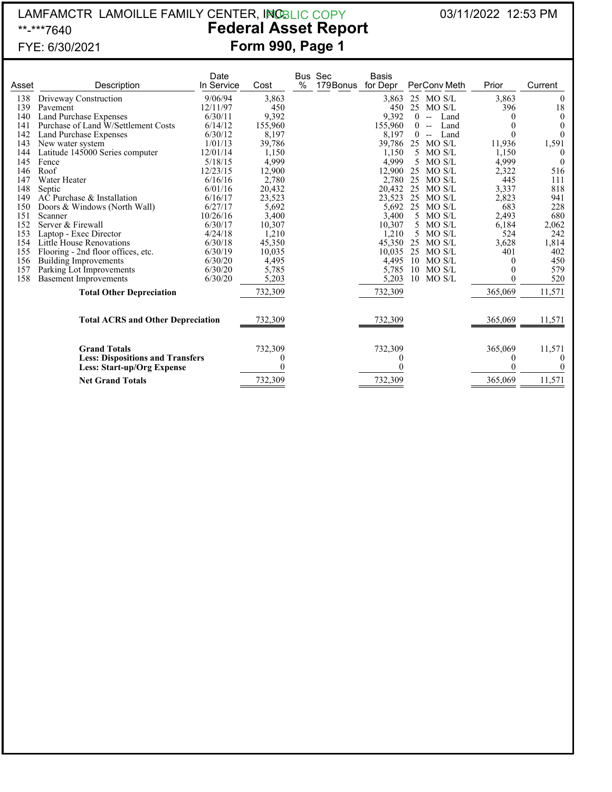#### LAMFAMCTR\_LAMOILLE FAMILY CENTER, INCBLIC COPY 03/11/2022\_12:53 PM \*\*-\*\*\*7640 **Federal Asset Report** FYE: 6/30/2021 **Form 990, Page 1 NOBLIC COPY**

| Asset | Description                                                    | Date<br>In Service | Cost                | Bus<br>$\%$ | Sec<br>179Bonus | <b>Basis</b><br>for Depr |          | PerConv Meth                     | Prior               | Current            |
|-------|----------------------------------------------------------------|--------------------|---------------------|-------------|-----------------|--------------------------|----------|----------------------------------|---------------------|--------------------|
| 138   | Driveway Construction                                          | 9/06/94            | 3,863               |             |                 | 3,863                    |          | 25 MO S/L                        | 3,863               | $\theta$           |
| 139   | Pavement                                                       | 12/11/97           | 450                 |             |                 | 450                      |          | 25 MO S/L                        | 396                 | 18                 |
| 140   | Land Purchase Expenses                                         | 6/30/11            | 9,392               |             |                 | 9,392                    | $\theta$ | Land<br>$\overline{\phantom{a}}$ | $\Omega$            | $\mathbf{0}$       |
| 141   | Purchase of Land W/Settlement Costs                            | 6/14/12            | 155,960             |             |                 | 155,960                  | $\theta$ | Land<br>$\overline{\phantom{a}}$ | $\theta$            | $\theta$           |
| 142   | <b>Land Purchase Expenses</b>                                  | 6/30/12            | 8,197               |             |                 | 8,197                    | $\Omega$ | Land<br>$\hspace{0.05cm} \dashv$ | $\theta$            | $\Omega$           |
| 143   | New water system                                               | 1/01/13            | 39,786              |             |                 | 39,786                   | 25       | MO S/L                           | 11,936              | 1,591              |
| 144   | Latitude 145000 Series computer                                | 12/01/14           | 1,150               |             |                 | 1.150                    | .5       | MO S/L                           | 1,150               | $\left($           |
| 145   | Fence                                                          | 5/18/15            | 4,999               |             |                 | 4,999                    |          | 5 MO S/L                         | 4,999               | $\mathbf{0}$       |
| 146   | Roof                                                           | 12/23/15           | 12,900              |             |                 | 12,900                   |          | 25 MO S/L                        | 2,322               | 516                |
| 147   | Water Heater                                                   | 6/16/16            | 2,780               |             |                 | 2.780                    | 25       | MO S/L                           | 445                 | 111                |
| 148   | Septic                                                         | 6/01/16            | 20,432              |             |                 | 20,432                   | 25       | MO S/L                           | 3,337               | 818                |
| 149   | AC Purchase $\&$ Installation                                  | 6/16/17            | 23,523              |             |                 | 23,523                   | 25       | MO S/L                           | 2,823               | 941                |
| 150   | Doors & Windows (North Wall)                                   | 6/27/17            | 5,692               |             |                 | 5.692                    | 25       | MO S/L                           | 683                 | 228                |
| 151   | Scanner                                                        | 10/26/16           | 3,400               |             |                 | 3,400                    |          | 5 MO S/L                         | 2,493               | 680                |
| 152   | Server & Firewall                                              | 6/30/17            | 10,307              |             |                 | 10,307                   |          | 5 MO S/L                         | 6,184               | 2,062              |
| 153   | Laptop - Exec Director                                         | 4/24/18            | 1,210               |             |                 | 1,210                    |          | 5 MO S/L                         | 524                 | 242                |
| 154   | Little House Renovations                                       | 6/30/18            | 45,350              |             |                 | 45.350                   | 25       | MO S/L                           | 3,628               | 1,814              |
| 155   | Flooring - 2nd floor offices, etc.                             | 6/30/19            | 10,035              |             |                 | 10.035                   |          | 25 MO S/L                        | 401                 | 402                |
| 156   | Building Improvements                                          | 6/30/20            | 4,495               |             |                 | 4,495                    | 10       | MO S/L                           | 0                   | 450                |
| 157   | Parking Lot Improvements                                       | 6/30/20            | 5,785               |             |                 | 5,785                    | 10       | MO S/L                           | 0                   | 579                |
| 158   | <b>Basement Improvements</b>                                   | 6/30/20            | 5,203               |             |                 | 5,203                    | 10       | MO S/L                           | $\theta$            | 520                |
|       | <b>Total Other Depreciation</b>                                |                    | 732,309             |             |                 | 732,309                  |          |                                  | 365,069             | 11,571             |
|       | <b>Total ACRS and Other Depreciation</b>                       |                    | 732,309             |             |                 | 732,309                  |          |                                  | 365,069             | 11,571             |
|       | <b>Grand Totals</b><br><b>Less: Dispositions and Transfers</b> |                    | 732,309<br>$\theta$ |             |                 | 732,309                  |          |                                  | 365,069<br>$\theta$ | 11,571<br>$\theta$ |
|       | <b>Less: Start-up/Org Expense</b>                              |                    | 0                   |             |                 |                          |          |                                  | $\Omega$            | $\theta$           |
|       | <b>Net Grand Totals</b>                                        |                    | 732,309             |             |                 | 732,309                  |          |                                  | 365.069             | 11,571             |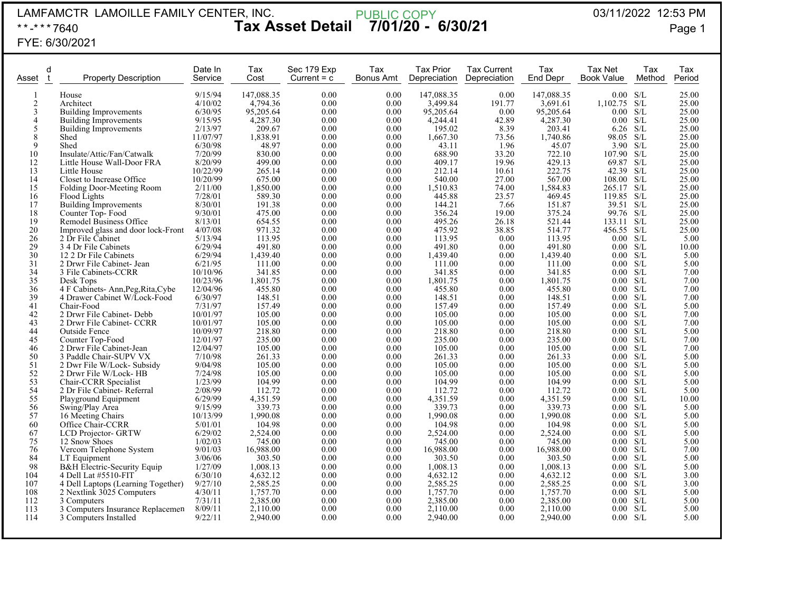| LAMFAMCTR LAMOILLE FAMILY CENTER, INC.<br><b>PUBLIC COPY</b><br><b>7/01/20 - 6/30/21</b><br><b>Tax Asset Detail</b><br>**-****7640<br>FYE: 6/30/2021 |                                                                    |                     |                     |                              |                  |                                  |                                    |                     | 03/11/2022 12:53 PM              |               | Page 1         |
|------------------------------------------------------------------------------------------------------------------------------------------------------|--------------------------------------------------------------------|---------------------|---------------------|------------------------------|------------------|----------------------------------|------------------------------------|---------------------|----------------------------------|---------------|----------------|
| d<br>Asset<br>t                                                                                                                                      | <b>Property Description</b>                                        | Date In<br>Service  | Tax<br>Cost         | Sec 179 Exp<br>Current $= c$ | Tax<br>Bonus Amt | <b>Tax Prior</b><br>Depreciation | <b>Tax Current</b><br>Depreciation | Tax<br>End Depr     | <b>Tax Net</b><br>Book Value     | Tax<br>Method | Tax<br>Period  |
| $\mathbf{1}$                                                                                                                                         | House                                                              | 9/15/94             | 147,088.35          | 0.00                         | 0.00             | 147,088.35                       | 0.00                               | 147,088.35          | $0.00\quad\mathrm{S}/\mathrm{L}$ |               | 25.00          |
| 2                                                                                                                                                    | Architect                                                          | 4/10/02             | 4,794.36            | 0.00                         | 0.00             | 3,499.84                         | 191.77                             | 3,691.61            | 1,102.75                         | S/L           | 25.00          |
| 3                                                                                                                                                    | <b>Building Improvements</b>                                       | 6/30/95             | 95,205.64           | 0.00                         | 0.00             | 95,205.64                        | 0.00                               | 95,205.64           | 0.00                             | S/L           | 25.00          |
| $\overline{4}$                                                                                                                                       | <b>Building Improvements</b>                                       | 9/15/95             | 4,287.30            | 0.00                         | 0.00             | 4,244.41                         | 42.89                              | 4,287.30            | 0.00                             | S/L           | 25.00          |
| $\sqrt{5}$                                                                                                                                           | Building Improvements                                              | 2/13/97             | 209.67              | 0.00                         | 0.00             | 195.02                           | 8.39                               | 203.41              | 6.26 S/L                         |               | 25.00          |
| $\,8\,$<br>9                                                                                                                                         | Shed                                                               | 11/07/97            | 1,838.91            | 0.00                         | 0.00             | 1,667.30                         | 73.56                              | 1,740.86            | 98.05 S/L                        |               | 25.00          |
| 10                                                                                                                                                   | Shed                                                               | 6/30/98<br>7/20/99  | 48.97<br>830.00     | 0.00<br>0.00                 | 0.00<br>0.00     | 43.11                            | 1.96                               | 45.07<br>722.10     | 3.90 S/L<br>107.90               | S/L           | 25.00<br>25.00 |
| 12                                                                                                                                                   | Insulate/Attic/Fan/Catwalk<br>Little House Wall-Door FRA           | 8/20/99             | 499.00              | 0.00                         | 0.00             | 688.90<br>409.17                 | 33.20<br>19.96                     | 429.13              | 69.87                            | S/L           | 25.00          |
| 13                                                                                                                                                   | Little House                                                       | 10/22/99            | 265.14              | 0.00                         | 0.00             | 212.14                           | 10.61                              | 222.75              | 42.39 S/L                        |               | 25.00          |
| 14                                                                                                                                                   | Closet to Increase Office                                          | 10/20/99            | 675.00              | 0.00                         | 0.00             | 540.00                           | 27.00                              | 567.00              | 108.00 S/L                       |               | 25.00          |
| 15                                                                                                                                                   | Folding Door-Meeting Room                                          | 2/11/00             | 1,850.00            | 0.00                         | 0.00             | 1,510.83                         | 74.00                              | 1,584.83            | 265.17 S/L                       |               | 25.00          |
| 16                                                                                                                                                   | Flood Lights                                                       | 7/28/01             | 589.30              | 0.00                         | 0.00             | 445.88                           | 23.57                              | 469.45              | 119.85                           | S/L           | 25.00          |
| 17                                                                                                                                                   | <b>Building Improvements</b>                                       | 8/30/01             | 191.38              | 0.00                         | 0.00             | 144.21                           | 7.66                               | 151.87              | 39.51 S/L                        |               | 25.00          |
| 18                                                                                                                                                   | Counter Top-Food                                                   | 9/30/01             | 475.00              | 0.00                         | 0.00             | 356.24                           | 19.00                              | 375.24              | 99.76 S/L                        |               | 25.00          |
| 19                                                                                                                                                   | Remodel Business Office                                            | 8/13/01             | 654.55              | 0.00                         | 0.00             | 495.26                           | 26.18                              | 521.44              | 133.11 S/L                       |               | 25.00          |
| 20                                                                                                                                                   | Improved glass and door lock-Front                                 | 4/07/08             | 971.32              | 0.00                         | 0.00             | 475.92                           | 38.85                              | 514.77              | 456.55 S/L                       |               | 25.00          |
| 26                                                                                                                                                   | 2 Dr File Cabinet                                                  | 5/13/94             | 113.95              | 0.00                         | 0.00             | 113.95                           | 0.00                               | 113.95              | 0.00                             | S/L           | 5.00           |
| 29<br>30                                                                                                                                             | 3 4 Dr File Cabinets<br>12 2 Dr File Cabinets                      | 6/29/94<br>6/29/94  | 491.80<br>1,439.40  | 0.00<br>0.00                 | 0.00<br>0.00     | 491.80<br>1,439.40               | 0.00<br>0.00                       | 491.80<br>1,439.40  | 0.00 S/L<br>0.00                 | S/L           | 10.00<br>5.00  |
| 31                                                                                                                                                   | 2 Drwr File Cabinet- Jean                                          | 6/21/95             | 111.00              | 0.00                         | 0.00             | 111.00                           | 0.00                               | 111.00              | 0.00                             | S/L           | 5.00           |
| 34                                                                                                                                                   | 3 File Cabinets-CCRR                                               | 10/10/96            | 341.85              | 0.00                         | 0.00             | 341.85                           | 0.00                               | 341.85              | 0.00                             | S/L           | 7.00           |
| 35                                                                                                                                                   | Desk Tops                                                          | 10/23/96            | 1,801.75            | 0.00                         | 0.00             | 1,801.75                         | 0.00                               | 1,801.75            | 0.00                             | S/L           | 7.00           |
| 36                                                                                                                                                   |                                                                    | 12/04/96            | 455.80              | 0.00                         | 0.00             | 455.80                           | 0.00                               | 455.80              | 0.00 S/L                         |               | 7.00           |
| 39                                                                                                                                                   | 4 F Cabinets- Ann, Peg, Rita, Cybe<br>4 Drawer Cabinet W/Lock-Food | 6/30/97             | 148.51              | 0.00                         | 0.00             | 148.51                           | 0.00                               | 148.51              | 0.00 S/L                         |               | 7.00           |
| 41                                                                                                                                                   | Chair-Food                                                         | 7/31/97             | 157.49              | 0.00                         | 0.00             | 157.49                           | 0.00                               | 157.49              | 0.00                             | S/L           | 5.00           |
| 42                                                                                                                                                   | 2 Drwr File Cabinet- Debb                                          | 10/01/97            | 105.00              | 0.00                         | 0.00             | 105.00                           | 0.00                               | 105.00              | 0.00                             | S/L           | 7.00           |
| 43                                                                                                                                                   | 2 Drwr File Cabinet- CCRR                                          | 10/01/97            | 105.00              | 0.00                         | 0.00             | 105.00                           | 0.00                               | 105.00              | 0.00                             | S/L           | 7.00           |
| 44                                                                                                                                                   | Outside Fence                                                      | 10/09/97            | 218.80              | 0.00                         | 0.00             | 218.80                           | 0.00                               | 218.80              | 0.00 S/L                         |               | 5.00           |
| 45                                                                                                                                                   | Counter Top-Food                                                   | 12/01/97            | 235.00              | 0.00                         | 0.00             | 235.00                           | 0.00                               | 235.00              | 0.00 S/L                         |               | 7.00           |
| 46<br>50                                                                                                                                             | 2 Drwr File Cabinet-Jean                                           | 12/04/97<br>7/10/98 | 105.00<br>261.33    | 0.00<br>0.00                 | 0.00<br>0.00     | 105.00<br>261.33                 | 0.00<br>0.00                       | 105.00<br>261.33    | 0.00<br>0.00                     | S/L<br>S/L    | 7.00<br>5.00   |
| 51                                                                                                                                                   | 3 Paddle Chair-SUPV VX<br>2 Dwr File W/Lock-Subsidy                | 9/04/98             | 105.00              | 0.00                         | 0.00             | 105.00                           | 0.00                               | 105.00              | 0.00 S/L                         |               | 5.00           |
| 52                                                                                                                                                   | 2 Drwr File W/Lock-HB                                              | 7/24/98             | 105.00              | 0.00                         | 0.00             | 105.00                           | 0.00                               | 105.00              | $0.00\,$                         | S/L           | 5.00           |
| 53                                                                                                                                                   | Chair-CCRR Specialist                                              | 1/23/99             | 104.99              | 0.00                         | 0.00             | 104.99                           | 0.00                               | 104.99              | 0.00                             | S/L           | 5.00           |
| 54                                                                                                                                                   | 2 Dr File Cabinet-Referral                                         | 2/08/99             | 112.72              | 0.00                         | 0.00             | 112.72                           | 0.00                               | 112.72              | 0.00                             | S/L           | 5.00           |
| 55                                                                                                                                                   | Playground Equipment                                               | 6/29/99             | 4,351.59            | 0.00                         | 0.00             | 4,351.59                         | 0.00                               | 4,351.59            | 0.00                             | S/L           | 10.00          |
| 56                                                                                                                                                   | Swing/Play Area                                                    | 9/15/99             | 339.73              | 0.00                         | 0.00             | 339.73                           | 0.00                               | 339.73              | 0.00                             | S/L           | 5.00           |
| 57                                                                                                                                                   | 16 Meeting Chairs                                                  | 10/13/99            | 1,990.08            | 0.00                         | 0.00             | 1,990.08                         | 0.00                               | 1,990.08            | $0.00 -$                         | S/L           | 5.00           |
| 60                                                                                                                                                   | Office Chair-CCRR                                                  | 5/01/01             | 104.98              | 0.00                         | 0.00             | 104.98                           | 0.00                               | 104.98              | 0.00                             | S/L           | 5.00           |
| 67                                                                                                                                                   | <b>LCD Projector- GRTW</b>                                         | 6/29/02             | 2,524.00            | 0.00                         | 0.00             | 2,524.00                         | 0.00                               | 2,524.00            | 0.00                             | S/L           | 5.00           |
| 75<br>76                                                                                                                                             | 12 Snow Shoes                                                      | 1/02/03<br>9/01/03  | 745.00<br>16,988.00 | 0.00<br>0.00                 | 0.00<br>0.00     | 745.00<br>16,988.00              | 0.00<br>0.00                       | 745.00<br>16,988.00 | 0.00<br>$0.00\,$                 | S/L<br>S/L    | 5.00<br>7.00   |
| 84                                                                                                                                                   | Vercom Telephone System<br>LT Equipment                            | 3/06/06             | 303.50              | 0.00                         | 0.00             | 303.50                           | 0.00                               | 303.50              | $0.00 -$                         | S/L           | 5.00           |
| 98                                                                                                                                                   | B&H Electric-Security Equip                                        | 1/27/09             | 1,008.13            | 0.00                         | 0.00             | 1,008.13                         | 0.00                               | 1,008.13            | 0.00                             | S/L           | 5.00           |
| 104                                                                                                                                                  | 4 Dell Lat #5510-FIT                                               | 6/30/10             | 4,632.12            | 0.00                         | 0.00             | 4,632.12                         | 0.00                               | 4,632.12            | 0.00                             | S/L           | 3.00           |
| 107                                                                                                                                                  | 4 Dell Laptops (Learning Together)                                 | 9/27/10             | 2,585.25            | 0.00                         | 0.00             | 2,585.25                         | 0.00                               | 2,585.25            | $0.00\,$                         | S/L           | 3.00           |
| 108                                                                                                                                                  | 2 Nextlink 3025 Computers                                          | 4/30/11             | 1,757.70            | 0.00                         | 0.00             | 1,757.70                         | 0.00                               | 1,757.70            | 0.00 S/L                         |               | 5.00           |
| 112                                                                                                                                                  | 3 Computers                                                        | 7/31/11             | 2,385.00            | 0.00                         | 0.00             | 2,385.00                         | 0.00                               | 2,385.00            | 0.00 S/L                         |               | 5.00           |
| 113                                                                                                                                                  | 3 Computers Insurance Replacemen                                   | 8/09/11             | 2,110.00            | 0.00                         | 0.00             | 2,110.00                         | 0.00                               | 2,110.00            | 0.00                             | S/L           | 5.00           |
| 114                                                                                                                                                  | 3 Computers Installed                                              | 9/22/11             | 2,940.00            | 0.00                         | 0.00             | 2,940.00                         | 0.00                               | 2,940.00            | 0.00 S/L                         |               | 5.00           |
|                                                                                                                                                      |                                                                    |                     |                     |                              |                  |                                  |                                    |                     |                                  |               |                |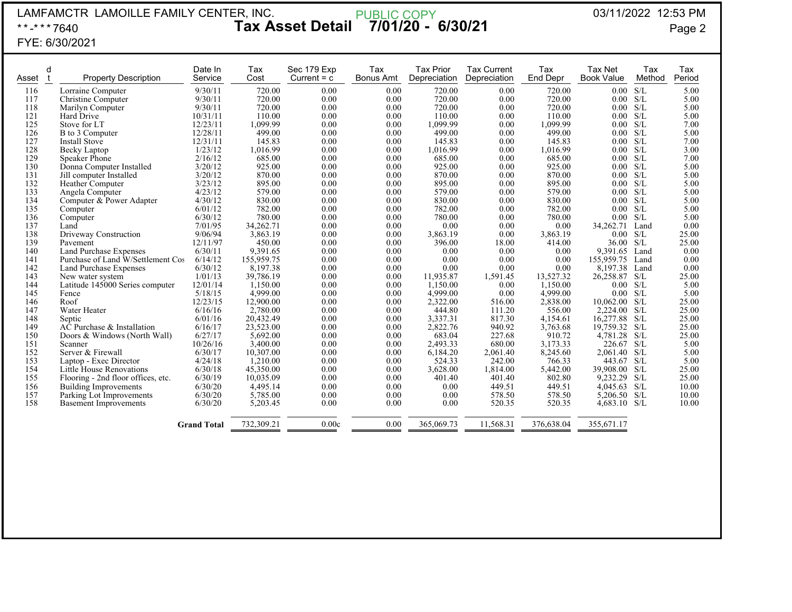| 03/11/2022 12:53 PM<br>LAMFAMCTR LAMOILLE FAMILY CENTER, INC.<br><b>PUBLIC COPY</b> |                                    |                    |            |               |           |                  |                    |            |                   |        |        |  |
|-------------------------------------------------------------------------------------|------------------------------------|--------------------|------------|---------------|-----------|------------------|--------------------|------------|-------------------|--------|--------|--|
| 7/01/20 - 6/30/21<br><b>Tax Asset Detail</b><br>**-****7640<br>Page 2               |                                    |                    |            |               |           |                  |                    |            |                   |        |        |  |
|                                                                                     |                                    |                    |            |               |           |                  |                    |            |                   |        |        |  |
| FYE: 6/30/2021                                                                      |                                    |                    |            |               |           |                  |                    |            |                   |        |        |  |
|                                                                                     |                                    |                    |            |               |           |                  |                    |            |                   |        |        |  |
| d                                                                                   |                                    | Date In            | Tax        | Sec 179 Exp   | Tax       | <b>Tax Prior</b> | <b>Tax Current</b> | Tax        | Tax Net           | Tax    | Tax    |  |
| Asset                                                                               | <b>Property Description</b>        | Service            | Cost       | Current = $c$ | Bonus Amt | Depreciation     | Depreciation       | End Depr   | <b>Book Value</b> | Method | Period |  |
| 116                                                                                 | Lorraine Computer                  | 9/30/11            | 720.00     | 0.00          | 0.00      | 720.00           | 0.00               | 720.00     | 0.00              | S/L    | 5.00   |  |
| 117                                                                                 | <b>Christine Computer</b>          | 9/30/11            | 720.00     | 0.00          | 0.00      | 720.00           | 0.00               | 720.00     | 0.00              | S/L    | 5.00   |  |
| 118                                                                                 | Marilyn Computer                   | 9/30/11            | 720.00     | 0.00          | 0.00      | 720.00           | 0.00               | 720.00     | 0.00 S/L          |        | 5.00   |  |
| 121                                                                                 | Hard Drive                         | 10/31/11           | 110.00     | 0.00          | 0.00      | 110.00           | 0.00               | 110.00     | $0.00 -$          | S/L    | 5.00   |  |
| 125                                                                                 | Stove for LT                       | 12/23/11           | 1,099.99   | 0.00          | 0.00      | 1,099.99         | 0.00               | 1,099.99   | 0.00 S/L          |        | 7.00   |  |
| 126                                                                                 | B to 3 Computer                    | 12/28/11           | 499.00     | 0.00          | 0.00      | 499.00           | 0.00               | 499.00     | 0.00 <sub>1</sub> | S/L    | 5.00   |  |
| 127                                                                                 | <b>Install Stove</b>               | 12/31/11           | 145.83     | 0.00          | 0.00      | 145.83           | 0.00               | 145.83     | 0.00 S/L          |        | 7.00   |  |
| 128                                                                                 | Becky Laptop                       | 1/23/12            | 1,016.99   | 0.00          | 0.00      | 1,016.99         | 0.00               | 1,016.99   | 0.00 S/L          |        | 3.00   |  |
| 129                                                                                 | Speaker Phone                      | 2/16/12            | 685.00     | 0.00          | 0.00      | 685.00           | 0.00               | 685.00     | 0.00 S/L          |        | 7.00   |  |
| 130                                                                                 | Donna Computer Installed           | 3/20/12            | 925.00     | 0.00          | 0.00      | 925.00           | 0.00               | 925.00     | 0.00 S/L          |        | 5.00   |  |
| 131                                                                                 | Jill computer Installed            | 3/20/12            | 870.00     | 0.00          | 0.00      | 870.00           | 0.00               | 870.00     | 0.00 S/L          |        | 5.00   |  |
| 132                                                                                 | Heather Computer                   | 3/23/12            | 895.00     | 0.00          | 0.00      | 895.00           | 0.00               | 895.00     | 0.00 S/L          |        | 5.00   |  |
| 133                                                                                 | Angela Computer                    | 4/23/12            | 579.00     | 0.00          | 0.00      | 579.00           | 0.00               | 579.00     | 0.00 S/L          |        | 5.00   |  |
| 134                                                                                 | Computer & Power Adapter           | 4/30/12            | 830.00     | 0.00          | 0.00      | 830.00           | 0.00               | 830.00     | 0.00 S/L          |        | 5.00   |  |
| 135                                                                                 | Computer                           | 6/01/12            | 782.00     | 0.00          | 0.00      | 782.00           | 0.00               | 782.00     | 0.00 S/L          |        | 5.00   |  |
| 136                                                                                 | Computer                           | 6/30/12            | 780.00     | 0.00          | 0.00      | 780.00           | 0.00               | 780.00     | 0.00 S/L          |        | 5.00   |  |
| 137                                                                                 | Land                               | 7/01/95            | 34,262.71  | 0.00          | 0.00      | 0.00             | 0.00               | 0.00       | 34,262.71         | Land   | 0.00   |  |
| 138                                                                                 | Driveway Construction              | 9/06/94            | 3,863.19   | 0.00          | 0.00      | 3,863.19         | 0.00               | 3,863.19   | 0.00 S/L          |        | 25.00  |  |
| 139                                                                                 | Pavement                           | 12/11/97           | 450.00     | 0.00          | 0.00      | 396.00           | 18.00              | 414.00     | 36.00 S/L         |        | 25.00  |  |
| 140                                                                                 | Land Purchase Expenses             | 6/30/11            | 9,391.65   | 0.00          | 0.00      | 0.00             | 0.00               | 0.00       | 9,391.65 Land     |        | 0.00   |  |
| 141                                                                                 | Purchase of Land W/Settlement Cos  | 6/14/12            | 155,959.75 | 0.00          | 0.00      | 0.00             | 0.00               | 0.00       | 155,959.75 Land   |        | 0.00   |  |
| 142                                                                                 | Land Purchase Expenses             | 6/30/12            | 8,197.38   | 0.00          | 0.00      | 0.00             | 0.00               | 0.00       | 8,197.38 Land     |        | 0.00   |  |
| 143                                                                                 | New water system                   | 1/01/13            | 39,786.19  | 0.00          | 0.00      | 11,935.87        | 1,591.45           | 13,527.32  | 26,258.87         | S/L    | 25.00  |  |
| 144                                                                                 | Latitude 145000 Series computer    | 12/01/14           | 1,150.00   | 0.00          | 0.00      | 1,150.00         | 0.00               | 1,150.00   | 0.00 S/L          |        | 5.00   |  |
| 145                                                                                 | Fence                              | 5/18/15            | 4,999.00   | 0.00          | 0.00      | 4,999.00         | 0.00               | 4,999.00   | 0.00 S/L          |        | 5.00   |  |
| 146                                                                                 | Roof                               | 12/23/15           | 12,900.00  | 0.00          | 0.00      | 2,322.00         | 516.00             | 2,838.00   | 10,062.00 S/L     |        | 25.00  |  |
| 147                                                                                 | Water Heater                       | 6/16/16            | 2,780.00   | 0.00          | 0.00      | 444.80           | 111.20             | 556.00     | $2,224.00$ S/L    |        | 25.00  |  |
| 148                                                                                 | Septic                             | 6/01/16            | 20,432.49  | 0.00          | 0.00      | 3,337.31         | 817.30             | 4,154.61   | 16,277.88 S/L     |        | 25.00  |  |
| 149                                                                                 | $A\hat{C}$ Purchase & Installation | 6/16/17            | 23,523.00  | 0.00          | 0.00      | 2,822.76         | 940.92             | 3,763.68   | 19,759.32 S/L     |        | 25.00  |  |
| 150                                                                                 | Doors & Windows (North Wall)       | 6/27/17            | 5,692.00   | 0.00          | 0.00      | 683.04           | 227.68             | 910.72     | 4,781.28 S/L      |        | 25.00  |  |
| 151                                                                                 | Scanner                            | 10/26/16           | 3,400.00   | 0.00          | 0.00      | 2,493.33         | 680.00             | 3,173.33   | 226.67 S/L        |        | 5.00   |  |
| 152                                                                                 | Server & Firewall                  | 6/30/17            | 10,307.00  | 0.00          | 0.00      | 6,184.20         | 2,061.40           | 8,245.60   | 2,061.40 S/L      |        | 5.00   |  |
| 153                                                                                 | Laptop - Exec Director             | 4/24/18            | 1,210.00   | 0.00          | 0.00      | 524.33           | 242.00             | 766.33     | 443.67 S/L        |        | 5.00   |  |
| 154                                                                                 | Little House Renovations           | 6/30/18            | 45,350.00  | 0.00          | 0.00      | 3,628.00         | 1,814.00           | 5,442.00   | 39,908.00 S/L     |        | 25.00  |  |
| 155                                                                                 | Flooring - 2nd floor offices, etc. | 6/30/19            | 10.035.09  | 0.00          | 0.00      | 401.40           | 401.40             | 802.80     | 9,232.29          | S/L    | 25.00  |  |
| 156                                                                                 | <b>Building Improvements</b>       | 6/30/20            | 4,495.14   | 0.00          | 0.00      | 0.00             | 449.51             | 449.51     | 4,045.63 S/L      |        | 10.00  |  |
| 157                                                                                 | Parking Lot Improvements           | 6/30/20            | 5,785.00   | 0.00          | 0.00      | 0.00             | 578.50             | 578.50     | 5.206.50          | S/L    | 10.00  |  |
| 158                                                                                 | <b>Basement Improvements</b>       | 6/30/20            | 5,203.45   | 0.00          | 0.00      | 0.00             | 520.35             | 520.35     | 4,683.10 S/L      |        | 10.00  |  |
|                                                                                     |                                    | <b>Grand Total</b> | 732,309.21 | 0.00c         | 0.00      | 365,069.73       | 11,568.31          | 376,638.04 | 355,671.17        |        |        |  |
|                                                                                     |                                    |                    |            |               |           |                  |                    |            |                   |        |        |  |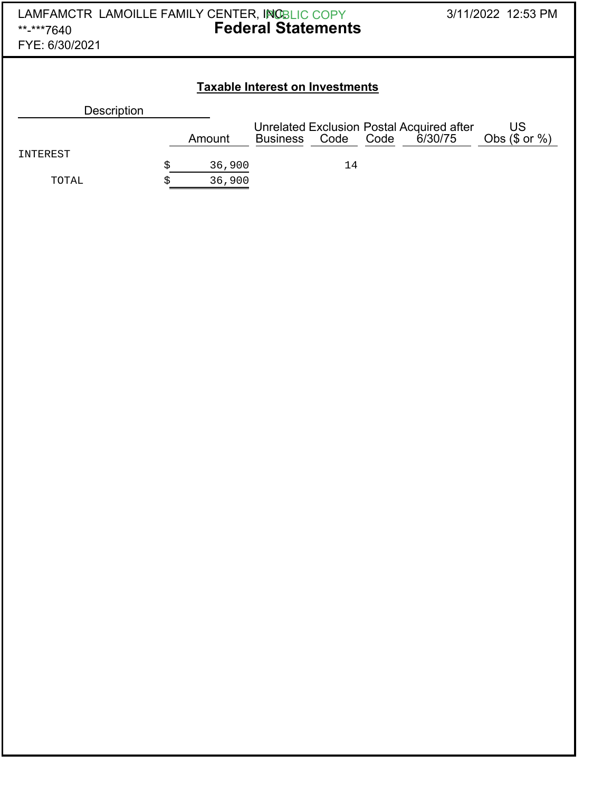| LAMFAMCTR LAMOILLE FAMILY CENTER, INCBLIC COPY<br>3/11/2022 12:53 PM<br><b>Federal Statements</b><br>**-***7640<br>FYE: 6/30/2021 |    |        |  |    |  |                                                                         |                          |  |  |  |  |
|-----------------------------------------------------------------------------------------------------------------------------------|----|--------|--|----|--|-------------------------------------------------------------------------|--------------------------|--|--|--|--|
| <b>Taxable Interest on Investments</b>                                                                                            |    |        |  |    |  |                                                                         |                          |  |  |  |  |
| <b>Description</b>                                                                                                                |    |        |  |    |  |                                                                         |                          |  |  |  |  |
|                                                                                                                                   |    | Amount |  |    |  | Unrelated Exclusion Postal Acquired after<br>Business Code Code 6/30/75 | US<br>Obs $(\$$ or $%$ ) |  |  |  |  |
| INTEREST                                                                                                                          |    |        |  |    |  |                                                                         |                          |  |  |  |  |
|                                                                                                                                   | \$ | 36,900 |  | 14 |  |                                                                         |                          |  |  |  |  |
| TOTAL                                                                                                                             | \$ | 36,900 |  |    |  |                                                                         |                          |  |  |  |  |